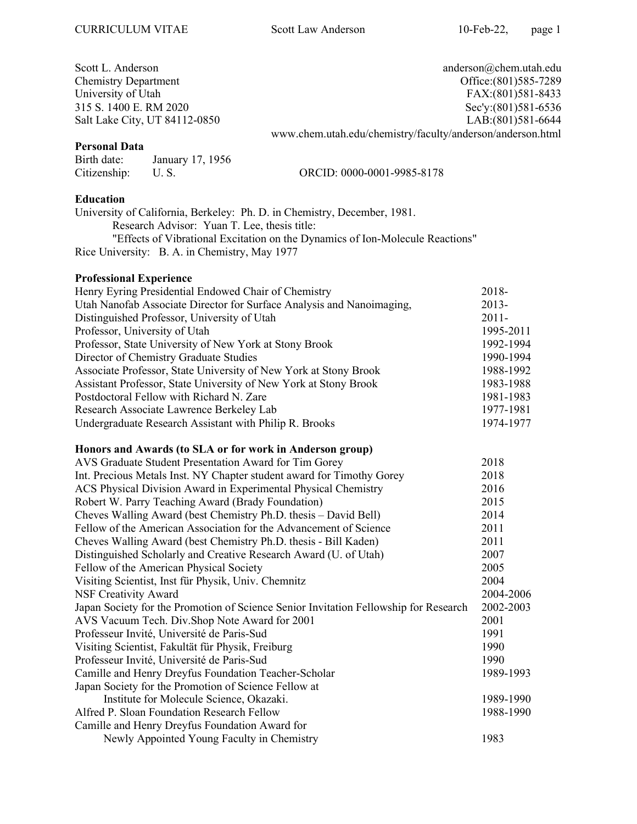| Scott L. Anderson             | $anderson@chem.$ utah.edu                                  |
|-------------------------------|------------------------------------------------------------|
| <b>Chemistry Department</b>   | Office: (801) 585-7289                                     |
| University of Utah            | FAX:(801)581-8433                                          |
| 315 S. 1400 E. RM 2020        | Sec'y:(801)581-6536                                        |
| Salt Lake City, UT 84112-0850 | LAB: (801) 581-6644                                        |
|                               | www.chem.utah.edu/chemistry/faculty/anderson/anderson.html |

### Personal Data

Birth date: January 17, 1956 Citizenship: U. S. ORCID: 0000-0001-9985-8178

### Education

University of California, Berkeley: Ph. D. in Chemistry, December, 1981. Research Advisor: Yuan T. Lee, thesis title: "Effects of Vibrational Excitation on the Dynamics of Ion-Molecule Reactions" Rice University: B. A. in Chemistry, May 1977

### Professional Experience

| Henry Eyring Presidential Endowed Chair of Chemistry                  | 2018-     |
|-----------------------------------------------------------------------|-----------|
| Utah Nanofab Associate Director for Surface Analysis and Nanoimaging, | $2013 -$  |
| Distinguished Professor, University of Utah                           | $2011 -$  |
| Professor, University of Utah                                         | 1995-2011 |
| Professor, State University of New York at Stony Brook                | 1992-1994 |
| Director of Chemistry Graduate Studies                                | 1990-1994 |
| Associate Professor, State University of New York at Stony Brook      | 1988-1992 |
| Assistant Professor, State University of New York at Stony Brook      | 1983-1988 |
| Postdoctoral Fellow with Richard N. Zare                              | 1981-1983 |
| Research Associate Lawrence Berkeley Lab                              | 1977-1981 |
| Undergraduate Research Assistant with Philip R. Brooks                | 1974-1977 |
| Honors and Awards (to SLA or for work in Anderson group)              |           |
| AVS Graduate Student Presentation Award for Tim Gorey                 | 2018      |
| Int. Precious Metals Inst. NY Chapter student award for Timothy Gorey | 2018      |
| ACS Physical Division Award in Experimental Physical Chemistry        | 2016      |
| Robert W. Parry Teaching Award (Brady Foundation)                     | 2015      |
| Cheves Walling Award (best Chemistry Ph.D. thesis – David Bell)       | 2014      |
| Fellow of the American Association for the Advancement of Science     | 2011      |
| Cheves Walling Award (best Chemistry Ph.D. thesis - Bill Kaden)       | 2011      |
| Distinguished Scholarly and Creative Research Award (U. of Utah)      | 2007      |
| Fellow of the American Physical Society                               | 2005      |
| Visiting Scientist, Inst für Physik, Univ. Chemnitz                   | 2004      |
| <b>NSF Creativity Award</b>                                           | 2004-2006 |

| AVS Vacuum Tech. Div.Shop Note Award for 2001        | 2001      |
|------------------------------------------------------|-----------|
| Professeur Invité, Université de Paris-Sud           | 1991      |
| Visiting Scientist, Fakultät für Physik, Freiburg    | 1990      |
| Professeur Invité, Université de Paris-Sud           | 1990      |
| Camille and Henry Dreyfus Foundation Teacher-Scholar | 1989-1993 |
| Japan Society for the Promotion of Science Fellow at |           |
| Institute for Molecule Science, Okazaki.             | 1989-1990 |
| Alfred P. Sloan Foundation Research Fellow           | 1988-1990 |
| Camille and Henry Dreyfus Foundation Award for       |           |
| Newly Appointed Young Faculty in Chemistry           | 1983      |
|                                                      |           |

Japan Society for the Promotion of Science Senior Invitation Fellowship for Research 2002-2003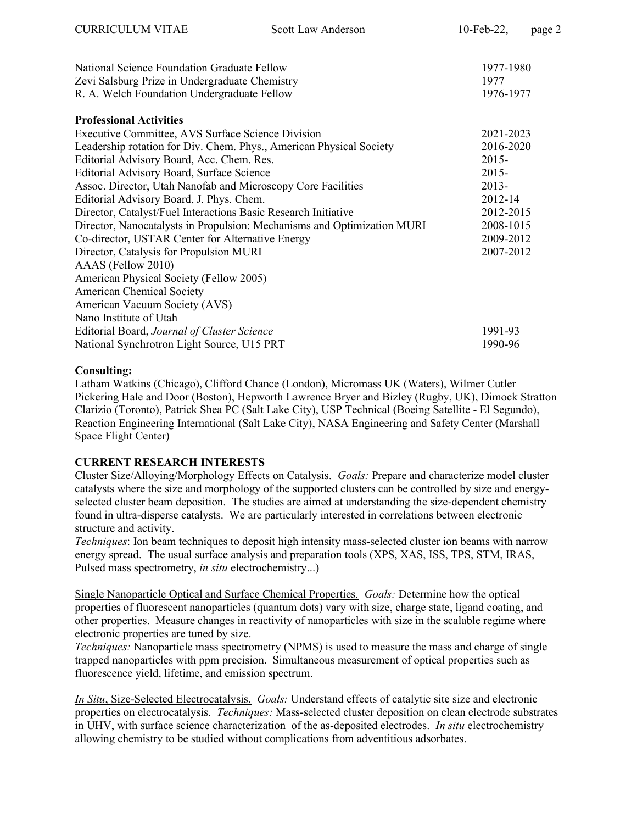| National Science Foundation Graduate Fellow<br>Zevi Salsburg Prize in Undergraduate Chemistry | 1977-1980<br>1977 |
|-----------------------------------------------------------------------------------------------|-------------------|
| R. A. Welch Foundation Undergraduate Fellow                                                   | 1976-1977         |
| <b>Professional Activities</b>                                                                |                   |
| Executive Committee, AVS Surface Science Division                                             | 2021-2023         |
| Leadership rotation for Div. Chem. Phys., American Physical Society                           | 2016-2020         |
| Editorial Advisory Board, Acc. Chem. Res.                                                     | $2015 -$          |
| Editorial Advisory Board, Surface Science                                                     | $2015 -$          |
| Assoc. Director, Utah Nanofab and Microscopy Core Facilities                                  | 2013-             |
| Editorial Advisory Board, J. Phys. Chem.                                                      | 2012-14           |
| Director, Catalyst/Fuel Interactions Basic Research Initiative                                | 2012-2015         |
| Director, Nanocatalysts in Propulsion: Mechanisms and Optimization MURI                       | 2008-1015         |
| Co-director, USTAR Center for Alternative Energy                                              | 2009-2012         |
| Director, Catalysis for Propulsion MURI                                                       | 2007-2012         |
| AAAS (Fellow 2010)                                                                            |                   |
| American Physical Society (Fellow 2005)                                                       |                   |
| <b>American Chemical Society</b>                                                              |                   |
| American Vacuum Society (AVS)                                                                 |                   |
| Nano Institute of Utah                                                                        |                   |
| Editorial Board, Journal of Cluster Science                                                   | 1991-93           |
| National Synchrotron Light Source, U15 PRT                                                    | 1990-96           |

### Consulting:

Latham Watkins (Chicago), Clifford Chance (London), Micromass UK (Waters), Wilmer Cutler Pickering Hale and Door (Boston), Hepworth Lawrence Bryer and Bizley (Rugby, UK), Dimock Stratton Clarizio (Toronto), Patrick Shea PC (Salt Lake City), USP Technical (Boeing Satellite - El Segundo), Reaction Engineering International (Salt Lake City), NASA Engineering and Safety Center (Marshall Space Flight Center)

### CURRENT RESEARCH INTERESTS

Cluster Size/Alloying/Morphology Effects on Catalysis. Goals: Prepare and characterize model cluster catalysts where the size and morphology of the supported clusters can be controlled by size and energyselected cluster beam deposition. The studies are aimed at understanding the size-dependent chemistry found in ultra-disperse catalysts. We are particularly interested in correlations between electronic structure and activity.

Techniques: Ion beam techniques to deposit high intensity mass-selected cluster ion beams with narrow energy spread. The usual surface analysis and preparation tools (XPS, XAS, ISS, TPS, STM, IRAS, Pulsed mass spectrometry, in situ electrochemistry...)

Single Nanoparticle Optical and Surface Chemical Properties. Goals: Determine how the optical properties of fluorescent nanoparticles (quantum dots) vary with size, charge state, ligand coating, and other properties. Measure changes in reactivity of nanoparticles with size in the scalable regime where electronic properties are tuned by size.

Techniques: Nanoparticle mass spectrometry (NPMS) is used to measure the mass and charge of single trapped nanoparticles with ppm precision. Simultaneous measurement of optical properties such as fluorescence yield, lifetime, and emission spectrum.

In Situ, Size-Selected Electrocatalysis. Goals: Understand effects of catalytic site size and electronic properties on electrocatalysis. Techniques: Mass-selected cluster deposition on clean electrode substrates in UHV, with surface science characterization of the as-deposited electrodes. In situ electrochemistry allowing chemistry to be studied without complications from adventitious adsorbates.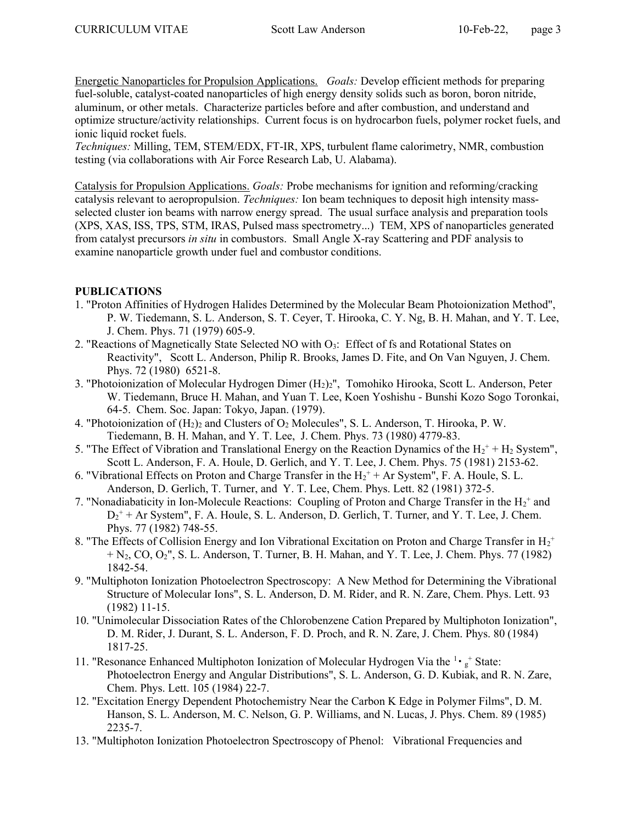Energetic Nanoparticles for Propulsion Applications. Goals: Develop efficient methods for preparing fuel-soluble, catalyst-coated nanoparticles of high energy density solids such as boron, boron nitride, aluminum, or other metals. Characterize particles before and after combustion, and understand and optimize structure/activity relationships. Current focus is on hydrocarbon fuels, polymer rocket fuels, and ionic liquid rocket fuels.

Techniques: Milling, TEM, STEM/EDX, FT-IR, XPS, turbulent flame calorimetry, NMR, combustion testing (via collaborations with Air Force Research Lab, U. Alabama).

Catalysis for Propulsion Applications. Goals: Probe mechanisms for ignition and reforming/cracking catalysis relevant to aeropropulsion. Techniques: Ion beam techniques to deposit high intensity massselected cluster ion beams with narrow energy spread. The usual surface analysis and preparation tools (XPS, XAS, ISS, TPS, STM, IRAS, Pulsed mass spectrometry...) TEM, XPS of nanoparticles generated from catalyst precursors in situ in combustors. Small Angle X-ray Scattering and PDF analysis to examine nanoparticle growth under fuel and combustor conditions.

## PUBLICATIONS

- 1. "Proton Affinities of Hydrogen Halides Determined by the Molecular Beam Photoionization Method", P. W. Tiedemann, S. L. Anderson, S. T. Ceyer, T. Hirooka, C. Y. Ng, B. H. Mahan, and Y. T. Lee, J. Chem. Phys. 71 (1979) 605-9.
- 2. "Reactions of Magnetically State Selected NO with O<sub>3</sub>: Effect of fs and Rotational States on Reactivity", Scott L. Anderson, Philip R. Brooks, James D. Fite, and On Van Nguyen, J. Chem. Phys. 72 (1980) 6521-8.
- 3. "Photoionization of Molecular Hydrogen Dimer (H2)2", Tomohiko Hirooka, Scott L. Anderson, Peter W. Tiedemann, Bruce H. Mahan, and Yuan T. Lee, Koen Yoshishu - Bunshi Kozo Sogo Toronkai, 64-5. Chem. Soc. Japan: Tokyo, Japan. (1979).
- 4. "Photoionization of  $(H_2)$ <sub>2</sub> and Clusters of O<sub>2</sub> Molecules", S. L. Anderson, T. Hirooka, P. W. Tiedemann, B. H. Mahan, and Y. T. Lee, J. Chem. Phys. 73 (1980) 4779-83.
- 5. "The Effect of Vibration and Translational Energy on the Reaction Dynamics of the  $H_2^+ + H_2$  System", Scott L. Anderson, F. A. Houle, D. Gerlich, and Y. T. Lee, J. Chem. Phys. 75 (1981) 2153-62.
- 6. "Vibrational Effects on Proton and Charge Transfer in the  $H_2^+$  + Ar System", F. A. Houle, S. L. Anderson, D. Gerlich, T. Turner, and Y. T. Lee, Chem. Phys. Lett. 82 (1981) 372-5.
- 7. "Nonadiabaticity in Ion-Molecule Reactions: Coupling of Proton and Charge Transfer in the  $H_2^+$  and  $D_2^+$  + Ar System", F. A. Houle, S. L. Anderson, D. Gerlich, T. Turner, and Y. T. Lee, J. Chem. Phys. 77 (1982) 748-55.
- 8. "The Effects of Collision Energy and Ion Vibrational Excitation on Proton and Charge Transfer in  $H_2^+$  $+ N<sub>2</sub>$ , CO, O<sub>2</sub>", S. L. Anderson, T. Turner, B. H. Mahan, and Y. T. Lee, J. Chem. Phys. 77 (1982) 1842-54.
- 9. "Multiphoton Ionization Photoelectron Spectroscopy: A New Method for Determining the Vibrational Structure of Molecular Ions", S. L. Anderson, D. M. Rider, and R. N. Zare, Chem. Phys. Lett. 93 (1982) 11-15.
- 10. "Unimolecular Dissociation Rates of the Chlorobenzene Cation Prepared by Multiphoton Ionization", D. M. Rider, J. Durant, S. L. Anderson, F. D. Proch, and R. N. Zare, J. Chem. Phys. 80 (1984) 1817-25.
- 11. "Resonance Enhanced Multiphoton Ionization of Molecular Hydrogen Via the  $\frac{1}{g}$  State: Photoelectron Energy and Angular Distributions", S. L. Anderson, G. D. Kubiak, and R. N. Zare, Chem. Phys. Lett. 105 (1984) 22-7.
- 12. "Excitation Energy Dependent Photochemistry Near the Carbon K Edge in Polymer Films", D. M. Hanson, S. L. Anderson, M. C. Nelson, G. P. Williams, and N. Lucas, J. Phys. Chem. 89 (1985) 2235-7.
- 13. "Multiphoton Ionization Photoelectron Spectroscopy of Phenol: Vibrational Frequencies and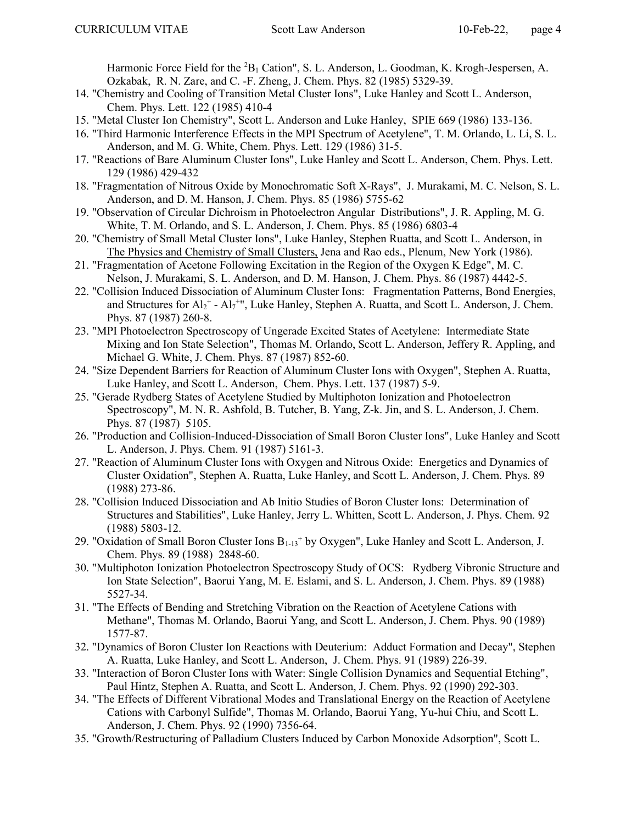Harmonic Force Field for the  ${}^{2}B_1$  Cation", S. L. Anderson, L. Goodman, K. Krogh-Jespersen, A. Ozkabak, R. N. Zare, and C. -F. Zheng, J. Chem. Phys. 82 (1985) 5329-39.

- 14. "Chemistry and Cooling of Transition Metal Cluster Ions", Luke Hanley and Scott L. Anderson, Chem. Phys. Lett. 122 (1985) 410-4
- 15. "Metal Cluster Ion Chemistry", Scott L. Anderson and Luke Hanley, SPIE 669 (1986) 133-136.
- 16. "Third Harmonic Interference Effects in the MPI Spectrum of Acetylene", T. M. Orlando, L. Li, S. L. Anderson, and M. G. White, Chem. Phys. Lett. 129 (1986) 31-5.
- 17. "Reactions of Bare Aluminum Cluster Ions", Luke Hanley and Scott L. Anderson, Chem. Phys. Lett. 129 (1986) 429-432
- 18. "Fragmentation of Nitrous Oxide by Monochromatic Soft X-Rays", J. Murakami, M. C. Nelson, S. L. Anderson, and D. M. Hanson, J. Chem. Phys. 85 (1986) 5755-62
- 19. "Observation of Circular Dichroism in Photoelectron Angular Distributions", J. R. Appling, M. G. White, T. M. Orlando, and S. L. Anderson, J. Chem. Phys. 85 (1986) 6803-4
- 20. "Chemistry of Small Metal Cluster Ions", Luke Hanley, Stephen Ruatta, and Scott L. Anderson, in The Physics and Chemistry of Small Clusters, Jena and Rao eds., Plenum, New York (1986).
- 21. "Fragmentation of Acetone Following Excitation in the Region of the Oxygen K Edge", M. C. Nelson, J. Murakami, S. L. Anderson, and D. M. Hanson, J. Chem. Phys. 86 (1987) 4442-5.
- 22. "Collision Induced Dissociation of Aluminum Cluster Ions: Fragmentation Patterns, Bond Energies, and Structures for  $Al_2^+$  -  $Al_7^{++}$ , Luke Hanley, Stephen A. Ruatta, and Scott L. Anderson, J. Chem. Phys. 87 (1987) 260-8.
- 23. "MPI Photoelectron Spectroscopy of Ungerade Excited States of Acetylene: Intermediate State Mixing and Ion State Selection", Thomas M. Orlando, Scott L. Anderson, Jeffery R. Appling, and Michael G. White, J. Chem. Phys. 87 (1987) 852-60.
- 24. "Size Dependent Barriers for Reaction of Aluminum Cluster Ions with Oxygen", Stephen A. Ruatta, Luke Hanley, and Scott L. Anderson, Chem. Phys. Lett. 137 (1987) 5-9.
- 25. "Gerade Rydberg States of Acetylene Studied by Multiphoton Ionization and Photoelectron Spectroscopy", M. N. R. Ashfold, B. Tutcher, B. Yang, Z-k. Jin, and S. L. Anderson, J. Chem. Phys. 87 (1987) 5105.
- 26. "Production and Collision-Induced-Dissociation of Small Boron Cluster Ions", Luke Hanley and Scott L. Anderson, J. Phys. Chem. 91 (1987) 5161-3.
- 27. "Reaction of Aluminum Cluster Ions with Oxygen and Nitrous Oxide: Energetics and Dynamics of Cluster Oxidation", Stephen A. Ruatta, Luke Hanley, and Scott L. Anderson, J. Chem. Phys. 89 (1988) 273-86.
- 28. "Collision Induced Dissociation and Ab Initio Studies of Boron Cluster Ions: Determination of Structures and Stabilities", Luke Hanley, Jerry L. Whitten, Scott L. Anderson, J. Phys. Chem. 92 (1988) 5803-12.
- 29. "Oxidation of Small Boron Cluster Ions  $B_{1-13}$ <sup>+</sup> by Oxygen", Luke Hanley and Scott L. Anderson, J. Chem. Phys. 89 (1988) 2848-60.
- 30. "Multiphoton Ionization Photoelectron Spectroscopy Study of OCS: Rydberg Vibronic Structure and Ion State Selection", Baorui Yang, M. E. Eslami, and S. L. Anderson, J. Chem. Phys. 89 (1988) 5527-34.
- 31. "The Effects of Bending and Stretching Vibration on the Reaction of Acetylene Cations with Methane", Thomas M. Orlando, Baorui Yang, and Scott L. Anderson, J. Chem. Phys. 90 (1989) 1577-87.
- 32. "Dynamics of Boron Cluster Ion Reactions with Deuterium: Adduct Formation and Decay", Stephen A. Ruatta, Luke Hanley, and Scott L. Anderson, J. Chem. Phys. 91 (1989) 226-39.
- 33. "Interaction of Boron Cluster Ions with Water: Single Collision Dynamics and Sequential Etching", Paul Hintz, Stephen A. Ruatta, and Scott L. Anderson, J. Chem. Phys. 92 (1990) 292-303.
- 34. "The Effects of Different Vibrational Modes and Translational Energy on the Reaction of Acetylene Cations with Carbonyl Sulfide", Thomas M. Orlando, Baorui Yang, Yu-hui Chiu, and Scott L. Anderson, J. Chem. Phys. 92 (1990) 7356-64.
- 35. "Growth/Restructuring of Palladium Clusters Induced by Carbon Monoxide Adsorption", Scott L.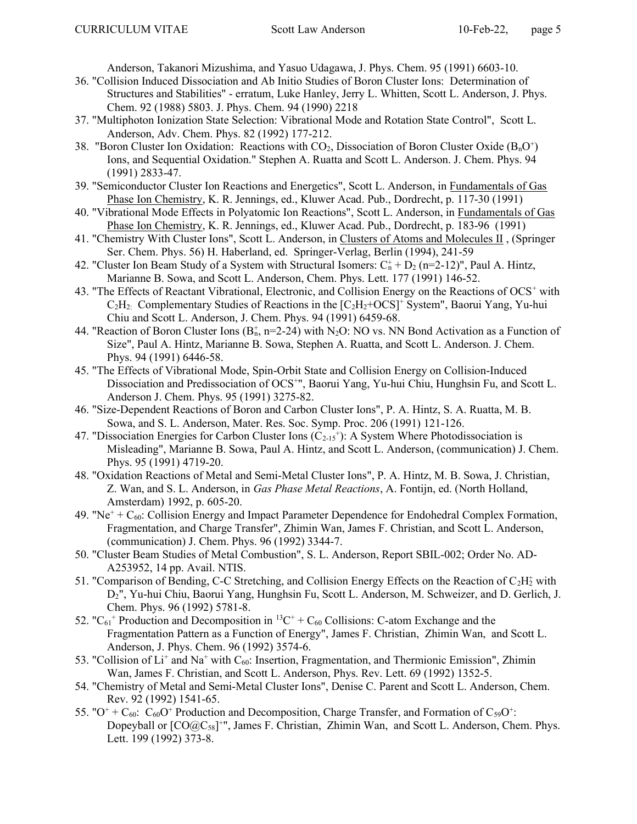Anderson, Takanori Mizushima, and Yasuo Udagawa, J. Phys. Chem. 95 (1991) 6603-10.

- 36. "Collision Induced Dissociation and Ab Initio Studies of Boron Cluster Ions: Determination of Structures and Stabilities" - erratum, Luke Hanley, Jerry L. Whitten, Scott L. Anderson, J. Phys. Chem. 92 (1988) 5803. J. Phys. Chem. 94 (1990) 2218
- 37. "Multiphoton Ionization State Selection: Vibrational Mode and Rotation State Control", Scott L. Anderson, Adv. Chem. Phys. 82 (1992) 177-212.
- 38. "Boron Cluster Ion Oxidation: Reactions with  $CO_2$ , Dissociation of Boron Cluster Oxide ( $B_nO^+$ ) Ions, and Sequential Oxidation." Stephen A. Ruatta and Scott L. Anderson. J. Chem. Phys. 94 (1991) 2833-47.
- 39. "Semiconductor Cluster Ion Reactions and Energetics", Scott L. Anderson, in Fundamentals of Gas Phase Ion Chemistry, K. R. Jennings, ed., Kluwer Acad. Pub., Dordrecht, p. 117-30 (1991)
- 40. "Vibrational Mode Effects in Polyatomic Ion Reactions", Scott L. Anderson, in Fundamentals of Gas Phase Ion Chemistry, K. R. Jennings, ed., Kluwer Acad. Pub., Dordrecht, p. 183-96 (1991)
- 41. "Chemistry With Cluster Ions", Scott L. Anderson, in Clusters of Atoms and Molecules II , (Springer Ser. Chem. Phys. 56) H. Haberland, ed. Springer-Verlag, Berlin (1994), 241-59
- 42. "Cluster Ion Beam Study of a System with Structural Isomers:  $C_n^+ + D_2$  (n=2-12)", Paul A. Hintz, Marianne B. Sowa, and Scott L. Anderson, Chem. Phys. Lett. 177 (1991) 146-52.
- 43. "The Effects of Reactant Vibrational, Electronic, and Collision Energy on the Reactions of OCS<sup>+</sup> with  $C_2H_2$ : Complementary Studies of Reactions in the  $[C_2H_2+OCS]^+$  System", Baorui Yang, Yu-hui Chiu and Scott L. Anderson, J. Chem. Phys. 94 (1991) 6459-68.
- 44. "Reaction of Boron Cluster Ions  $(B_n^+, n=2-24)$  with N<sub>2</sub>O: NO vs. NN Bond Activation as a Function of Size", Paul A. Hintz, Marianne B. Sowa, Stephen A. Ruatta, and Scott L. Anderson. J. Chem. Phys. 94 (1991) 6446-58.
- 45. "The Effects of Vibrational Mode, Spin-Orbit State and Collision Energy on Collision-Induced Dissociation and Predissociation of OCS<sup>+</sup>", Baorui Yang, Yu-hui Chiu, Hunghsin Fu, and Scott L. Anderson J. Chem. Phys. 95 (1991) 3275-82.
- 46. "Size-Dependent Reactions of Boron and Carbon Cluster Ions", P. A. Hintz, S. A. Ruatta, M. B. Sowa, and S. L. Anderson, Mater. Res. Soc. Symp. Proc. 206 (1991) 121-126.
- 47. "Dissociation Energies for Carbon Cluster Ions  $(C_{2\text{-}15}^+)$ : A System Where Photodissociation is Misleading", Marianne B. Sowa, Paul A. Hintz, and Scott L. Anderson, (communication) J. Chem. Phys. 95 (1991) 4719-20.
- 48. "Oxidation Reactions of Metal and Semi-Metal Cluster Ions", P. A. Hintz, M. B. Sowa, J. Christian, Z. Wan, and S. L. Anderson, in Gas Phase Metal Reactions, A. Fontijn, ed. (North Holland, Amsterdam) 1992, p. 605-20.
- 49. "Ne<sup>+</sup> +  $C_{60}$ : Collision Energy and Impact Parameter Dependence for Endohedral Complex Formation, Fragmentation, and Charge Transfer", Zhimin Wan, James F. Christian, and Scott L. Anderson, (communication) J. Chem. Phys. 96 (1992) 3344-7.
- 50. "Cluster Beam Studies of Metal Combustion", S. L. Anderson, Report SBIL-002; Order No. AD-A253952, 14 pp. Avail. NTIS.
- 51. "Comparison of Bending, C-C Stretching, and Collision Energy Effects on the Reaction of  $C_2H_2^+$  with D2", Yu-hui Chiu, Baorui Yang, Hunghsin Fu, Scott L. Anderson, M. Schweizer, and D. Gerlich, J. Chem. Phys. 96 (1992) 5781-8.
- 52. " $C_{61}$ <sup>+</sup> Production and Decomposition in <sup>13</sup>C<sup>+</sup> +  $C_{60}$  Collisions: C-atom Exchange and the Fragmentation Pattern as a Function of Energy", James F. Christian, Zhimin Wan, and Scott L. Anderson, J. Phys. Chem. 96 (1992) 3574-6.
- 53. "Collision of Li<sup>+</sup> and Na<sup>+</sup> with C<sub>60</sub>: Insertion, Fragmentation, and Thermionic Emission", Zhimin Wan, James F. Christian, and Scott L. Anderson, Phys. Rev. Lett. 69 (1992) 1352-5.
- 54. "Chemistry of Metal and Semi-Metal Cluster Ions", Denise C. Parent and Scott L. Anderson, Chem. Rev. 92 (1992) 1541-65.
- 55. " $O^+$  +  $C_{60}$ :  $C_{60}O^+$  Production and Decomposition, Charge Transfer, and Formation of  $C_{59}O^+$ : Dopeyball or  $[CO@C_{58}]^{+}$ ", James F. Christian, Zhimin Wan, and Scott L. Anderson, Chem. Phys. Lett. 199 (1992) 373-8.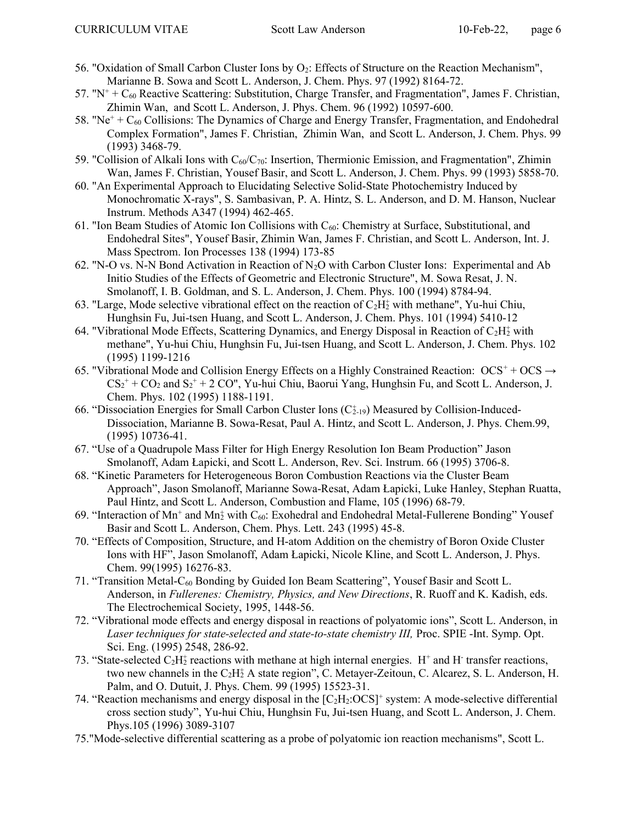- 56. "Oxidation of Small Carbon Cluster Ions by  $O_2$ : Effects of Structure on the Reaction Mechanism", Marianne B. Sowa and Scott L. Anderson, J. Chem. Phys. 97 (1992) 8164-72.
- 57. " $N^+$  +  $C_{60}$  Reactive Scattering: Substitution, Charge Transfer, and Fragmentation", James F. Christian, Zhimin Wan, and Scott L. Anderson, J. Phys. Chem. 96 (1992) 10597-600.
- 58. "Ne<sup>+</sup> +  $C_{60}$  Collisions: The Dynamics of Charge and Energy Transfer, Fragmentation, and Endohedral Complex Formation", James F. Christian, Zhimin Wan, and Scott L. Anderson, J. Chem. Phys. 99 (1993) 3468-79.
- 59. "Collision of Alkali Ions with  $C_{60}/C_{70}$ : Insertion, Thermionic Emission, and Fragmentation", Zhimin Wan, James F. Christian, Yousef Basir, and Scott L. Anderson, J. Chem. Phys. 99 (1993) 5858-70.
- 60. "An Experimental Approach to Elucidating Selective Solid-State Photochemistry Induced by Monochromatic X-rays", S. Sambasivan, P. A. Hintz, S. L. Anderson, and D. M. Hanson, Nuclear Instrum. Methods A347 (1994) 462-465.
- 61. "Ion Beam Studies of Atomic Ion Collisions with  $C_{60}$ : Chemistry at Surface, Substitutional, and Endohedral Sites", Yousef Basir, Zhimin Wan, James F. Christian, and Scott L. Anderson, Int. J. Mass Spectrom. Ion Processes 138 (1994) 173-85
- 62. "N-O vs. N-N Bond Activation in Reaction of  $N<sub>2</sub>O$  with Carbon Cluster Ions: Experimental and Ab Initio Studies of the Effects of Geometric and Electronic Structure", M. Sowa Resat, J. N. Smolanoff, I. B. Goldman, and S. L. Anderson, J. Chem. Phys. 100 (1994) 8784-94.
- 63. "Large, Mode selective vibrational effect on the reaction of  $C_2H_2^+$  with methane", Yu-hui Chiu, Hunghsin Fu, Jui-tsen Huang, and Scott L. Anderson, J. Chem. Phys. 101 (1994) 5410-12
- 64. "Vibrational Mode Effects, Scattering Dynamics, and Energy Disposal in Reaction of  $C_2H_2^+$  with methane", Yu-hui Chiu, Hunghsin Fu, Jui-tsen Huang, and Scott L. Anderson, J. Chem. Phys. 102 (1995) 1199-1216
- 65. "Vibrational Mode and Collision Energy Effects on a Highly Constrained Reaction:  $OCS^+ + OCS \rightarrow$  $CS_2^+$  +  $CO_2$  and  $S_2^+$  + 2  $CO$ ", Yu-hui Chiu, Baorui Yang, Hunghsin Fu, and Scott L. Anderson, J. Chem. Phys. 102 (1995) 1188-1191.
- 66. "Dissociation Energies for Small Carbon Cluster Ions (C<sup>+</sup><sub>19</sub>) Measured by Collision-Induced-Dissociation, Marianne B. Sowa-Resat, Paul A. Hintz, and Scott L. Anderson, J. Phys. Chem.99, (1995) 10736-41.
- 67. "Use of a Quadrupole Mass Filter for High Energy Resolution Ion Beam Production" Jason Smolanoff, Adam Łapicki, and Scott L. Anderson, Rev. Sci. Instrum. 66 (1995) 3706-8.
- 68. "Kinetic Parameters for Heterogeneous Boron Combustion Reactions via the Cluster Beam Approach", Jason Smolanoff, Marianne Sowa-Resat, Adam Łapicki, Luke Hanley, Stephan Ruatta, Paul Hintz, and Scott L. Anderson, Combustion and Flame, 105 (1996) 68-79.
- 69. "Interaction of Mn<sup>+</sup> and Mn<sup>+</sup> with C<sub>60</sub>: Exohedral and Endohedral Metal-Fullerene Bonding" Yousef Basir and Scott L. Anderson, Chem. Phys. Lett. 243 (1995) 45-8.
- 70. "Effects of Composition, Structure, and H-atom Addition on the chemistry of Boron Oxide Cluster Ions with HF", Jason Smolanoff, Adam Łapicki, Nicole Kline, and Scott L. Anderson, J. Phys. Chem. 99(1995) 16276-83.
- 71. "Transition Metal-C60 Bonding by Guided Ion Beam Scattering", Yousef Basir and Scott L. Anderson, in Fullerenes: Chemistry, Physics, and New Directions, R. Ruoff and K. Kadish, eds. The Electrochemical Society, 1995, 1448-56.
- 72. "Vibrational mode effects and energy disposal in reactions of polyatomic ions", Scott L. Anderson, in Laser techniques for state-selected and state-to-state chemistry III, Proc. SPIE -Int. Symp. Opt. Sci. Eng. (1995) 2548, 286-92.
- 73. "State-selected  $C_2H_2^+$  reactions with methane at high internal energies.  $H^+$  and  $H^-$  transfer reactions, two new channels in the  $C_2H_2^+$  A state region", C. Metayer-Zeitoun, C. Alcarez, S. L. Anderson, H. Palm, and O. Dutuit, J. Phys. Chem. 99 (1995) 15523-31.
- 74. "Reaction mechanisms and energy disposal in the  $[C_2H_2:OCS]^+$  system: A mode-selective differential cross section study", Yu-hui Chiu, Hunghsin Fu, Jui-tsen Huang, and Scott L. Anderson, J. Chem. Phys.105 (1996) 3089-3107
- 75."Mode-selective differential scattering as a probe of polyatomic ion reaction mechanisms", Scott L.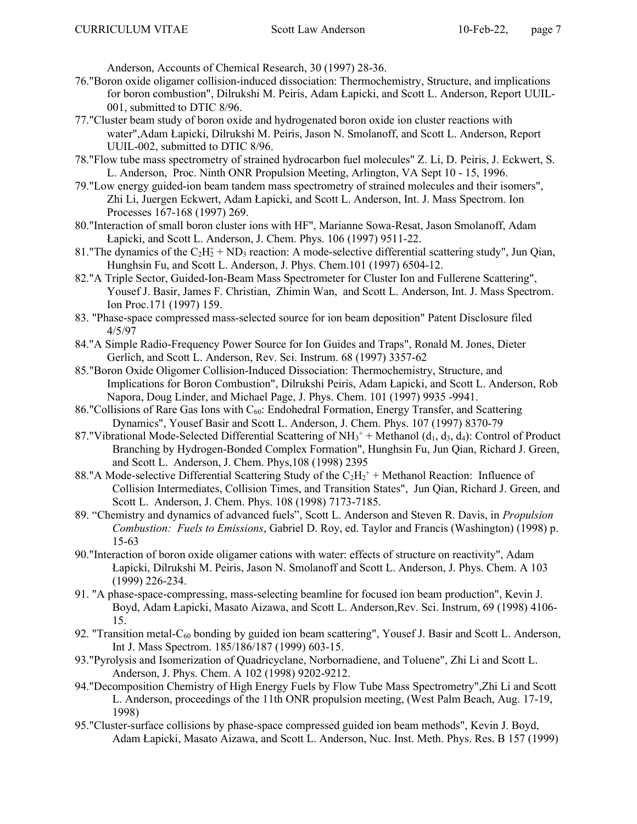Anderson, Accounts of Chemical Research, 30 (1997) 28-36.

- 76."Boron oxide oligamer collision-induced dissociation: Thermochemistry, Structure, and implications for boron combustion", Dilrukshi M. Peiris, Adam Łapicki, and Scott L. Anderson, Report UUIL-001, submitted to DTIC 8/96.
- 77."Cluster beam study of boron oxide and hydrogenated boron oxide ion cluster reactions with water",Adam Łapicki, Dilrukshi M. Peiris, Jason N. Smolanoff, and Scott L. Anderson, Report UUIL-002, submitted to DTIC 8/96.
- 78."Flow tube mass spectrometry of strained hydrocarbon fuel molecules" Z. Li, D. Peiris, J. Eckwert, S. L. Anderson, Proc. Ninth ONR Propulsion Meeting, Arlington, VA Sept 10 - 15, 1996.
- 79."Low energy guided-ion beam tandem mass spectrometry of strained molecules and their isomers", Zhi Li, Juergen Eckwert, Adam Łapicki, and Scott L. Anderson, Int. J. Mass Spectrom. Ion Processes 167-168 (1997) 269.
- 80."Interaction of small boron cluster ions with HF", Marianne Sowa-Resat, Jason Smolanoff, Adam Łapicki, and Scott L. Anderson, J. Chem. Phys. 106 (1997) 9511-22.
- 81. "The dynamics of the  $C_2H_2^+$  + ND<sub>3</sub> reaction: A mode-selective differential scattering study", Jun Qian, Hunghsin Fu, and Scott L. Anderson, J. Phys. Chem.101 (1997) 6504-12.
- 82."A Triple Sector, Guided-Ion-Beam Mass Spectrometer for Cluster Ion and Fullerene Scattering", Yousef J. Basir, James F. Christian, Zhimin Wan, and Scott L. Anderson, Int. J. Mass Spectrom. Ion Proc.171 (1997) 159.
- 83. "Phase-space compressed mass-selected source for ion beam deposition" Patent Disclosure filed 4/5/97
- 84."A Simple Radio-Frequency Power Source for Ion Guides and Traps", Ronald M. Jones, Dieter Gerlich, and Scott L. Anderson, Rev. Sci. Instrum. 68 (1997) 3357-62
- 85."Boron Oxide Oligomer Collision-Induced Dissociation: Thermochemistry, Structure, and Implications for Boron Combustion", Dilrukshi Peiris, Adam Łapicki, and Scott L. Anderson, Rob Napora, Doug Linder, and Michael Page, J. Phys. Chem. 101 (1997) 9935 -9941.
- 86."Collisions of Rare Gas Ions with  $C_{60}$ : Endohedral Formation, Energy Transfer, and Scattering Dynamics", Yousef Basir and Scott L. Anderson, J. Chem. Phys. 107 (1997) 8370-79
- 87."Vibrational Mode-Selected Differential Scattering of  $NH_3^+$  + Methanol ( $d_1, d_3, d_4$ ): Control of Product Branching by Hydrogen-Bonded Complex Formation", Hunghsin Fu, Jun Qian, Richard J. Green, and Scott L. Anderson, J. Chem. Phys,108 (1998) 2395
- 88." A Mode-selective Differential Scattering Study of the  $C_2H_2^+$  + Methanol Reaction: Influence of Collision Intermediates, Collision Times, and Transition States", Jun Qian, Richard J. Green, and Scott L. Anderson, J. Chem. Phys. 108 (1998) 7173-7185.
- 89. "Chemistry and dynamics of advanced fuels", Scott L. Anderson and Steven R. Davis, in Propulsion Combustion: Fuels to Emissions, Gabriel D. Roy, ed. Taylor and Francis (Washington) (1998) p. 15-63
- 90."Interaction of boron oxide oligamer cations with water: effects of structure on reactivity", Adam Łapicki, Dilrukshi M. Peiris, Jason N. Smolanoff and Scott L. Anderson, J. Phys. Chem. A 103 (1999) 226-234.
- 91. "A phase-space-compressing, mass-selecting beamline for focused ion beam production", Kevin J. Boyd, Adam Łapicki, Masato Aizawa, and Scott L. Anderson,Rev. Sci. Instrum, 69 (1998) 4106- 15.
- 92. "Transition metal-C<sub>60</sub> bonding by guided ion beam scattering", Yousef J. Basir and Scott L. Anderson, Int J. Mass Spectrom. 185/186/187 (1999) 603-15.
- 93."Pyrolysis and Isomerization of Quadricyclane, Norbornadiene, and Toluene", Zhi Li and Scott L. Anderson, J. Phys. Chem. A 102 (1998) 9202-9212.
- 94."Decomposition Chemistry of High Energy Fuels by Flow Tube Mass Spectrometry",Zhi Li and Scott L. Anderson, proceedings of the 11th ONR propulsion meeting, (West Palm Beach, Aug. 17-19, 1998)
- 95."Cluster-surface collisions by phase-space compressed guided ion beam methods", Kevin J. Boyd, Adam Łapicki, Masato Aizawa, and Scott L. Anderson, Nuc. Inst. Meth. Phys. Res. B 157 (1999)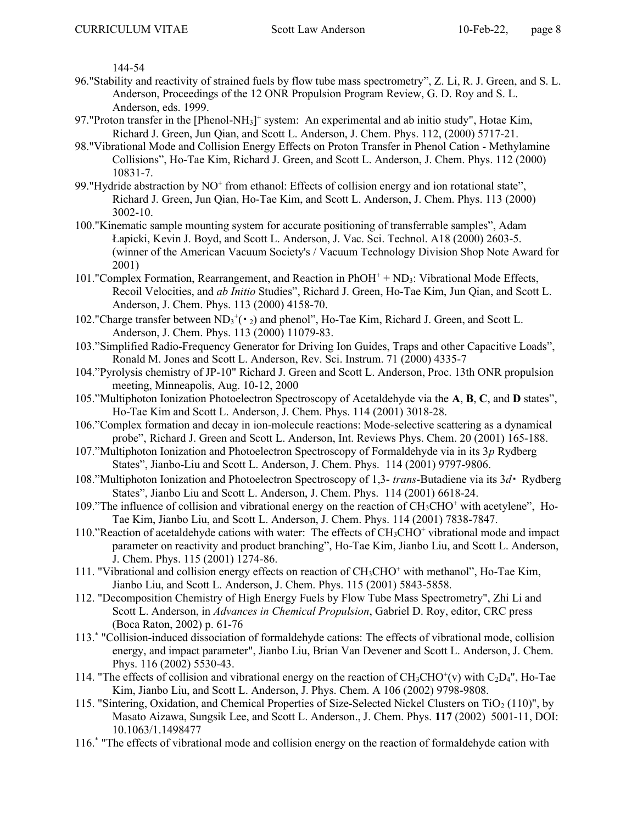144-54

- 96."Stability and reactivity of strained fuels by flow tube mass spectrometry", Z. Li, R. J. Green, and S. L. Anderson, Proceedings of the 12 ONR Propulsion Program Review, G. D. Roy and S. L. Anderson, eds. 1999.
- 97. "Proton transfer in the [Phenol-NH<sub>3</sub>]<sup>+</sup> system: An experimental and ab initio study", Hotae Kim, Richard J. Green, Jun Qian, and Scott L. Anderson, J. Chem. Phys. 112, (2000) 5717-21.
- 98."Vibrational Mode and Collision Energy Effects on Proton Transfer in Phenol Cation Methylamine Collisions", Ho-Tae Kim, Richard J. Green, and Scott L. Anderson, J. Chem. Phys. 112 (2000) 10831-7.
- 99. "Hydride abstraction by NO<sup>+</sup> from ethanol: Effects of collision energy and ion rotational state", Richard J. Green, Jun Qian, Ho-Tae Kim, and Scott L. Anderson, J. Chem. Phys. 113 (2000) 3002-10.
- 100."Kinematic sample mounting system for accurate positioning of transferrable samples", Adam Łapicki, Kevin J. Boyd, and Scott L. Anderson, J. Vac. Sci. Technol. A18 (2000) 2603-5. (winner of the American Vacuum Society's / Vacuum Technology Division Shop Note Award for 2001)
- 101." Complex Formation, Rearrangement, and Reaction in PhOH<sup>+</sup> + ND<sub>3</sub>: Vibrational Mode Effects, Recoil Velocities, and ab Initio Studies", Richard J. Green, Ho-Tae Kim, Jun Qian, and Scott L. Anderson, J. Chem. Phys. 113 (2000) 4158-70.
- 102."Charge transfer between  $ND_3^+(\cdot_2)$  and phenol", Ho-Tae Kim, Richard J. Green, and Scott L. Anderson, J. Chem. Phys. 113 (2000) 11079-83.
- 103."Simplified Radio-Frequency Generator for Driving Ion Guides, Traps and other Capacitive Loads", Ronald M. Jones and Scott L. Anderson, Rev. Sci. Instrum. 71 (2000) 4335-7
- 104."Pyrolysis chemistry of JP-10" Richard J. Green and Scott L. Anderson, Proc. 13th ONR propulsion meeting, Minneapolis, Aug. 10-12, 2000
- 105."Multiphoton Ionization Photoelectron Spectroscopy of Acetaldehyde via the A, B, C, and D states", Ho-Tae Kim and Scott L. Anderson, J. Chem. Phys. 114 (2001) 3018-28.
- 106."Complex formation and decay in ion-molecule reactions: Mode-selective scattering as a dynamical probe", Richard J. Green and Scott L. Anderson, Int. Reviews Phys. Chem. 20 (2001) 165-188.
- 107."Multiphoton Ionization and Photoelectron Spectroscopy of Formaldehyde via in its  $3p$  Rydberg States", Jianbo-Liu and Scott L. Anderson, J. Chem. Phys. 114 (2001) 9797-9806.
- 108."Multiphoton Ionization and Photoelectron Spectroscopy of 1,3- *trans*-Butadiene via its  $3d \cdot$  Rydberg States", Jianbo Liu and Scott L. Anderson, J. Chem. Phys. 114 (2001) 6618-24.
- 109."The influence of collision and vibrational energy on the reaction of CH<sub>3</sub>CHO<sup>+</sup> with acetylene", Ho-Tae Kim, Jianbo Liu, and Scott L. Anderson, J. Chem. Phys. 114 (2001) 7838-7847.
- 110."Reaction of acetaldehyde cations with water: The effects of CH<sub>3</sub>CHO<sup>+</sup> vibrational mode and impact parameter on reactivity and product branching", Ho-Tae Kim, Jianbo Liu, and Scott L. Anderson, J. Chem. Phys. 115 (2001) 1274-86.
- 111. "Vibrational and collision energy effects on reaction of CH<sub>3</sub>CHO<sup>+</sup> with methanol", Ho-Tae Kim, Jianbo Liu, and Scott L. Anderson, J. Chem. Phys. 115 (2001) 5843-5858.
- 112. "Decomposition Chemistry of High Energy Fuels by Flow Tube Mass Spectrometry", Zhi Li and Scott L. Anderson, in Advances in Chemical Propulsion, Gabriel D. Roy, editor, CRC press (Boca Raton, 2002) p. 61-76
- 113.\* "Collision-induced dissociation of formaldehyde cations: The effects of vibrational mode, collision energy, and impact parameter", Jianbo Liu, Brian Van Devener and Scott L. Anderson, J. Chem. Phys. 116 (2002) 5530-43.
- 114. "The effects of collision and vibrational energy on the reaction of  $CH_3CHO^+(v)$  with  $C_2D_4$ ", Ho-Tae Kim, Jianbo Liu, and Scott L. Anderson, J. Phys. Chem. A 106 (2002) 9798-9808.
- 115. "Sintering, Oxidation, and Chemical Properties of Size-Selected Nickel Clusters on TiO<sub>2</sub> (110)", by Masato Aizawa, Sungsik Lee, and Scott L. Anderson., J. Chem. Phys. 117 (2002) 5001-11, DOI: 10.1063/1.1498477
- 116.\* "The effects of vibrational mode and collision energy on the reaction of formaldehyde cation with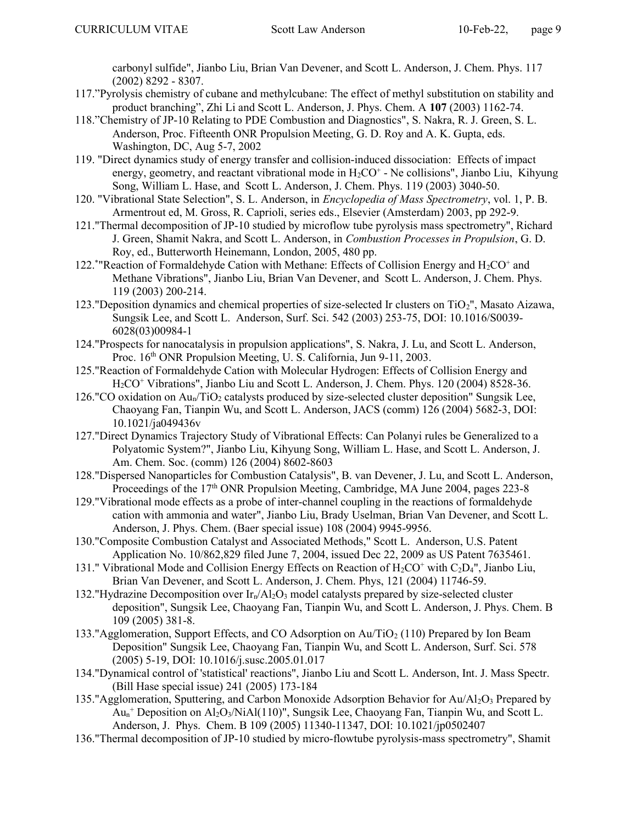carbonyl sulfide", Jianbo Liu, Brian Van Devener, and Scott L. Anderson, J. Chem. Phys. 117 (2002) 8292 - 8307.

- 117."Pyrolysis chemistry of cubane and methylcubane: The effect of methyl substitution on stability and product branching", Zhi Li and Scott L. Anderson, J. Phys. Chem. A 107 (2003) 1162-74.
- 118."Chemistry of JP-10 Relating to PDE Combustion and Diagnostics", S. Nakra, R. J. Green, S. L. Anderson, Proc. Fifteenth ONR Propulsion Meeting, G. D. Roy and A. K. Gupta, eds. Washington, DC, Aug 5-7, 2002
- 119. "Direct dynamics study of energy transfer and collision-induced dissociation: Effects of impact energy, geometry, and reactant vibrational mode in  $H_2CO^+$  - Ne collisions", Jianbo Liu, Kihyung Song, William L. Hase, and Scott L. Anderson, J. Chem. Phys. 119 (2003) 3040-50.
- 120. "Vibrational State Selection", S. L. Anderson, in Encyclopedia of Mass Spectrometry, vol. 1, P. B. Armentrout ed, M. Gross, R. Caprioli, series eds., Elsevier (Amsterdam) 2003, pp 292-9.
- 121."Thermal decomposition of JP-10 studied by microflow tube pyrolysis mass spectrometry", Richard J. Green, Shamit Nakra, and Scott L. Anderson, in Combustion Processes in Propulsion, G. D. Roy, ed., Butterworth Heinemann, London, 2005, 480 pp.
- 122.\*"Reaction of Formaldehyde Cation with Methane: Effects of Collision Energy and  $H_2CO^+$  and Methane Vibrations", Jianbo Liu, Brian Van Devener, and Scott L. Anderson, J. Chem. Phys. 119 (2003) 200-214.
- 123."Deposition dynamics and chemical properties of size-selected Ir clusters on TiO2", Masato Aizawa, Sungsik Lee, and Scott L. Anderson, Surf. Sci. 542 (2003) 253-75, DOI: 10.1016/S0039- 6028(03)00984-1
- 124."Prospects for nanocatalysis in propulsion applications", S. Nakra, J. Lu, and Scott L. Anderson, Proc. 16<sup>th</sup> ONR Propulsion Meeting, U.S. California, Jun 9-11, 2003.
- 125."Reaction of Formaldehyde Cation with Molecular Hydrogen: Effects of Collision Energy and H<sub>2</sub>CO<sup>+</sup> Vibrations", Jianbo Liu and Scott L. Anderson, J. Chem. Phys. 120 (2004) 8528-36.
- 126."CO oxidation on  $Au_0/TiO_2$  catalysts produced by size-selected cluster deposition" Sungsik Lee, Chaoyang Fan, Tianpin Wu, and Scott L. Anderson, JACS (comm) 126 (2004) 5682-3, DOI: 10.1021/ja049436v
- 127."Direct Dynamics Trajectory Study of Vibrational Effects: Can Polanyi rules be Generalized to a Polyatomic System?", Jianbo Liu, Kihyung Song, William L. Hase, and Scott L. Anderson, J. Am. Chem. Soc. (comm) 126 (2004) 8602-8603
- 128."Dispersed Nanoparticles for Combustion Catalysis", B. van Devener, J. Lu, and Scott L. Anderson, Proceedings of the  $17<sup>th</sup>$  ONR Propulsion Meeting, Cambridge, MA June 2004, pages 223-8
- 129."Vibrational mode effects as a probe of inter-channel coupling in the reactions of formaldehyde cation with ammonia and water", Jianbo Liu, Brady Uselman, Brian Van Devener, and Scott L. Anderson, J. Phys. Chem. (Baer special issue) 108 (2004) 9945-9956.
- 130."Composite Combustion Catalyst and Associated Methods," Scott L. Anderson, U.S. Patent Application No. 10/862,829 filed June 7, 2004, issued Dec 22, 2009 as US Patent 7635461.
- 131." Vibrational Mode and Collision Energy Effects on Reaction of  $H_2CO^+$  with  $C_2D_4$ ", Jianbo Liu, Brian Van Devener, and Scott L. Anderson, J. Chem. Phys, 121 (2004) 11746-59.
- 132."Hydrazine Decomposition over  $Ir_n/Al_2O_3$  model catalysts prepared by size-selected cluster deposition", Sungsik Lee, Chaoyang Fan, Tianpin Wu, and Scott L. Anderson, J. Phys. Chem. B 109 (2005) 381-8.
- 133."Agglomeration, Support Effects, and CO Adsorption on Au/TiO2 (110) Prepared by Ion Beam Deposition" Sungsik Lee, Chaoyang Fan, Tianpin Wu, and Scott L. Anderson, Surf. Sci. 578 (2005) 5-19, DOI: 10.1016/j.susc.2005.01.017
- 134."Dynamical control of 'statistical' reactions", Jianbo Liu and Scott L. Anderson, Int. J. Mass Spectr. (Bill Hase special issue) 241 (2005) 173-184
- 135."Agglomeration, Sputtering, and Carbon Monoxide Adsorption Behavior for  $Au/Al_2O_3$  Prepared by Au<sup>n</sup> + Deposition on Al2O3/NiAl(110)", Sungsik Lee, Chaoyang Fan, Tianpin Wu, and Scott L. Anderson, J. Phys. Chem. B 109 (2005) 11340-11347, DOI: 10.1021/jp0502407
- 136."Thermal decomposition of JP-10 studied by micro-flowtube pyrolysis-mass spectrometry", Shamit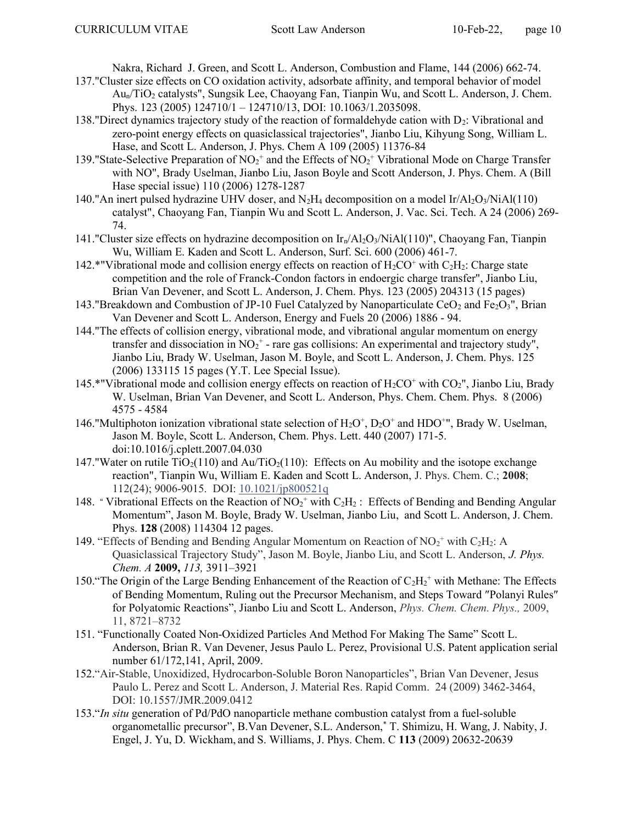Nakra, Richard J. Green, and Scott L. Anderson, Combustion and Flame, 144 (2006) 662-74.

- 137."Cluster size effects on CO oxidation activity, adsorbate affinity, and temporal behavior of model Aun/TiO2 catalysts", Sungsik Lee, Chaoyang Fan, Tianpin Wu, and Scott L. Anderson, J. Chem. Phys. 123 (2005) 124710/1 – 124710/13, DOI: 10.1063/1.2035098.
- 138."Direct dynamics trajectory study of the reaction of formaldehyde cation with  $D_2$ : Vibrational and zero-point energy effects on quasiclassical trajectories", Jianbo Liu, Kihyung Song, William L. Hase, and Scott L. Anderson, J. Phys. Chem A 109 (2005) 11376-84
- 139."State-Selective Preparation of  $NO_2$ <sup>+</sup> and the Effects of  $NO_2$ <sup>+</sup> Vibrational Mode on Charge Transfer with NO", Brady Uselman, Jianbo Liu, Jason Boyle and Scott Anderson, J. Phys. Chem. A (Bill Hase special issue) 110 (2006) 1278-1287
- 140."An inert pulsed hydrazine UHV doser, and  $N_2H_4$  decomposition on a model Ir/Al<sub>2</sub>O<sub>3</sub>/NiAl(110) catalyst", Chaoyang Fan, Tianpin Wu and Scott L. Anderson, J. Vac. Sci. Tech. A 24 (2006) 269- 74.
- 141."Cluster size effects on hydrazine decomposition on  $Ir_n/Al_2O_3/NiAl(110)$ ", Chaoyang Fan, Tianpin Wu, William E. Kaden and Scott L. Anderson, Surf. Sci. 600 (2006) 461-7.
- 142.\*"Vibrational mode and collision energy effects on reaction of  $H_2CO^+$  with  $C_2H_2$ : Charge state competition and the role of Franck-Condon factors in endoergic charge transfer", Jianbo Liu, Brian Van Devener, and Scott L. Anderson, J. Chem. Phys. 123 (2005) 204313 (15 pages)
- 143."Breakdown and Combustion of JP-10 Fuel Catalyzed by Nanoparticulate CeO<sub>2</sub> and Fe<sub>2</sub>O<sub>3</sub>", Brian Van Devener and Scott L. Anderson, Energy and Fuels 20 (2006) 1886 - 94.
- 144."The effects of collision energy, vibrational mode, and vibrational angular momentum on energy transfer and dissociation in  $NO_2^+$  - rare gas collisions: An experimental and trajectory study", Jianbo Liu, Brady W. Uselman, Jason M. Boyle, and Scott L. Anderson, J. Chem. Phys. 125 (2006) 133115 15 pages (Y.T. Lee Special Issue).
- 145.\*"Vibrational mode and collision energy effects on reaction of  $H_2CO^+$  with  $CO_2$ ", Jianbo Liu, Brady W. Uselman, Brian Van Devener, and Scott L. Anderson, Phys. Chem. Chem. Phys. 8 (2006) 4575 - 4584
- 146."Multiphoton ionization vibrational state selection of  $H_2O^+$ ,  $D_2O^+$  and  $HDO^{+}$ ", Brady W. Uselman, Jason M. Boyle, Scott L. Anderson, Chem. Phys. Lett. 440 (2007) 171-5. doi:10.1016/j.cplett.2007.04.030
- 147."Water on rutile  $TiO<sub>2</sub>(110)$  and  $Au/TiO<sub>2</sub>(110)$ : Effects on Au mobility and the isotope exchange reaction", Tianpin Wu, William E. Kaden and Scott L. Anderson, J. Phys. Chem. C.; 2008; 112(24); 9006-9015. DOI: 10.1021/jp800521q
- 148. " Vibrational Effects on the Reaction of  $NO_2$ <sup>+</sup> with  $C_2H_2$ : Effects of Bending and Bending Angular Momentum", Jason M. Boyle, Brady W. Uselman, Jianbo Liu, and Scott L. Anderson, J. Chem. Phys. 128 (2008) 114304 12 pages.
- 149. "Effects of Bending and Bending Angular Momentum on Reaction of  $NO_2^+$  with  $C_2H_2$ : A Quasiclassical Trajectory Study", Jason M. Boyle, Jianbo Liu, and Scott L. Anderson, J. Phys. Chem. A 2009, 113, 3911–3921
- 150. "The Origin of the Large Bending Enhancement of the Reaction of  $C_2H_2$ <sup>+</sup> with Methane: The Effects of Bending Momentum, Ruling out the Precursor Mechanism, and Steps Toward "Polanyi Rules" for Polyatomic Reactions", Jianbo Liu and Scott L. Anderson, *Phys. Chem. Chem. Phys.*, 2009, 11, 8721–8732
- 151. "Functionally Coated Non-Oxidized Particles And Method For Making The Same" Scott L. Anderson, Brian R. Van Devener, Jesus Paulo L. Perez, Provisional U.S. Patent application serial number 61/172,141, April, 2009.
- 152."Air-Stable, Unoxidized, Hydrocarbon-Soluble Boron Nanoparticles", Brian Van Devener, Jesus Paulo L. Perez and Scott L. Anderson, J. Material Res. Rapid Comm. 24 (2009) 3462-3464, DOI: 10.1557/JMR.2009.0412
- 153."In situ generation of Pd/PdO nanoparticle methane combustion catalyst from a fuel-soluble organometallic precursor", B.Van Devener, S.L. Anderson,\* T. Shimizu, H. Wang, J. Nabity, J. Engel, J. Yu, D. Wickham, and S. Williams, J. Phys. Chem. C 113 (2009) 20632-20639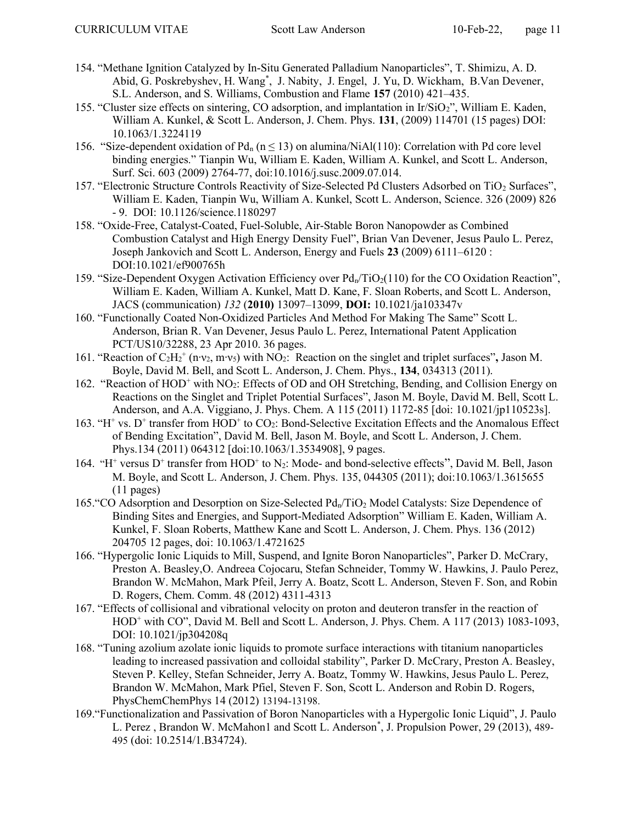- 154. "Methane Ignition Catalyzed by In-Situ Generated Palladium Nanoparticles", T. Shimizu, A. D. Abid, G. Poskrebyshev, H. Wang\* , J. Nabity, J. Engel, J. Yu, D. Wickham, B.Van Devener, S.L. Anderson, and S. Williams, Combustion and Flame 157 (2010) 421–435.
- 155. "Cluster size effects on sintering, CO adsorption, and implantation in Ir/SiO2", William E. Kaden, William A. Kunkel, & Scott L. Anderson, J. Chem. Phys. 131, (2009) 114701 (15 pages) DOI: 10.1063/1.3224119
- 156. "Size-dependent oxidation of  $Pd_n$  ( $n \le 13$ ) on alumina/NiAl(110): Correlation with Pd core level binding energies." Tianpin Wu, William E. Kaden, William A. Kunkel, and Scott L. Anderson, Surf. Sci. 603 (2009) 2764-77, doi:10.1016/j.susc.2009.07.014.
- 157. "Electronic Structure Controls Reactivity of Size-Selected Pd Clusters Adsorbed on TiO<sub>2</sub> Surfaces", William E. Kaden, Tianpin Wu, William A. Kunkel, Scott L. Anderson, Science. 326 (2009) 826 - 9. DOI: 10.1126/science.1180297
- 158. "Oxide-Free, Catalyst-Coated, Fuel-Soluble, Air-Stable Boron Nanopowder as Combined Combustion Catalyst and High Energy Density Fuel", Brian Van Devener, Jesus Paulo L. Perez, Joseph Jankovich and Scott L. Anderson, Energy and Fuels 23 (2009) 6111–6120 : DOI:10.1021/ef900765h
- 159. "Size-Dependent Oxygen Activation Efficiency over  $Pd_n/TiO_2(110)$  for the CO Oxidation Reaction", William E. Kaden, William A. Kunkel, Matt D. Kane, F. Sloan Roberts, and Scott L. Anderson, JACS (communication) 132 (2010) 13097–13099, DOI: 10.1021/ja103347v
- 160. "Functionally Coated Non-Oxidized Particles And Method For Making The Same" Scott L. Anderson, Brian R. Van Devener, Jesus Paulo L. Perez, International Patent Application PCT/US10/32288, 23 Apr 2010. 36 pages.
- 161. "Reaction of  $C_2H_2$ <sup>+</sup> (n⋅v<sub>2</sub>, m⋅v<sub>5</sub>) with NO<sub>2</sub>: Reaction on the singlet and triplet surfaces", Jason M. Boyle, David M. Bell, and Scott L. Anderson, J. Chem. Phys., 134, 034313 (2011).
- 162. "Reaction of HOD<sup>+</sup> with NO<sub>2</sub>: Effects of OD and OH Stretching, Bending, and Collision Energy on Reactions on the Singlet and Triplet Potential Surfaces", Jason M. Boyle, David M. Bell, Scott L. Anderson, and A.A. Viggiano, J. Phys. Chem. A 115 (2011) 1172-85 [doi: 10.1021/jp110523s].
- 163. "H<sup>+</sup> vs. D<sup>+</sup> transfer from HOD<sup>+</sup> to CO<sub>2</sub>: Bond-Selective Excitation Effects and the Anomalous Effect of Bending Excitation", David M. Bell, Jason M. Boyle, and Scott L. Anderson, J. Chem. Phys.134 (2011) 064312 [doi:10.1063/1.3534908], 9 pages.
- 164. "H<sup>+</sup> versus D<sup>+</sup> transfer from HOD<sup>+</sup> to N<sub>2</sub>: Mode- and bond-selective effects", David M. Bell, Jason M. Boyle, and Scott L. Anderson, J. Chem. Phys. 135, 044305 (2011); doi:10.1063/1.3615655 (11 pages)
- 165. "CO Adsorption and Desorption on Size-Selected Pd<sub>n</sub>/TiO<sub>2</sub> Model Catalysts: Size Dependence of Binding Sites and Energies, and Support-Mediated Adsorption" William E. Kaden, William A. Kunkel, F. Sloan Roberts, Matthew Kane and Scott L. Anderson, J. Chem. Phys. 136 (2012) 204705 12 pages, doi: 10.1063/1.4721625
- 166. "Hypergolic Ionic Liquids to Mill, Suspend, and Ignite Boron Nanoparticles", Parker D. McCrary, Preston A. Beasley,O. Andreea Cojocaru, Stefan Schneider, Tommy W. Hawkins, J. Paulo Perez, Brandon W. McMahon, Mark Pfeil, Jerry A. Boatz, Scott L. Anderson, Steven F. Son, and Robin D. Rogers, Chem. Comm. 48 (2012) 4311-4313
- 167. "Effects of collisional and vibrational velocity on proton and deuteron transfer in the reaction of HOD<sup>+</sup> with CO", David M. Bell and Scott L. Anderson, J. Phys. Chem. A 117 (2013) 1083-1093, DOI: 10.1021/jp304208q
- 168. "Tuning azolium azolate ionic liquids to promote surface interactions with titanium nanoparticles leading to increased passivation and colloidal stability", Parker D. McCrary, Preston A. Beasley, Steven P. Kelley, Stefan Schneider, Jerry A. Boatz, Tommy W. Hawkins, Jesus Paulo L. Perez, Brandon W. McMahon, Mark Pfiel, Steven F. Son, Scott L. Anderson and Robin D. Rogers, PhysChemChemPhys 14 (2012) 13194-13198.
- 169."Functionalization and Passivation of Boron Nanoparticles with a Hypergolic Ionic Liquid", J. Paulo L. Perez , Brandon W. McMahon1 and Scott L. Anderson\* , J. Propulsion Power, 29 (2013), 489- 495 (doi: 10.2514/1.B34724).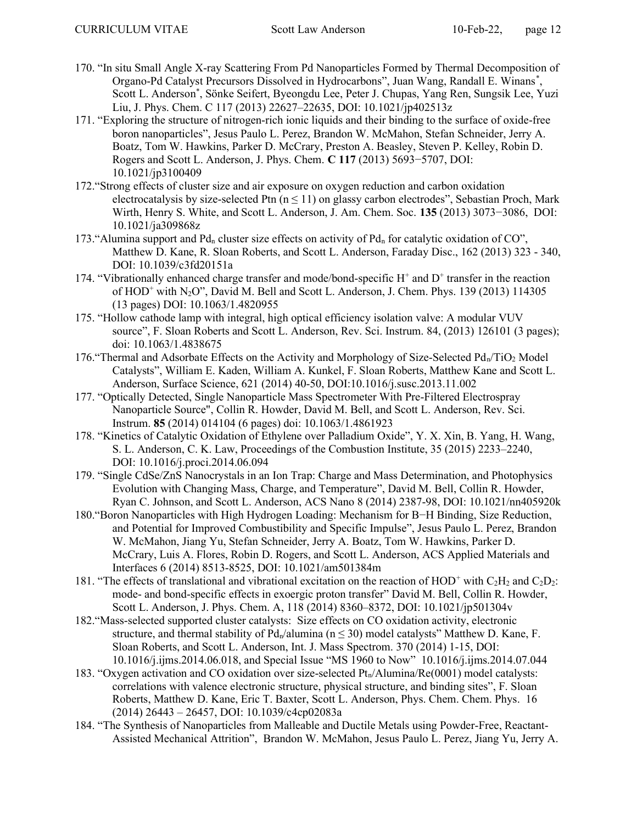- 170. "In situ Small Angle X-ray Scattering From Pd Nanoparticles Formed by Thermal Decomposition of Organo-Pd Catalyst Precursors Dissolved in Hydrocarbons", Juan Wang, Randall E. Winans\* , Scott L. Anderson\* , Sönke Seifert, Byeongdu Lee, Peter J. Chupas, Yang Ren, Sungsik Lee, Yuzi Liu, J. Phys. Chem. C 117 (2013) 22627–22635, DOI: 10.1021/jp402513z
- 171. "Exploring the structure of nitrogen-rich ionic liquids and their binding to the surface of oxide-free boron nanoparticles", Jesus Paulo L. Perez, Brandon W. McMahon, Stefan Schneider, Jerry A. Boatz, Tom W. Hawkins, Parker D. McCrary, Preston A. Beasley, Steven P. Kelley, Robin D. Rogers and Scott L. Anderson, J. Phys. Chem. C 117 (2013) 5693−5707, DOI: 10.1021/jp3100409
- 172."Strong effects of cluster size and air exposure on oxygen reduction and carbon oxidation electrocatalysis by size-selected Ptn  $(n \le 11)$  on glassy carbon electrodes", Sebastian Proch, Mark Wirth, Henry S. White, and Scott L. Anderson, J. Am. Chem. Soc. 135 (2013) 3073−3086, DOI: 10.1021/ja309868z
- 173. "Alumina support and  $Pd_n$  cluster size effects on activity of  $Pd_n$  for catalytic oxidation of CO", Matthew D. Kane, R. Sloan Roberts, and Scott L. Anderson, Faraday Disc., 162 (2013) 323 - 340, DOI: 10.1039/c3fd20151a
- 174. "Vibrationally enhanced charge transfer and mode/bond-specific  $H^+$  and  $D^+$  transfer in the reaction of HOD<sup>+</sup> with N<sub>2</sub>O", David M. Bell and Scott L. Anderson, J. Chem. Phys. 139 (2013) 114305 (13 pages) DOI: 10.1063/1.4820955
- 175. "Hollow cathode lamp with integral, high optical efficiency isolation valve: A modular VUV source", F. Sloan Roberts and Scott L. Anderson, Rev. Sci. Instrum. 84, (2013) 126101 (3 pages); doi: 10.1063/1.4838675
- 176. "Thermal and Adsorbate Effects on the Activity and Morphology of Size-Selected  $Pd_n/TiO_2$  Model Catalysts", William E. Kaden, William A. Kunkel, F. Sloan Roberts, Matthew Kane and Scott L. Anderson, Surface Science, 621 (2014) 40-50, DOI:10.1016/j.susc.2013.11.002
- 177. "Optically Detected, Single Nanoparticle Mass Spectrometer With Pre-Filtered Electrospray Nanoparticle Source", Collin R. Howder, David M. Bell, and Scott L. Anderson, Rev. Sci. Instrum. 85 (2014) 014104 (6 pages) doi: 10.1063/1.4861923
- 178. "Kinetics of Catalytic Oxidation of Ethylene over Palladium Oxide", Y. X. Xin, B. Yang, H. Wang, S. L. Anderson, C. K. Law, Proceedings of the Combustion Institute, 35 (2015) 2233–2240, DOI: 10.1016/j.proci.2014.06.094
- 179. "Single CdSe/ZnS Nanocrystals in an Ion Trap: Charge and Mass Determination, and Photophysics Evolution with Changing Mass, Charge, and Temperature", David M. Bell, Collin R. Howder, Ryan C. Johnson, and Scott L. Anderson, ACS Nano 8 (2014) 2387-98, DOI: 10.1021/nn405920k
- 180."Boron Nanoparticles with High Hydrogen Loading: Mechanism for B−H Binding, Size Reduction, and Potential for Improved Combustibility and Specific Impulse", Jesus Paulo L. Perez, Brandon W. McMahon, Jiang Yu, Stefan Schneider, Jerry A. Boatz, Tom W. Hawkins, Parker D. McCrary, Luis A. Flores, Robin D. Rogers, and Scott L. Anderson, ACS Applied Materials and Interfaces 6 (2014) 8513-8525, DOI: 10.1021/am501384m
- 181. "The effects of translational and vibrational excitation on the reaction of  $HOD^+$  with  $C_2H_2$  and  $C_2D_2$ : mode- and bond-specific effects in exoergic proton transfer" David M. Bell, Collin R. Howder, Scott L. Anderson, J. Phys. Chem. A, 118 (2014) 8360–8372, DOI: 10.1021/jp501304v
- 182."Mass-selected supported cluster catalysts: Size effects on CO oxidation activity, electronic structure, and thermal stability of  $Pd_n/a$ lumina ( $n \le 30$ ) model catalysts" Matthew D. Kane, F. Sloan Roberts, and Scott L. Anderson, Int. J. Mass Spectrom. 370 (2014) 1-15, DOI: 10.1016/j.ijms.2014.06.018, and Special Issue "MS 1960 to Now" 10.1016/j.ijms.2014.07.044
- 183. "Oxygen activation and CO oxidation over size-selected  $Pt<sub>n</sub>/Alumina/Re(0001)$  model catalysts: correlations with valence electronic structure, physical structure, and binding sites", F. Sloan Roberts, Matthew D. Kane, Eric T. Baxter, Scott L. Anderson, Phys. Chem. Chem. Phys. 16 (2014) 26443 – 26457, DOI: 10.1039/c4cp02083a
- 184. "The Synthesis of Nanoparticles from Malleable and Ductile Metals using Powder-Free, Reactant-Assisted Mechanical Attrition", Brandon W. McMahon, Jesus Paulo L. Perez, Jiang Yu, Jerry A.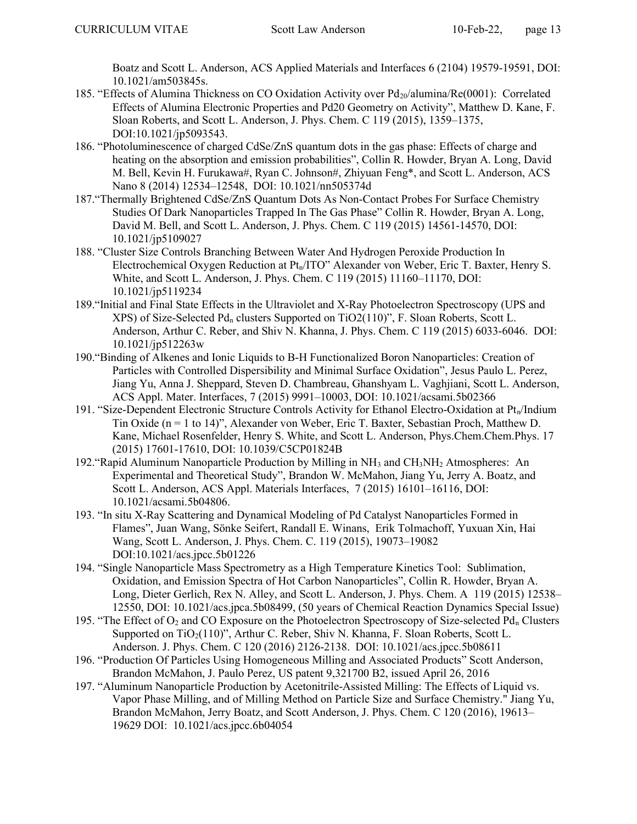Boatz and Scott L. Anderson, ACS Applied Materials and Interfaces 6 (2104) 19579-19591, DOI: 10.1021/am503845s.

- 185. "Effects of Alumina Thickness on CO Oxidation Activity over Pd<sub>20</sub>/alumina/Re(0001): Correlated Effects of Alumina Electronic Properties and Pd20 Geometry on Activity", Matthew D. Kane, F. Sloan Roberts, and Scott L. Anderson, J. Phys. Chem. C 119 (2015), 1359–1375, DOI:10.1021/jp5093543.
- 186. "Photoluminescence of charged CdSe/ZnS quantum dots in the gas phase: Effects of charge and heating on the absorption and emission probabilities", Collin R. Howder, Bryan A. Long, David M. Bell, Kevin H. Furukawa#, Ryan C. Johnson#, Zhiyuan Feng\*, and Scott L. Anderson, ACS Nano 8 (2014) 12534–12548, DOI: 10.1021/nn505374d
- 187."Thermally Brightened CdSe/ZnS Quantum Dots As Non-Contact Probes For Surface Chemistry Studies Of Dark Nanoparticles Trapped In The Gas Phase" Collin R. Howder, Bryan A. Long, David M. Bell, and Scott L. Anderson, J. Phys. Chem. C 119 (2015) 14561-14570, DOI: 10.1021/jp5109027
- 188. "Cluster Size Controls Branching Between Water And Hydrogen Peroxide Production In Electrochemical Oxygen Reduction at  $Pt_n/ITO$ " Alexander von Weber, Eric T. Baxter, Henry S. White, and Scott L. Anderson, J. Phys. Chem. C 119 (2015) 11160–11170, DOI: 10.1021/jp5119234
- 189."Initial and Final State Effects in the Ultraviolet and X-Ray Photoelectron Spectroscopy (UPS and XPS) of Size-Selected Pd<sub>n</sub> clusters Supported on  $TiO2(110)$ ", F. Sloan Roberts, Scott L. Anderson, Arthur C. Reber, and Shiv N. Khanna, J. Phys. Chem. C 119 (2015) 6033-6046. DOI: 10.1021/jp512263w
- 190."Binding of Alkenes and Ionic Liquids to B-H Functionalized Boron Nanoparticles: Creation of Particles with Controlled Dispersibility and Minimal Surface Oxidation", Jesus Paulo L. Perez, Jiang Yu, Anna J. Sheppard, Steven D. Chambreau, Ghanshyam L. Vaghjiani, Scott L. Anderson, ACS Appl. Mater. Interfaces, 7 (2015) 9991–10003, DOI: 10.1021/acsami.5b02366
- 191. "Size-Dependent Electronic Structure Controls Activity for Ethanol Electro-Oxidation at Pt<sub>n</sub>/Indium Tin Oxide (n = 1 to 14)", Alexander von Weber, Eric T. Baxter, Sebastian Proch, Matthew D. Kane, Michael Rosenfelder, Henry S. White, and Scott L. Anderson, Phys.Chem.Chem.Phys. 17 (2015) 17601-17610, DOI: 10.1039/C5CP01824B
- 192. "Rapid Aluminum Nanoparticle Production by Milling in  $NH<sub>3</sub>$  and  $CH<sub>3</sub>NH<sub>2</sub>$  Atmospheres: An Experimental and Theoretical Study", Brandon W. McMahon, Jiang Yu, Jerry A. Boatz, and Scott L. Anderson, ACS Appl. Materials Interfaces, 7 (2015) 16101–16116, DOI: 10.1021/acsami.5b04806.
- 193. "In situ X-Ray Scattering and Dynamical Modeling of Pd Catalyst Nanoparticles Formed in Flames", Juan Wang, Sönke Seifert, Randall E. Winans, Erik Tolmachoff, Yuxuan Xin, Hai Wang, Scott L. Anderson, J. Phys. Chem. C. 119 (2015), 19073–19082 DOI:10.1021/acs.jpcc.5b01226
- 194. "Single Nanoparticle Mass Spectrometry as a High Temperature Kinetics Tool: Sublimation, Oxidation, and Emission Spectra of Hot Carbon Nanoparticles", Collin R. Howder, Bryan A. Long, Dieter Gerlich, Rex N. Alley, and Scott L. Anderson, J. Phys. Chem. A 119 (2015) 12538– 12550, DOI: 10.1021/acs.jpca.5b08499, (50 years of Chemical Reaction Dynamics Special Issue)
- 195. "The Effect of  $O_2$  and CO Exposure on the Photoelectron Spectroscopy of Size-selected Pd<sub>n</sub> Clusters Supported on TiO<sub>2</sub>(110)", Arthur C. Reber, Shiv N. Khanna, F. Sloan Roberts, Scott L. Anderson. J. Phys. Chem. C 120 (2016) 2126-2138. DOI: 10.1021/acs.jpcc.5b08611
- 196. "Production Of Particles Using Homogeneous Milling and Associated Products" Scott Anderson, Brandon McMahon, J. Paulo Perez, US patent 9,321700 B2, issued April 26, 2016
- 197. "Aluminum Nanoparticle Production by Acetonitrile-Assisted Milling: The Effects of Liquid vs. Vapor Phase Milling, and of Milling Method on Particle Size and Surface Chemistry." Jiang Yu, Brandon McMahon, Jerry Boatz, and Scott Anderson, J. Phys. Chem. C 120 (2016), 19613– 19629 DOI: 10.1021/acs.jpcc.6b04054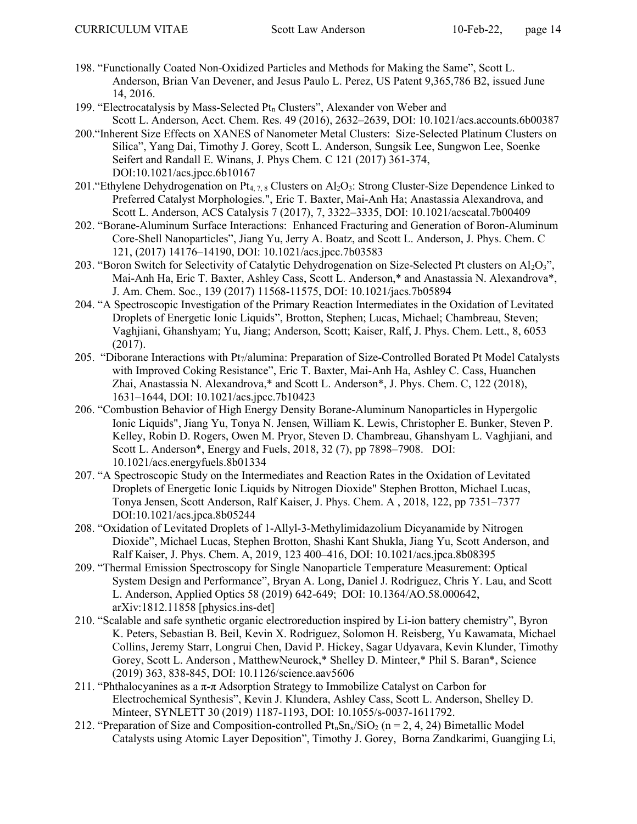- 198. "Functionally Coated Non-Oxidized Particles and Methods for Making the Same", Scott L. Anderson, Brian Van Devener, and Jesus Paulo L. Perez, US Patent 9,365,786 B2, issued June 14, 2016.
- 199. "Electrocatalysis by Mass-Selected Pt<sub>n</sub> Clusters", Alexander von Weber and Scott L. Anderson, Acct. Chem. Res. 49 (2016), 2632–2639, DOI: 10.1021/acs.accounts.6b00387
- 200."Inherent Size Effects on XANES of Nanometer Metal Clusters: Size-Selected Platinum Clusters on Silica", Yang Dai, Timothy J. Gorey, Scott L. Anderson, Sungsik Lee, Sungwon Lee, Soenke Seifert and Randall E. Winans, J. Phys Chem. C 121 (2017) 361-374, DOI:10.1021/acs.jpcc.6b10167
- 201. "Ethylene Dehydrogenation on Pt<sub>4, 7,8</sub> Clusters on Al<sub>2</sub>O<sub>3</sub>: Strong Cluster-Size Dependence Linked to Preferred Catalyst Morphologies.", Eric T. Baxter, Mai-Anh Ha; Anastassia Alexandrova, and Scott L. Anderson, ACS Catalysis 7 (2017), 7, 3322–3335, DOI: 10.1021/acscatal.7b00409
- 202. "Borane-Aluminum Surface Interactions: Enhanced Fracturing and Generation of Boron-Aluminum Core-Shell Nanoparticles", Jiang Yu, Jerry A. Boatz, and Scott L. Anderson, J. Phys. Chem. C 121, (2017) 14176–14190, DOI: 10.1021/acs.jpcc.7b03583
- 203. "Boron Switch for Selectivity of Catalytic Dehydrogenation on Size-Selected Pt clusters on  $Al_2O_3$ ", Mai-Anh Ha, Eric T. Baxter, Ashley Cass, Scott L. Anderson,\* and Anastassia N. Alexandrova\*, J. Am. Chem. Soc., 139 (2017) 11568-11575, DOI: 10.1021/jacs.7b05894
- 204. "A Spectroscopic Investigation of the Primary Reaction Intermediates in the Oxidation of Levitated Droplets of Energetic Ionic Liquids", Brotton, Stephen; Lucas, Michael; Chambreau, Steven; Vaghjiani, Ghanshyam; Yu, Jiang; Anderson, Scott; Kaiser, Ralf, J. Phys. Chem. Lett., 8, 6053 (2017).
- 205. "Diborane Interactions with Pt7/alumina: Preparation of Size-Controlled Borated Pt Model Catalysts with Improved Coking Resistance", Eric T. Baxter, Mai-Anh Ha, Ashley C. Cass, Huanchen Zhai, Anastassia N. Alexandrova,\* and Scott L. Anderson\*, J. Phys. Chem. C, 122 (2018), 1631–1644, DOI: 10.1021/acs.jpcc.7b10423
- 206. "Combustion Behavior of High Energy Density Borane-Aluminum Nanoparticles in Hypergolic Ionic Liquids", Jiang Yu, Tonya N. Jensen, William K. Lewis, Christopher E. Bunker, Steven P. Kelley, Robin D. Rogers, Owen M. Pryor, Steven D. Chambreau, Ghanshyam L. Vaghjiani, and Scott L. Anderson\*, Energy and Fuels, 2018, 32 (7), pp 7898–7908. DOI: 10.1021/acs.energyfuels.8b01334
- 207. "A Spectroscopic Study on the Intermediates and Reaction Rates in the Oxidation of Levitated Droplets of Energetic Ionic Liquids by Nitrogen Dioxide" Stephen Brotton, Michael Lucas, Tonya Jensen, Scott Anderson, Ralf Kaiser, J. Phys. Chem. A , 2018, 122, pp 7351–7377 DOI:10.1021/acs.jpca.8b05244
- 208. "Oxidation of Levitated Droplets of 1-Allyl-3-Methylimidazolium Dicyanamide by Nitrogen Dioxide", Michael Lucas, Stephen Brotton, Shashi Kant Shukla, Jiang Yu, Scott Anderson, and Ralf Kaiser, J. Phys. Chem. A, 2019, 123 400–416, DOI: 10.1021/acs.jpca.8b08395
- 209. "Thermal Emission Spectroscopy for Single Nanoparticle Temperature Measurement: Optical System Design and Performance", Bryan A. Long, Daniel J. Rodriguez, Chris Y. Lau, and Scott L. Anderson, Applied Optics 58 (2019) 642-649; DOI: 10.1364/AO.58.000642, arXiv:1812.11858 [physics.ins-det]
- 210. "Scalable and safe synthetic organic electroreduction inspired by Li-ion battery chemistry", Byron K. Peters, Sebastian B. Beil, Kevin X. Rodriguez, Solomon H. Reisberg, Yu Kawamata, Michael Collins, Jeremy Starr, Longrui Chen, David P. Hickey, Sagar Udyavara, Kevin Klunder, Timothy Gorey, Scott L. Anderson , MatthewNeurock,\* Shelley D. Minteer,\* Phil S. Baran\*, Science (2019) 363, 838-845, DOI: 10.1126/science.aav5606
- 211. "Phthalocyanines as a  $\pi$ - $\pi$  Adsorption Strategy to Immobilize Catalyst on Carbon for Electrochemical Synthesis", Kevin J. Klundera, Ashley Cass, Scott L. Anderson, Shelley D. Minteer, SYNLETT 30 (2019) 1187-1193, DOI: 10.1055/s-0037-1611792.
- 212. "Preparation of Size and Composition-controlled  $Pt_nSn_x/SiO_2$  (n = 2, 4, 24) Bimetallic Model Catalysts using Atomic Layer Deposition", Timothy J. Gorey, Borna Zandkarimi, Guangjing Li,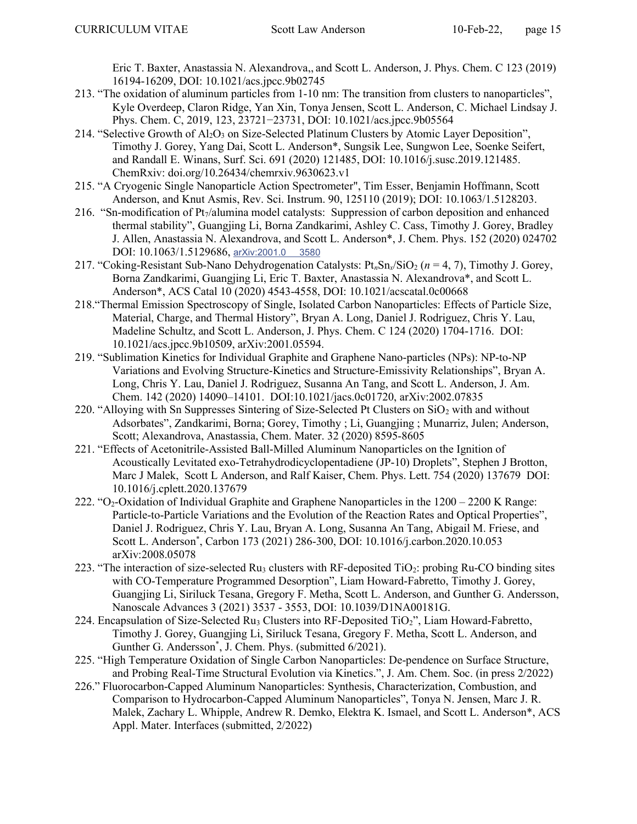Eric T. Baxter, Anastassia N. Alexandrova,, and Scott L. Anderson, J. Phys. Chem. C 123 (2019) 16194-16209, DOI: 10.1021/acs.jpcc.9b02745

- 213. "The oxidation of aluminum particles from 1-10 nm: The transition from clusters to nanoparticles", Kyle Overdeep, Claron Ridge, Yan Xin, Tonya Jensen, Scott L. Anderson, C. Michael Lindsay J. Phys. Chem. C, 2019, 123, 23721−23731, DOI: 10.1021/acs.jpcc.9b05564
- 214. "Selective Growth of  $Al_2O_3$  on Size-Selected Platinum Clusters by Atomic Layer Deposition", Timothy J. Gorey, Yang Dai, Scott L. Anderson\*, Sungsik Lee, Sungwon Lee, Soenke Seifert, and Randall E. Winans, Surf. Sci. 691 (2020) 121485, DOI: 10.1016/j.susc.2019.121485. ChemRxiv: doi.org/10.26434/chemrxiv.9630623.v1
- 215. "A Cryogenic Single Nanoparticle Action Spectrometer", Tim Esser, Benjamin Hoffmann, Scott Anderson, and Knut Asmis, Rev. Sci. Instrum. 90, 125110 (2019); DOI: 10.1063/1.5128203.
- 216. "Sn-modification of Pt7/alumina model catalysts: Suppression of carbon deposition and enhanced thermal stability", Guangjing Li, Borna Zandkarimi, Ashley C. Cass, Timothy J. Gorey, Bradley J. Allen, Anastassia N. Alexandrova, and Scott L. Anderson\*, J. Chem. Phys. 152 (2020) 024702 DOI: 10.1063/1.5129686, arXiv:2001.0 3580
- 217. "Coking-Resistant Sub-Nano Dehydrogenation Catalysts:  $Pt_nSn_x/SiO_2$  ( $n = 4, 7$ ), Timothy J. Gorey, Borna Zandkarimi, Guangjing Li, Eric T. Baxter, Anastassia N. Alexandrova\*, and Scott L. Anderson\*, ACS Catal 10 (2020) 4543-4558, DOI: 10.1021/acscatal.0c00668
- 218."Thermal Emission Spectroscopy of Single, Isolated Carbon Nanoparticles: Effects of Particle Size, Material, Charge, and Thermal History", Bryan A. Long, Daniel J. Rodriguez, Chris Y. Lau, Madeline Schultz, and Scott L. Anderson, J. Phys. Chem. C 124 (2020) 1704-1716. DOI: 10.1021/acs.jpcc.9b10509, arXiv:2001.05594.
- 219. "Sublimation Kinetics for Individual Graphite and Graphene Nano-particles (NPs): NP-to-NP Variations and Evolving Structure-Kinetics and Structure-Emissivity Relationships", Bryan A. Long, Chris Y. Lau, Daniel J. Rodriguez, Susanna An Tang, and Scott L. Anderson, J. Am. Chem. 142 (2020) 14090–14101. DOI:10.1021/jacs.0c01720, arXiv:2002.07835
- 220. "Alloying with Sn Suppresses Sintering of Size-Selected Pt Clusters on  $SiO<sub>2</sub>$  with and without Adsorbates", Zandkarimi, Borna; Gorey, Timothy ; Li, Guangjing ; Munarriz, Julen; Anderson, Scott; Alexandrova, Anastassia, Chem. Mater. 32 (2020) 8595-8605
- 221. "Effects of Acetonitrile-Assisted Ball-Milled Aluminum Nanoparticles on the Ignition of Acoustically Levitated exo-Tetrahydrodicyclopentadiene (JP-10) Droplets", Stephen J Brotton, Marc J Malek, Scott L Anderson, and Ralf Kaiser, Chem. Phys. Lett. 754 (2020) 137679 DOI: 10.1016/j.cplett.2020.137679
- 222. "O2-Oxidation of Individual Graphite and Graphene Nanoparticles in the 1200 2200 K Range: Particle-to-Particle Variations and the Evolution of the Reaction Rates and Optical Properties", Daniel J. Rodriguez, Chris Y. Lau, Bryan A. Long, Susanna An Tang, Abigail M. Friese, and Scott L. Anderson\* , Carbon 173 (2021) 286-300, DOI: 10.1016/j.carbon.2020.10.053 arXiv:2008.05078
- 223. "The interaction of size-selected  $Ru_3$  clusters with RF-deposited TiO<sub>2</sub>: probing Ru-CO binding sites with CO-Temperature Programmed Desorption", Liam Howard-Fabretto, Timothy J. Gorey, Guangjing Li, Siriluck Tesana, Gregory F. Metha, Scott L. Anderson, and Gunther G. Andersson, Nanoscale Advances 3 (2021) 3537 - 3553, DOI: 10.1039/D1NA00181G.
- 224. Encapsulation of Size-Selected Ru<sub>3</sub> Clusters into RF-Deposited TiO<sub>2</sub>", Liam Howard-Fabretto, Timothy J. Gorey, Guangjing Li, Siriluck Tesana, Gregory F. Metha, Scott L. Anderson, and Gunther G. Andersson<sup>\*</sup>, J. Chem. Phys. (submitted 6/2021).
- 225. "High Temperature Oxidation of Single Carbon Nanoparticles: De-pendence on Surface Structure, and Probing Real-Time Structural Evolution via Kinetics.", J. Am. Chem. Soc. (in press 2/2022)
- 226." Fluorocarbon-Capped Aluminum Nanoparticles: Synthesis, Characterization, Combustion, and Comparison to Hydrocarbon-Capped Aluminum Nanoparticles", Tonya N. Jensen, Marc J. R. Malek, Zachary L. Whipple, Andrew R. Demko, Elektra K. Ismael, and Scott L. Anderson\*, ACS Appl. Mater. Interfaces (submitted, 2/2022)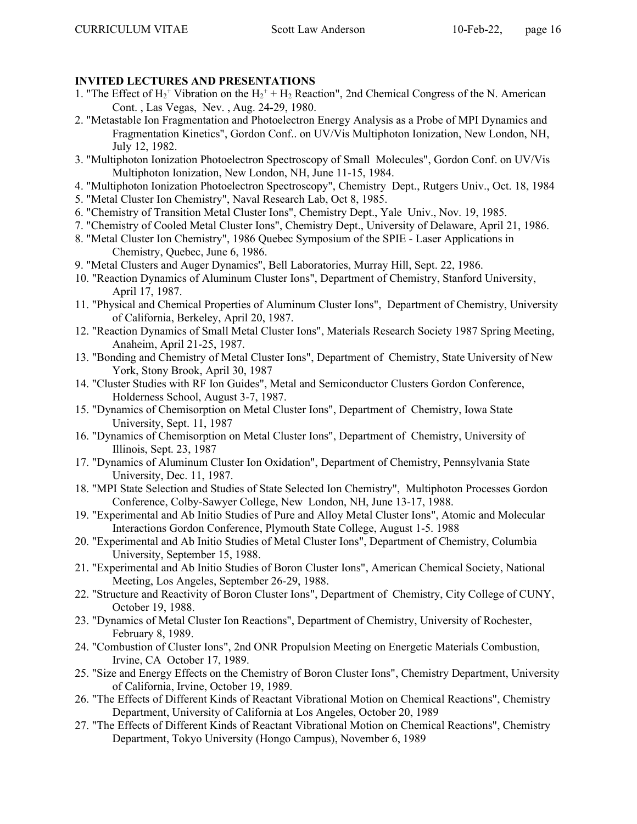# INVITED LECTURES AND PRESENTATIONS

- 1. "The Effect of  $H_2^+$  Vibration on the  $H_2^+$  +  $H_2$  Reaction", 2nd Chemical Congress of the N. American Cont. , Las Vegas, Nev. , Aug. 24-29, 1980.
- 2. "Metastable Ion Fragmentation and Photoelectron Energy Analysis as a Probe of MPI Dynamics and Fragmentation Kinetics", Gordon Conf.. on UV/Vis Multiphoton Ionization, New London, NH, July 12, 1982.
- 3. "Multiphoton Ionization Photoelectron Spectroscopy of Small Molecules", Gordon Conf. on UV/Vis Multiphoton Ionization, New London, NH, June 11-15, 1984.
- 4. "Multiphoton Ionization Photoelectron Spectroscopy", Chemistry Dept., Rutgers Univ., Oct. 18, 1984
- 5. "Metal Cluster Ion Chemistry", Naval Research Lab, Oct 8, 1985.
- 6. "Chemistry of Transition Metal Cluster Ions", Chemistry Dept., Yale Univ., Nov. 19, 1985.
- 7. "Chemistry of Cooled Metal Cluster Ions", Chemistry Dept., University of Delaware, April 21, 1986.
- 8. "Metal Cluster Ion Chemistry", 1986 Quebec Symposium of the SPIE Laser Applications in Chemistry, Quebec, June 6, 1986.
- 9. "Metal Clusters and Auger Dynamics", Bell Laboratories, Murray Hill, Sept. 22, 1986.
- 10. "Reaction Dynamics of Aluminum Cluster Ions", Department of Chemistry, Stanford University, April 17, 1987.
- 11. "Physical and Chemical Properties of Aluminum Cluster Ions", Department of Chemistry, University of California, Berkeley, April 20, 1987.
- 12. "Reaction Dynamics of Small Metal Cluster Ions", Materials Research Society 1987 Spring Meeting, Anaheim, April 21-25, 1987.
- 13. "Bonding and Chemistry of Metal Cluster Ions", Department of Chemistry, State University of New York, Stony Brook, April 30, 1987
- 14. "Cluster Studies with RF Ion Guides", Metal and Semiconductor Clusters Gordon Conference, Holderness School, August 3-7, 1987.
- 15. "Dynamics of Chemisorption on Metal Cluster Ions", Department of Chemistry, Iowa State University, Sept. 11, 1987
- 16. "Dynamics of Chemisorption on Metal Cluster Ions", Department of Chemistry, University of Illinois, Sept. 23, 1987
- 17. "Dynamics of Aluminum Cluster Ion Oxidation", Department of Chemistry, Pennsylvania State University, Dec. 11, 1987.
- 18. "MPI State Selection and Studies of State Selected Ion Chemistry", Multiphoton Processes Gordon Conference, Colby-Sawyer College, New London, NH, June 13-17, 1988.
- 19. "Experimental and Ab Initio Studies of Pure and Alloy Metal Cluster Ions", Atomic and Molecular Interactions Gordon Conference, Plymouth State College, August 1-5. 1988
- 20. "Experimental and Ab Initio Studies of Metal Cluster Ions", Department of Chemistry, Columbia University, September 15, 1988.
- 21. "Experimental and Ab Initio Studies of Boron Cluster Ions", American Chemical Society, National Meeting, Los Angeles, September 26-29, 1988.
- 22. "Structure and Reactivity of Boron Cluster Ions", Department of Chemistry, City College of CUNY, October 19, 1988.
- 23. "Dynamics of Metal Cluster Ion Reactions", Department of Chemistry, University of Rochester, February 8, 1989.
- 24. "Combustion of Cluster Ions", 2nd ONR Propulsion Meeting on Energetic Materials Combustion, Irvine, CA October 17, 1989.
- 25. "Size and Energy Effects on the Chemistry of Boron Cluster Ions", Chemistry Department, University of California, Irvine, October 19, 1989.
- 26. "The Effects of Different Kinds of Reactant Vibrational Motion on Chemical Reactions", Chemistry Department, University of California at Los Angeles, October 20, 1989
- 27. "The Effects of Different Kinds of Reactant Vibrational Motion on Chemical Reactions", Chemistry Department, Tokyo University (Hongo Campus), November 6, 1989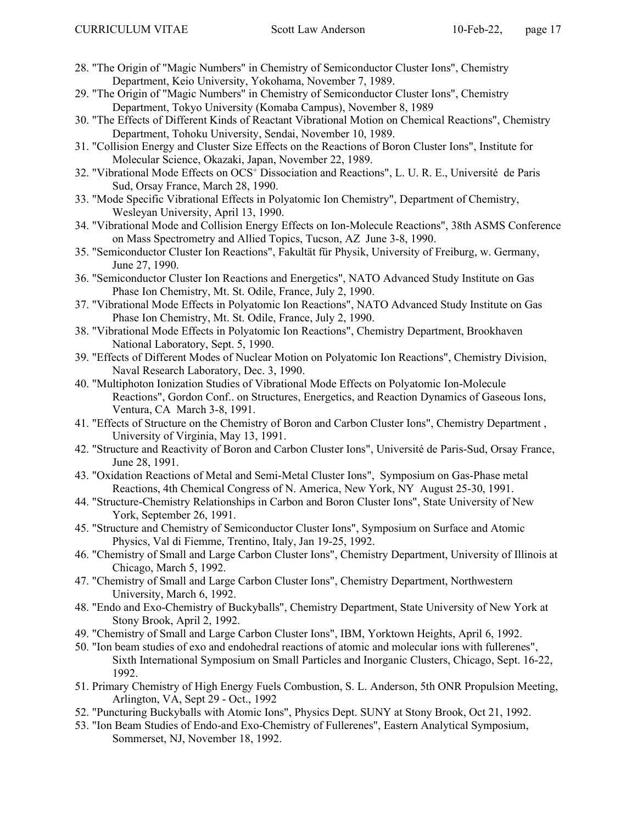- 28. "The Origin of "Magic Numbers" in Chemistry of Semiconductor Cluster Ions", Chemistry Department, Keio University, Yokohama, November 7, 1989.
- 29. "The Origin of "Magic Numbers" in Chemistry of Semiconductor Cluster Ions", Chemistry Department, Tokyo University (Komaba Campus), November 8, 1989
- 30. "The Effects of Different Kinds of Reactant Vibrational Motion on Chemical Reactions", Chemistry Department, Tohoku University, Sendai, November 10, 1989.
- 31. "Collision Energy and Cluster Size Effects on the Reactions of Boron Cluster Ions", Institute for Molecular Science, Okazaki, Japan, November 22, 1989.
- 32. "Vibrational Mode Effects on OCS<sup>+</sup> Dissociation and Reactions", L. U. R. E., Université de Paris Sud, Orsay France, March 28, 1990.
- 33. "Mode Specific Vibrational Effects in Polyatomic Ion Chemistry", Department of Chemistry, Wesleyan University, April 13, 1990.
- 34. "Vibrational Mode and Collision Energy Effects on Ion-Molecule Reactions", 38th ASMS Conference on Mass Spectrometry and Allied Topics, Tucson, AZ June 3-8, 1990.
- 35. "Semiconductor Cluster Ion Reactions", Fakultät für Physik, University of Freiburg, w. Germany, June 27, 1990.
- 36. "Semiconductor Cluster Ion Reactions and Energetics", NATO Advanced Study Institute on Gas Phase Ion Chemistry, Mt. St. Odile, France, July 2, 1990.
- 37. "Vibrational Mode Effects in Polyatomic Ion Reactions", NATO Advanced Study Institute on Gas Phase Ion Chemistry, Mt. St. Odile, France, July 2, 1990.
- 38. "Vibrational Mode Effects in Polyatomic Ion Reactions", Chemistry Department, Brookhaven National Laboratory, Sept. 5, 1990.
- 39. "Effects of Different Modes of Nuclear Motion on Polyatomic Ion Reactions", Chemistry Division, Naval Research Laboratory, Dec. 3, 1990.
- 40. "Multiphoton Ionization Studies of Vibrational Mode Effects on Polyatomic Ion-Molecule Reactions", Gordon Conf.. on Structures, Energetics, and Reaction Dynamics of Gaseous Ions, Ventura, CA March 3-8, 1991.
- 41. "Effects of Structure on the Chemistry of Boron and Carbon Cluster Ions", Chemistry Department , University of Virginia, May 13, 1991.
- 42. "Structure and Reactivity of Boron and Carbon Cluster Ions", Université de Paris-Sud, Orsay France, June 28, 1991.
- 43. "Oxidation Reactions of Metal and Semi-Metal Cluster Ions", Symposium on Gas-Phase metal Reactions, 4th Chemical Congress of N. America, New York, NY August 25-30, 1991.
- 44. "Structure-Chemistry Relationships in Carbon and Boron Cluster Ions", State University of New York, September 26, 1991.
- 45. "Structure and Chemistry of Semiconductor Cluster Ions", Symposium on Surface and Atomic Physics, Val di Fiemme, Trentino, Italy, Jan 19-25, 1992.
- 46. "Chemistry of Small and Large Carbon Cluster Ions", Chemistry Department, University of Illinois at Chicago, March 5, 1992.
- 47. "Chemistry of Small and Large Carbon Cluster Ions", Chemistry Department, Northwestern University, March 6, 1992.
- 48. "Endo and Exo-Chemistry of Buckyballs", Chemistry Department, State University of New York at Stony Brook, April 2, 1992.
- 49. "Chemistry of Small and Large Carbon Cluster Ions", IBM, Yorktown Heights, April 6, 1992.
- 50. "Ion beam studies of exo and endohedral reactions of atomic and molecular ions with fullerenes", Sixth International Symposium on Small Particles and Inorganic Clusters, Chicago, Sept. 16-22, 1992.
- 51. Primary Chemistry of High Energy Fuels Combustion, S. L. Anderson, 5th ONR Propulsion Meeting, Arlington, VA, Sept 29 - Oct., 1992
- 52. "Puncturing Buckyballs with Atomic Ions", Physics Dept. SUNY at Stony Brook, Oct 21, 1992.
- 53. "Ion Beam Studies of Endo-and Exo-Chemistry of Fullerenes", Eastern Analytical Symposium, Sommerset, NJ, November 18, 1992.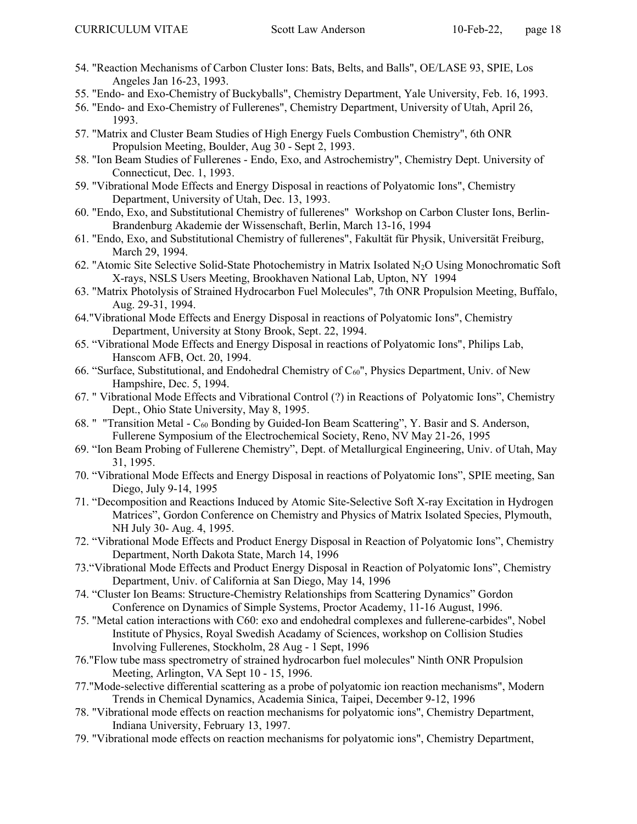- 54. "Reaction Mechanisms of Carbon Cluster Ions: Bats, Belts, and Balls", OE/LASE 93, SPIE, Los Angeles Jan 16-23, 1993.
- 55. "Endo- and Exo-Chemistry of Buckyballs", Chemistry Department, Yale University, Feb. 16, 1993.
- 56. "Endo- and Exo-Chemistry of Fullerenes", Chemistry Department, University of Utah, April 26, 1993.
- 57. "Matrix and Cluster Beam Studies of High Energy Fuels Combustion Chemistry", 6th ONR Propulsion Meeting, Boulder, Aug 30 - Sept 2, 1993.
- 58. "Ion Beam Studies of Fullerenes Endo, Exo, and Astrochemistry", Chemistry Dept. University of Connecticut, Dec. 1, 1993.
- 59. "Vibrational Mode Effects and Energy Disposal in reactions of Polyatomic Ions", Chemistry Department, University of Utah, Dec. 13, 1993.
- 60. "Endo, Exo, and Substitutional Chemistry of fullerenes" Workshop on Carbon Cluster Ions, Berlin-Brandenburg Akademie der Wissenschaft, Berlin, March 13-16, 1994
- 61. "Endo, Exo, and Substitutional Chemistry of fullerenes", Fakultät für Physik, Universität Freiburg, March 29, 1994.
- 62. "Atomic Site Selective Solid-State Photochemistry in Matrix Isolated N2O Using Monochromatic Soft X-rays, NSLS Users Meeting, Brookhaven National Lab, Upton, NY 1994
- 63. "Matrix Photolysis of Strained Hydrocarbon Fuel Molecules", 7th ONR Propulsion Meeting, Buffalo, Aug. 29-31, 1994.
- 64."Vibrational Mode Effects and Energy Disposal in reactions of Polyatomic Ions", Chemistry Department, University at Stony Brook, Sept. 22, 1994.
- 65. "Vibrational Mode Effects and Energy Disposal in reactions of Polyatomic Ions", Philips Lab, Hanscom AFB, Oct. 20, 1994.
- 66. "Surface, Substitutional, and Endohedral Chemistry of  $C_{60}$ ", Physics Department, Univ. of New Hampshire, Dec. 5, 1994.
- 67. " Vibrational Mode Effects and Vibrational Control (?) in Reactions of Polyatomic Ions", Chemistry Dept., Ohio State University, May 8, 1995.
- 68. " "Transition Metal C<sub>60</sub> Bonding by Guided-Ion Beam Scattering", Y. Basir and S. Anderson, Fullerene Symposium of the Electrochemical Society, Reno, NV May 21-26, 1995
- 69. "Ion Beam Probing of Fullerene Chemistry", Dept. of Metallurgical Engineering, Univ. of Utah, May 31, 1995.
- 70. "Vibrational Mode Effects and Energy Disposal in reactions of Polyatomic Ions", SPIE meeting, San Diego, July 9-14, 1995
- 71. "Decomposition and Reactions Induced by Atomic Site-Selective Soft X-ray Excitation in Hydrogen Matrices", Gordon Conference on Chemistry and Physics of Matrix Isolated Species, Plymouth, NH July 30- Aug. 4, 1995.
- 72. "Vibrational Mode Effects and Product Energy Disposal in Reaction of Polyatomic Ions", Chemistry Department, North Dakota State, March 14, 1996
- 73."Vibrational Mode Effects and Product Energy Disposal in Reaction of Polyatomic Ions", Chemistry Department, Univ. of California at San Diego, May 14, 1996
- 74. "Cluster Ion Beams: Structure-Chemistry Relationships from Scattering Dynamics" Gordon Conference on Dynamics of Simple Systems, Proctor Academy, 11-16 August, 1996.
- 75. "Metal cation interactions with C60: exo and endohedral complexes and fullerene-carbides", Nobel Institute of Physics, Royal Swedish Acadamy of Sciences, workshop on Collision Studies Involving Fullerenes, Stockholm, 28 Aug - 1 Sept, 1996
- 76."Flow tube mass spectrometry of strained hydrocarbon fuel molecules" Ninth ONR Propulsion Meeting, Arlington, VA Sept 10 - 15, 1996.
- 77."Mode-selective differential scattering as a probe of polyatomic ion reaction mechanisms", Modern Trends in Chemical Dynamics, Academia Sinica, Taipei, December 9-12, 1996
- 78. "Vibrational mode effects on reaction mechanisms for polyatomic ions", Chemistry Department, Indiana University, February 13, 1997.
- 79. "Vibrational mode effects on reaction mechanisms for polyatomic ions", Chemistry Department,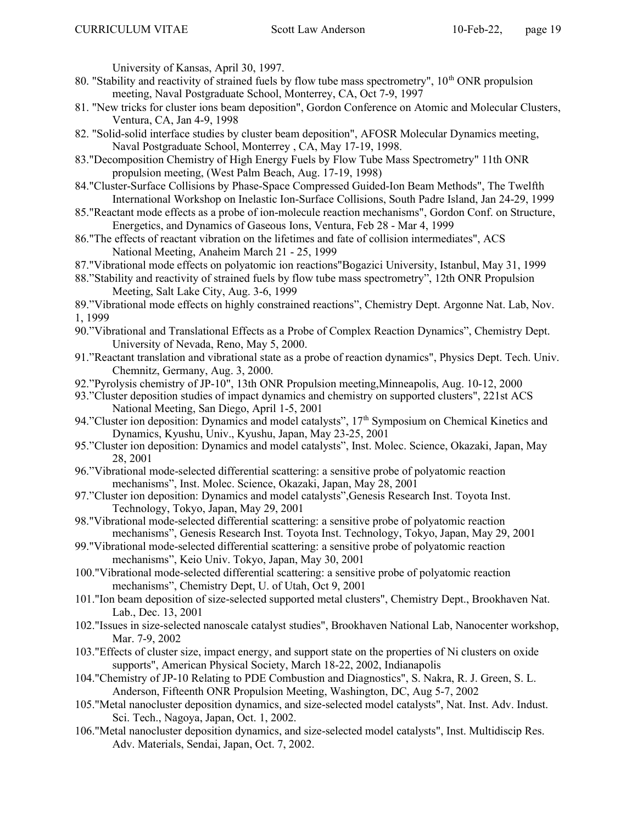University of Kansas, April 30, 1997.

- 80. "Stability and reactivity of strained fuels by flow tube mass spectrometry", 10<sup>th</sup> ONR propulsion meeting, Naval Postgraduate School, Monterrey, CA, Oct 7-9, 1997
- 81. "New tricks for cluster ions beam deposition", Gordon Conference on Atomic and Molecular Clusters, Ventura, CA, Jan 4-9, 1998
- 82. "Solid-solid interface studies by cluster beam deposition", AFOSR Molecular Dynamics meeting, Naval Postgraduate School, Monterrey , CA, May 17-19, 1998.
- 83."Decomposition Chemistry of High Energy Fuels by Flow Tube Mass Spectrometry" 11th ONR propulsion meeting, (West Palm Beach, Aug. 17-19, 1998)
- 84."Cluster-Surface Collisions by Phase-Space Compressed Guided-Ion Beam Methods", The Twelfth International Workshop on Inelastic Ion-Surface Collisions, South Padre Island, Jan 24-29, 1999
- 85."Reactant mode effects as a probe of ion-molecule reaction mechanisms", Gordon Conf. on Structure, Energetics, and Dynamics of Gaseous Ions, Ventura, Feb 28 - Mar 4, 1999
- 86."The effects of reactant vibration on the lifetimes and fate of collision intermediates", ACS National Meeting, Anaheim March 21 - 25, 1999
- 87."Vibrational mode effects on polyatomic ion reactions"Bogazici University, Istanbul, May 31, 1999
- 88."Stability and reactivity of strained fuels by flow tube mass spectrometry", 12th ONR Propulsion Meeting, Salt Lake City, Aug. 3-6, 1999
- 89."Vibrational mode effects on highly constrained reactions", Chemistry Dept. Argonne Nat. Lab, Nov. 1, 1999
- 90."Vibrational and Translational Effects as a Probe of Complex Reaction Dynamics", Chemistry Dept. University of Nevada, Reno, May 5, 2000.
- 91."Reactant translation and vibrational state as a probe of reaction dynamics", Physics Dept. Tech. Univ. Chemnitz, Germany, Aug. 3, 2000.
- 92."Pyrolysis chemistry of JP-10", 13th ONR Propulsion meeting,Minneapolis, Aug. 10-12, 2000
- 93."Cluster deposition studies of impact dynamics and chemistry on supported clusters", 221st ACS National Meeting, San Diego, April 1-5, 2001
- 94."Cluster ion deposition: Dynamics and model catalysts", 17<sup>th</sup> Symposium on Chemical Kinetics and Dynamics, Kyushu, Univ., Kyushu, Japan, May 23-25, 2001
- 95."Cluster ion deposition: Dynamics and model catalysts", Inst. Molec. Science, Okazaki, Japan, May 28, 2001
- 96."Vibrational mode-selected differential scattering: a sensitive probe of polyatomic reaction mechanisms", Inst. Molec. Science, Okazaki, Japan, May 28, 2001
- 97."Cluster ion deposition: Dynamics and model catalysts",Genesis Research Inst. Toyota Inst. Technology, Tokyo, Japan, May 29, 2001
- 98."Vibrational mode-selected differential scattering: a sensitive probe of polyatomic reaction mechanisms", Genesis Research Inst. Toyota Inst. Technology, Tokyo, Japan, May 29, 2001
- 99."Vibrational mode-selected differential scattering: a sensitive probe of polyatomic reaction mechanisms", Keio Univ. Tokyo, Japan, May 30, 2001
- 100."Vibrational mode-selected differential scattering: a sensitive probe of polyatomic reaction mechanisms", Chemistry Dept, U. of Utah, Oct 9, 2001
- 101."Ion beam deposition of size-selected supported metal clusters", Chemistry Dept., Brookhaven Nat. Lab., Dec. 13, 2001
- 102."Issues in size-selected nanoscale catalyst studies", Brookhaven National Lab, Nanocenter workshop, Mar. 7-9, 2002
- 103."Effects of cluster size, impact energy, and support state on the properties of Ni clusters on oxide supports", American Physical Society, March 18-22, 2002, Indianapolis
- 104."Chemistry of JP-10 Relating to PDE Combustion and Diagnostics", S. Nakra, R. J. Green, S. L. Anderson, Fifteenth ONR Propulsion Meeting, Washington, DC, Aug 5-7, 2002
- 105."Metal nanocluster deposition dynamics, and size-selected model catalysts", Nat. Inst. Adv. Indust. Sci. Tech., Nagoya, Japan, Oct. 1, 2002.
- 106."Metal nanocluster deposition dynamics, and size-selected model catalysts", Inst. Multidiscip Res. Adv. Materials, Sendai, Japan, Oct. 7, 2002.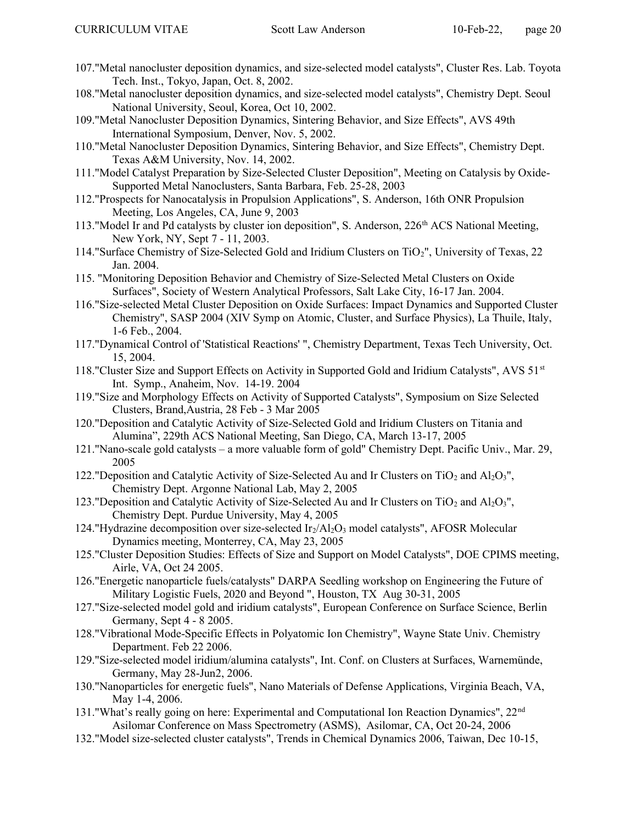- 107."Metal nanocluster deposition dynamics, and size-selected model catalysts", Cluster Res. Lab. Toyota Tech. Inst., Tokyo, Japan, Oct. 8, 2002.
- 108."Metal nanocluster deposition dynamics, and size-selected model catalysts", Chemistry Dept. Seoul National University, Seoul, Korea, Oct 10, 2002.
- 109."Metal Nanocluster Deposition Dynamics, Sintering Behavior, and Size Effects", AVS 49th International Symposium, Denver, Nov. 5, 2002.
- 110."Metal Nanocluster Deposition Dynamics, Sintering Behavior, and Size Effects", Chemistry Dept. Texas A&M University, Nov. 14, 2002.
- 111."Model Catalyst Preparation by Size-Selected Cluster Deposition", Meeting on Catalysis by Oxide-Supported Metal Nanoclusters, Santa Barbara, Feb. 25-28, 2003
- 112."Prospects for Nanocatalysis in Propulsion Applications", S. Anderson, 16th ONR Propulsion Meeting, Los Angeles, CA, June 9, 2003
- 113."Model Ir and Pd catalysts by cluster ion deposition", S. Anderson,  $226<sup>th</sup>$  ACS National Meeting, New York, NY, Sept 7 - 11, 2003.
- 114."Surface Chemistry of Size-Selected Gold and Iridium Clusters on TiO2", University of Texas, 22 Jan. 2004.
- 115. "Monitoring Deposition Behavior and Chemistry of Size-Selected Metal Clusters on Oxide Surfaces", Society of Western Analytical Professors, Salt Lake City, 16-17 Jan. 2004.
- 116."Size-selected Metal Cluster Deposition on Oxide Surfaces: Impact Dynamics and Supported Cluster Chemistry", SASP 2004 (XIV Symp on Atomic, Cluster, and Surface Physics), La Thuile, Italy, 1-6 Feb., 2004.
- 117."Dynamical Control of 'Statistical Reactions' ", Chemistry Department, Texas Tech University, Oct. 15, 2004.
- 118."Cluster Size and Support Effects on Activity in Supported Gold and Iridium Catalysts", AVS 51<sup>st</sup> Int. Symp., Anaheim, Nov. 14-19. 2004
- 119."Size and Morphology Effects on Activity of Supported Catalysts", Symposium on Size Selected Clusters, Brand,Austria, 28 Feb - 3 Mar 2005
- 120."Deposition and Catalytic Activity of Size-Selected Gold and Iridium Clusters on Titania and Alumina", 229th ACS National Meeting, San Diego, CA, March 13-17, 2005
- 121."Nano-scale gold catalysts a more valuable form of gold" Chemistry Dept. Pacific Univ., Mar. 29, 2005
- 122."Deposition and Catalytic Activity of Size-Selected Au and Ir Clusters on TiO<sub>2</sub> and Al<sub>2</sub>O<sub>3</sub>", Chemistry Dept. Argonne National Lab, May 2, 2005
- 123."Deposition and Catalytic Activity of Size-Selected Au and Ir Clusters on TiO<sub>2</sub> and Al<sub>2</sub>O<sub>3</sub>", Chemistry Dept. Purdue University, May 4, 2005
- 124."Hydrazine decomposition over size-selected  $Ir_2/Al_2O_3$  model catalysts", AFOSR Molecular Dynamics meeting, Monterrey, CA, May 23, 2005
- 125."Cluster Deposition Studies: Effects of Size and Support on Model Catalysts", DOE CPIMS meeting, Airle, VA, Oct 24 2005.
- 126."Energetic nanoparticle fuels/catalysts" DARPA Seedling workshop on Engineering the Future of Military Logistic Fuels, 2020 and Beyond ", Houston, TX Aug 30-31, 2005
- 127."Size-selected model gold and iridium catalysts", European Conference on Surface Science, Berlin Germany, Sept 4 - 8 2005.
- 128."Vibrational Mode-Specific Effects in Polyatomic Ion Chemistry", Wayne State Univ. Chemistry Department. Feb 22 2006.
- 129."Size-selected model iridium/alumina catalysts", Int. Conf. on Clusters at Surfaces, Warnemünde, Germany, May 28-Jun2, 2006.
- 130."Nanoparticles for energetic fuels", Nano Materials of Defense Applications, Virginia Beach, VA, May 1-4, 2006.
- 131."What's really going on here: Experimental and Computational Ion Reaction Dynamics", 22<sup>nd</sup> Asilomar Conference on Mass Spectrometry (ASMS), Asilomar, CA, Oct 20-24, 2006
- 132."Model size-selected cluster catalysts", Trends in Chemical Dynamics 2006, Taiwan, Dec 10-15,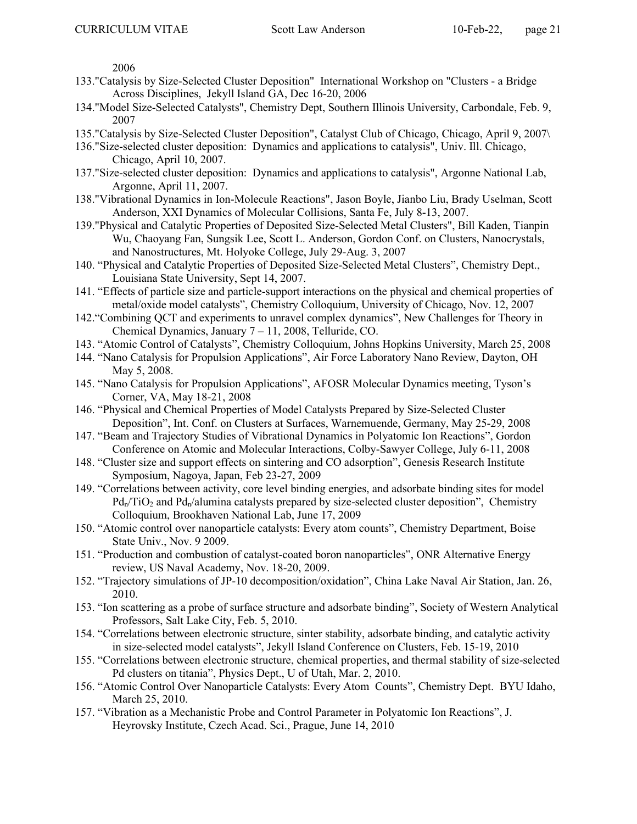2006

- 133."Catalysis by Size-Selected Cluster Deposition" International Workshop on "Clusters a Bridge Across Disciplines, Jekyll Island GA, Dec 16-20, 2006
- 134."Model Size-Selected Catalysts", Chemistry Dept, Southern Illinois University, Carbondale, Feb. 9, 2007
- 135."Catalysis by Size-Selected Cluster Deposition", Catalyst Club of Chicago, Chicago, April 9, 2007\
- 136."Size-selected cluster deposition: Dynamics and applications to catalysis", Univ. Ill. Chicago, Chicago, April 10, 2007.
- 137."Size-selected cluster deposition: Dynamics and applications to catalysis", Argonne National Lab, Argonne, April 11, 2007.
- 138."Vibrational Dynamics in Ion-Molecule Reactions", Jason Boyle, Jianbo Liu, Brady Uselman, Scott Anderson, XXI Dynamics of Molecular Collisions, Santa Fe, July 8-13, 2007.
- 139."Physical and Catalytic Properties of Deposited Size-Selected Metal Clusters", Bill Kaden, Tianpin Wu, Chaoyang Fan, Sungsik Lee, Scott L. Anderson, Gordon Conf. on Clusters, Nanocrystals, and Nanostructures, Mt. Holyoke College, July 29-Aug. 3, 2007
- 140. "Physical and Catalytic Properties of Deposited Size-Selected Metal Clusters", Chemistry Dept., Louisiana State University, Sept 14, 2007.
- 141. "Effects of particle size and particle-support interactions on the physical and chemical properties of metal/oxide model catalysts", Chemistry Colloquium, University of Chicago, Nov. 12, 2007
- 142."Combining QCT and experiments to unravel complex dynamics", New Challenges for Theory in Chemical Dynamics, January 7 – 11, 2008, Telluride, CO.
- 143. "Atomic Control of Catalysts", Chemistry Colloquium, Johns Hopkins University, March 25, 2008
- 144. "Nano Catalysis for Propulsion Applications", Air Force Laboratory Nano Review, Dayton, OH May 5, 2008.
- 145. "Nano Catalysis for Propulsion Applications", AFOSR Molecular Dynamics meeting, Tyson's Corner, VA, May 18-21, 2008
- 146. "Physical and Chemical Properties of Model Catalysts Prepared by Size-Selected Cluster Deposition", Int. Conf. on Clusters at Surfaces, Warnemuende, Germany, May 25-29, 2008
- 147. "Beam and Trajectory Studies of Vibrational Dynamics in Polyatomic Ion Reactions", Gordon Conference on Atomic and Molecular Interactions, Colby-Sawyer College, July 6-11, 2008
- 148. "Cluster size and support effects on sintering and CO adsorption", Genesis Research Institute Symposium, Nagoya, Japan, Feb 23-27, 2009
- 149. "Correlations between activity, core level binding energies, and adsorbate binding sites for model  $Pd_n/TiO_2$  and  $Pd_n/a$ lumina catalysts prepared by size-selected cluster deposition", Chemistry Colloquium, Brookhaven National Lab, June 17, 2009
- 150. "Atomic control over nanoparticle catalysts: Every atom counts", Chemistry Department, Boise State Univ., Nov. 9 2009.
- 151. "Production and combustion of catalyst-coated boron nanoparticles", ONR Alternative Energy review, US Naval Academy, Nov. 18-20, 2009.
- 152. "Trajectory simulations of JP-10 decomposition/oxidation", China Lake Naval Air Station, Jan. 26, 2010.
- 153. "Ion scattering as a probe of surface structure and adsorbate binding", Society of Western Analytical Professors, Salt Lake City, Feb. 5, 2010.
- 154. "Correlations between electronic structure, sinter stability, adsorbate binding, and catalytic activity in size-selected model catalysts", Jekyll Island Conference on Clusters, Feb. 15-19, 2010
- 155. "Correlations between electronic structure, chemical properties, and thermal stability of size-selected Pd clusters on titania", Physics Dept., U of Utah, Mar. 2, 2010.
- 156. "Atomic Control Over Nanoparticle Catalysts: Every Atom Counts", Chemistry Dept. BYU Idaho, March 25, 2010.
- 157. "Vibration as a Mechanistic Probe and Control Parameter in Polyatomic Ion Reactions", J. Heyrovsky Institute, Czech Acad. Sci., Prague, June 14, 2010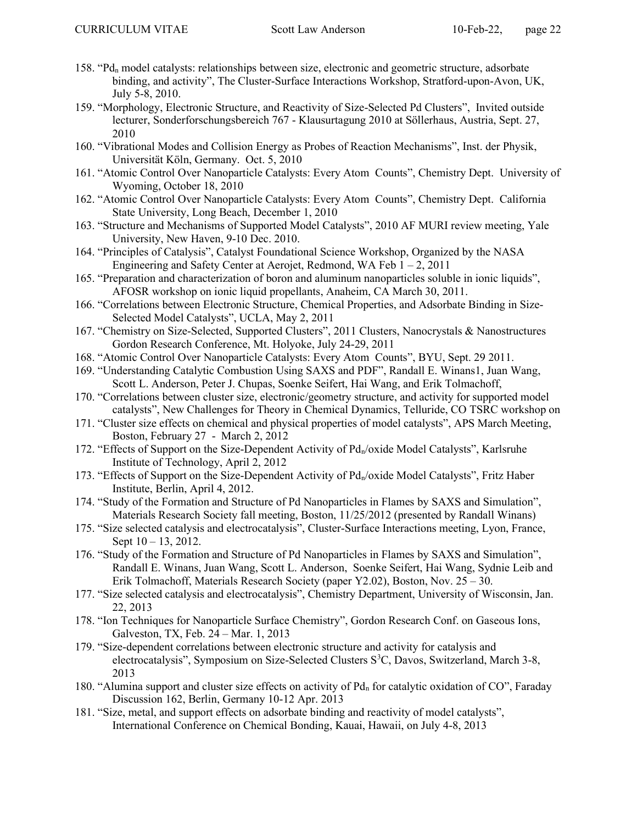- 158. "Pdn model catalysts: relationships between size, electronic and geometric structure, adsorbate binding, and activity", The Cluster-Surface Interactions Workshop, Stratford-upon-Avon, UK, July 5-8, 2010.
- 159. "Morphology, Electronic Structure, and Reactivity of Size-Selected Pd Clusters", Invited outside lecturer, Sonderforschungsbereich 767 - Klausurtagung 2010 at Söllerhaus, Austria, Sept. 27, 2010
- 160. "Vibrational Modes and Collision Energy as Probes of Reaction Mechanisms", Inst. der Physik, Universität Köln, Germany. Oct. 5, 2010
- 161. "Atomic Control Over Nanoparticle Catalysts: Every Atom Counts", Chemistry Dept. University of Wyoming, October 18, 2010
- 162. "Atomic Control Over Nanoparticle Catalysts: Every Atom Counts", Chemistry Dept. California State University, Long Beach, December 1, 2010
- 163. "Structure and Mechanisms of Supported Model Catalysts", 2010 AF MURI review meeting, Yale University, New Haven, 9-10 Dec. 2010.
- 164. "Principles of Catalysis", Catalyst Foundational Science Workshop, Organized by the NASA Engineering and Safety Center at Aerojet, Redmond, WA Feb  $1 - 2$ , 2011
- 165. "Preparation and characterization of boron and aluminum nanoparticles soluble in ionic liquids", AFOSR workshop on ionic liquid propellants, Anaheim, CA March 30, 2011.
- 166. "Correlations between Electronic Structure, Chemical Properties, and Adsorbate Binding in Size-Selected Model Catalysts", UCLA, May 2, 2011
- 167. "Chemistry on Size-Selected, Supported Clusters", 2011 Clusters, Nanocrystals & Nanostructures Gordon Research Conference, Mt. Holyoke, July 24-29, 2011
- 168. "Atomic Control Over Nanoparticle Catalysts: Every Atom Counts", BYU, Sept. 29 2011.
- 169. "Understanding Catalytic Combustion Using SAXS and PDF", Randall E. Winans1, Juan Wang, Scott L. Anderson, Peter J. Chupas, Soenke Seifert, Hai Wang, and Erik Tolmachoff,
- 170. "Correlations between cluster size, electronic/geometry structure, and activity for supported model catalysts", New Challenges for Theory in Chemical Dynamics, Telluride, CO TSRC workshop on
- 171. "Cluster size effects on chemical and physical properties of model catalysts", APS March Meeting, Boston, February 27 - March 2, 2012
- 172. "Effects of Support on the Size-Dependent Activity of  $Pd_n$ /oxide Model Catalysts", Karlsruhe Institute of Technology, April 2, 2012
- 173. "Effects of Support on the Size-Dependent Activity of Pd<sub>n</sub>/oxide Model Catalysts", Fritz Haber Institute, Berlin, April 4, 2012.
- 174. "Study of the Formation and Structure of Pd Nanoparticles in Flames by SAXS and Simulation", Materials Research Society fall meeting, Boston, 11/25/2012 (presented by Randall Winans)
- 175. "Size selected catalysis and electrocatalysis", Cluster-Surface Interactions meeting, Lyon, France, Sept  $10 - 13$ , 2012.
- 176. "Study of the Formation and Structure of Pd Nanoparticles in Flames by SAXS and Simulation", Randall E. Winans, Juan Wang, Scott L. Anderson, Soenke Seifert, Hai Wang, Sydnie Leib and Erik Tolmachoff, Materials Research Society (paper Y2.02), Boston, Nov. 25 – 30.
- 177. "Size selected catalysis and electrocatalysis", Chemistry Department, University of Wisconsin, Jan. 22, 2013
- 178. "Ion Techniques for Nanoparticle Surface Chemistry", Gordon Research Conf. on Gaseous Ions, Galveston, TX, Feb. 24 – Mar. 1, 2013
- 179. "Size-dependent correlations between electronic structure and activity for catalysis and electrocatalysis", Symposium on Size-Selected Clusters S<sup>3</sup>C, Davos, Switzerland, March 3-8, 2013
- 180. "Alumina support and cluster size effects on activity of  $Pd_n$  for catalytic oxidation of CO", Faraday Discussion 162, Berlin, Germany 10-12 Apr. 2013
- 181. "Size, metal, and support effects on adsorbate binding and reactivity of model catalysts", International Conference on Chemical Bonding, Kauai, Hawaii, on July 4-8, 2013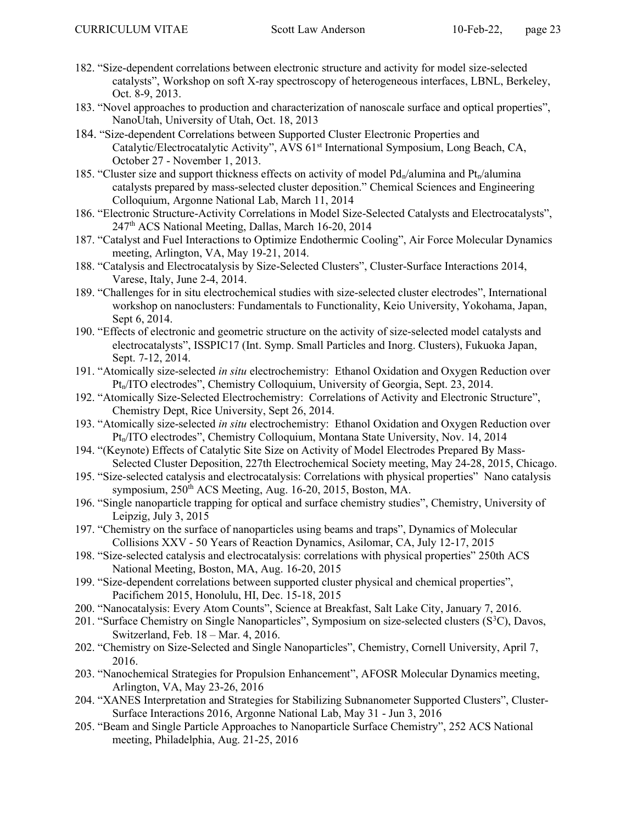- 182. "Size-dependent correlations between electronic structure and activity for model size-selected catalysts", Workshop on soft X-ray spectroscopy of heterogeneous interfaces, LBNL, Berkeley, Oct. 8-9, 2013.
- 183. "Novel approaches to production and characterization of nanoscale surface and optical properties", NanoUtah, University of Utah, Oct. 18, 2013
- 184. "Size-dependent Correlations between Supported Cluster Electronic Properties and Catalytic/Electrocatalytic Activity", AVS 61<sup>st</sup> International Symposium, Long Beach, CA, October 27 - November 1, 2013.
- 185. "Cluster size and support thickness effects on activity of model  $Pd_n/a$ lumina and  $Pt_n/a$ lumina catalysts prepared by mass-selected cluster deposition." Chemical Sciences and Engineering Colloquium, Argonne National Lab, March 11, 2014
- 186. "Electronic Structure-Activity Correlations in Model Size-Selected Catalysts and Electrocatalysts", 247th ACS National Meeting, Dallas, March 16-20, 2014
- 187. "Catalyst and Fuel Interactions to Optimize Endothermic Cooling", Air Force Molecular Dynamics meeting, Arlington, VA, May 19-21, 2014.
- 188. "Catalysis and Electrocatalysis by Size-Selected Clusters", Cluster-Surface Interactions 2014, Varese, Italy, June 2-4, 2014.
- 189. "Challenges for in situ electrochemical studies with size-selected cluster electrodes", International workshop on nanoclusters: Fundamentals to Functionality, Keio University, Yokohama, Japan, Sept 6, 2014.
- 190. "Effects of electronic and geometric structure on the activity of size-selected model catalysts and electrocatalysts", ISSPIC17 (Int. Symp. Small Particles and Inorg. Clusters), Fukuoka Japan, Sept. 7-12, 2014.
- 191. "Atomically size-selected in situ electrochemistry: Ethanol Oxidation and Oxygen Reduction over Pt<sub>n</sub>/ITO electrodes", Chemistry Colloquium, University of Georgia, Sept. 23, 2014.
- 192. "Atomically Size-Selected Electrochemistry: Correlations of Activity and Electronic Structure", Chemistry Dept, Rice University, Sept 26, 2014.
- 193. "Atomically size-selected in situ electrochemistry: Ethanol Oxidation and Oxygen Reduction over Pt<sub>n</sub>/ITO electrodes", Chemistry Colloquium, Montana State University, Nov. 14, 2014
- 194. "(Keynote) Effects of Catalytic Site Size on Activity of Model Electrodes Prepared By Mass-Selected Cluster Deposition, 227th Electrochemical Society meeting, May 24-28, 2015, Chicago.
- 195. "Size-selected catalysis and electrocatalysis: Correlations with physical properties" Nano catalysis symposium, 250<sup>th</sup> ACS Meeting, Aug. 16-20, 2015, Boston, MA.
- 196. "Single nanoparticle trapping for optical and surface chemistry studies", Chemistry, University of Leipzig, July 3, 2015
- 197. "Chemistry on the surface of nanoparticles using beams and traps", Dynamics of Molecular Collisions XXV - 50 Years of Reaction Dynamics, Asilomar, CA, July 12-17, 2015
- 198. "Size-selected catalysis and electrocatalysis: correlations with physical properties" 250th ACS National Meeting, Boston, MA, Aug. 16-20, 2015
- 199. "Size-dependent correlations between supported cluster physical and chemical properties", Pacifichem 2015, Honolulu, HI, Dec. 15-18, 2015
- 200. "Nanocatalysis: Every Atom Counts", Science at Breakfast, Salt Lake City, January 7, 2016.
- 201. "Surface Chemistry on Single Nanoparticles", Symposium on size-selected clusters (S<sup>3</sup>C), Davos, Switzerland, Feb. 18 – Mar. 4, 2016.
- 202. "Chemistry on Size-Selected and Single Nanoparticles", Chemistry, Cornell University, April 7, 2016.
- 203. "Nanochemical Strategies for Propulsion Enhancement", AFOSR Molecular Dynamics meeting, Arlington, VA, May 23-26, 2016
- 204. "XANES Interpretation and Strategies for Stabilizing Subnanometer Supported Clusters", Cluster-Surface Interactions 2016, Argonne National Lab, May 31 - Jun 3, 2016
- 205. "Beam and Single Particle Approaches to Nanoparticle Surface Chemistry", 252 ACS National meeting, Philadelphia, Aug. 21-25, 2016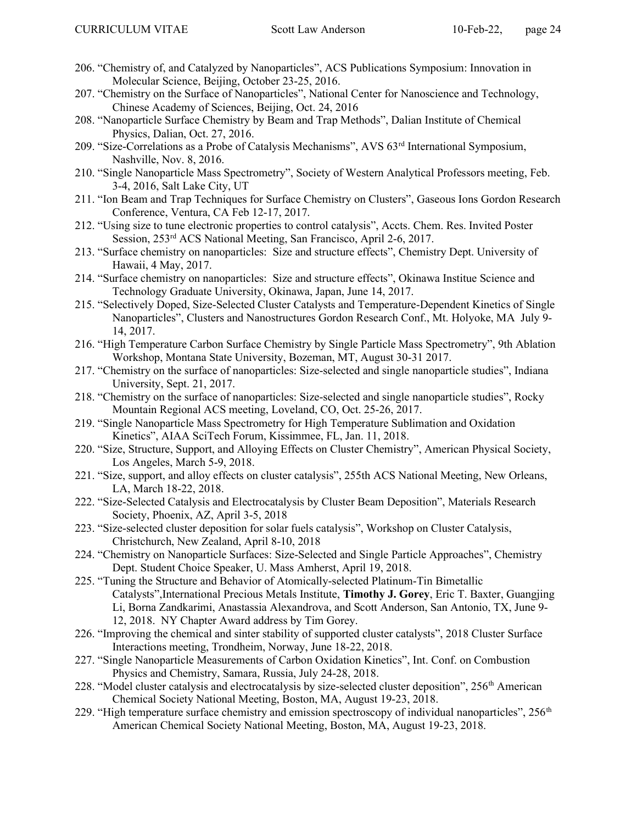- 206. "Chemistry of, and Catalyzed by Nanoparticles", ACS Publications Symposium: Innovation in Molecular Science, Beijing, October 23-25, 2016.
- 207. "Chemistry on the Surface of Nanoparticles", National Center for Nanoscience and Technology, Chinese Academy of Sciences, Beijing, Oct. 24, 2016
- 208. "Nanoparticle Surface Chemistry by Beam and Trap Methods", Dalian Institute of Chemical Physics, Dalian, Oct. 27, 2016.
- 209. "Size-Correlations as a Probe of Catalysis Mechanisms", AVS 63rd International Symposium, Nashville, Nov. 8, 2016.
- 210. "Single Nanoparticle Mass Spectrometry", Society of Western Analytical Professors meeting, Feb. 3-4, 2016, Salt Lake City, UT
- 211. "Ion Beam and Trap Techniques for Surface Chemistry on Clusters", Gaseous Ions Gordon Research Conference, Ventura, CA Feb 12-17, 2017.
- 212. "Using size to tune electronic properties to control catalysis", Accts. Chem. Res. Invited Poster Session, 253rd ACS National Meeting, San Francisco, April 2-6, 2017.
- 213. "Surface chemistry on nanoparticles: Size and structure effects", Chemistry Dept. University of Hawaii, 4 May, 2017.
- 214. "Surface chemistry on nanoparticles: Size and structure effects", Okinawa Institue Science and Technology Graduate University, Okinawa, Japan, June 14, 2017.
- 215. "Selectively Doped, Size-Selected Cluster Catalysts and Temperature-Dependent Kinetics of Single Nanoparticles", Clusters and Nanostructures Gordon Research Conf., Mt. Holyoke, MA July 9- 14, 2017.
- 216. "High Temperature Carbon Surface Chemistry by Single Particle Mass Spectrometry", 9th Ablation Workshop, Montana State University, Bozeman, MT, August 30-31 2017.
- 217. "Chemistry on the surface of nanoparticles: Size-selected and single nanoparticle studies", Indiana University, Sept. 21, 2017.
- 218. "Chemistry on the surface of nanoparticles: Size-selected and single nanoparticle studies", Rocky Mountain Regional ACS meeting, Loveland, CO, Oct. 25-26, 2017.
- 219. "Single Nanoparticle Mass Spectrometry for High Temperature Sublimation and Oxidation Kinetics", AIAA SciTech Forum, Kissimmee, FL, Jan. 11, 2018.
- 220. "Size, Structure, Support, and Alloying Effects on Cluster Chemistry", American Physical Society, Los Angeles, March 5-9, 2018.
- 221. "Size, support, and alloy effects on cluster catalysis", 255th ACS National Meeting, New Orleans, LA, March 18-22, 2018.
- 222. "Size-Selected Catalysis and Electrocatalysis by Cluster Beam Deposition", Materials Research Society, Phoenix, AZ, April 3-5, 2018
- 223. "Size-selected cluster deposition for solar fuels catalysis", Workshop on Cluster Catalysis, Christchurch, New Zealand, April 8-10, 2018
- 224. "Chemistry on Nanoparticle Surfaces: Size-Selected and Single Particle Approaches", Chemistry Dept. Student Choice Speaker, U. Mass Amherst, April 19, 2018.
- 225. "Tuning the Structure and Behavior of Atomically-selected Platinum-Tin Bimetallic Catalysts",International Precious Metals Institute, Timothy J. Gorey, Eric T. Baxter, Guangjing Li, Borna Zandkarimi, Anastassia Alexandrova, and Scott Anderson, San Antonio, TX, June 9- 12, 2018. NY Chapter Award address by Tim Gorey.
- 226. "Improving the chemical and sinter stability of supported cluster catalysts", 2018 Cluster Surface Interactions meeting, Trondheim, Norway, June 18-22, 2018.
- 227. "Single Nanoparticle Measurements of Carbon Oxidation Kinetics", Int. Conf. on Combustion Physics and Chemistry, Samara, Russia, July 24-28, 2018.
- 228. "Model cluster catalysis and electrocatalysis by size-selected cluster deposition", 256<sup>th</sup> American Chemical Society National Meeting, Boston, MA, August 19-23, 2018.
- 229. "High temperature surface chemistry and emission spectroscopy of individual nanoparticles", 256<sup>th</sup> American Chemical Society National Meeting, Boston, MA, August 19-23, 2018.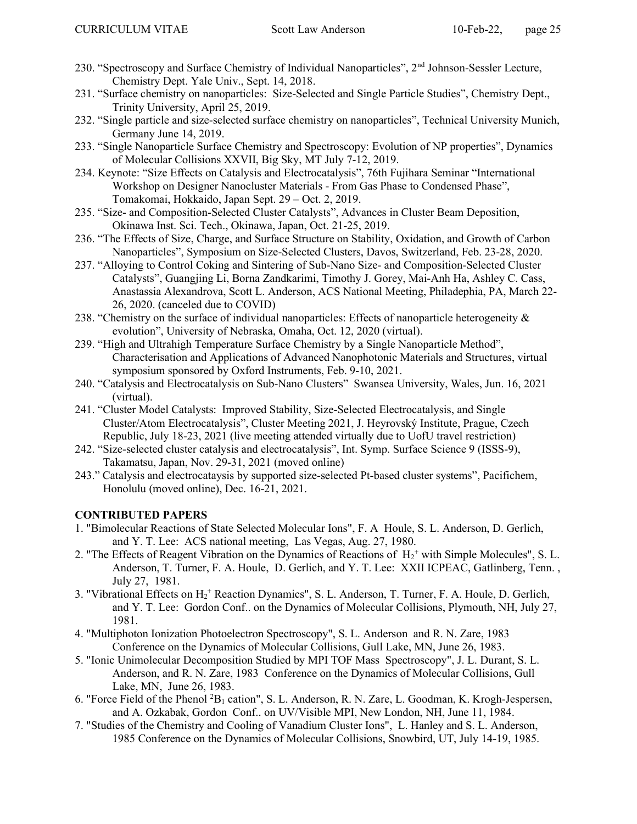- 230. "Spectroscopy and Surface Chemistry of Individual Nanoparticles", 2<sup>nd</sup> Johnson-Sessler Lecture, Chemistry Dept. Yale Univ., Sept. 14, 2018.
- 231. "Surface chemistry on nanoparticles: Size-Selected and Single Particle Studies", Chemistry Dept., Trinity University, April 25, 2019.
- 232. "Single particle and size-selected surface chemistry on nanoparticles", Technical University Munich, Germany June 14, 2019.
- 233. "Single Nanoparticle Surface Chemistry and Spectroscopy: Evolution of NP properties", Dynamics of Molecular Collisions XXVII, Big Sky, MT July 7-12, 2019.
- 234. Keynote: "Size Effects on Catalysis and Electrocatalysis", 76th Fujihara Seminar "International Workshop on Designer Nanocluster Materials - From Gas Phase to Condensed Phase", Tomakomai, Hokkaido, Japan Sept. 29 – Oct. 2, 2019.
- 235. "Size- and Composition-Selected Cluster Catalysts", Advances in Cluster Beam Deposition, Okinawa Inst. Sci. Tech., Okinawa, Japan, Oct. 21-25, 2019.
- 236. "The Effects of Size, Charge, and Surface Structure on Stability, Oxidation, and Growth of Carbon Nanoparticles", Symposium on Size-Selected Clusters, Davos, Switzerland, Feb. 23-28, 2020.
- 237. "Alloying to Control Coking and Sintering of Sub-Nano Size- and Composition-Selected Cluster Catalysts", Guangjing Li, Borna Zandkarimi, Timothy J. Gorey, Mai-Anh Ha, Ashley C. Cass, Anastassia Alexandrova, Scott L. Anderson, ACS National Meeting, Philadephia, PA, March 22- 26, 2020. (canceled due to COVID)
- 238. "Chemistry on the surface of individual nanoparticles: Effects of nanoparticle heterogeneity & evolution", University of Nebraska, Omaha, Oct. 12, 2020 (virtual).
- 239. "High and Ultrahigh Temperature Surface Chemistry by a Single Nanoparticle Method", Characterisation and Applications of Advanced Nanophotonic Materials and Structures, virtual symposium sponsored by Oxford Instruments, Feb. 9-10, 2021.
- 240. "Catalysis and Electrocatalysis on Sub-Nano Clusters" Swansea University, Wales, Jun. 16, 2021 (virtual).
- 241. "Cluster Model Catalysts: Improved Stability, Size-Selected Electrocatalysis, and Single Cluster/Atom Electrocatalysis", Cluster Meeting 2021, J. Heyrovský Institute, Prague, Czech Republic, July 18-23, 2021 (live meeting attended virtually due to UofU travel restriction)
- 242. "Size-selected cluster catalysis and electrocatalysis", Int. Symp. Surface Science 9 (ISSS-9), Takamatsu, Japan, Nov. 29-31, 2021 (moved online)
- 243." Catalysis and electrocataysis by supported size-selected Pt-based cluster systems", Pacifichem, Honolulu (moved online), Dec. 16-21, 2021.

# CONTRIBUTED PAPERS

- 1. "Bimolecular Reactions of State Selected Molecular Ions", F. A Houle, S. L. Anderson, D. Gerlich, and Y. T. Lee: ACS national meeting, Las Vegas, Aug. 27, 1980.
- 2. "The Effects of Reagent Vibration on the Dynamics of Reactions of  $H_2^+$  with Simple Molecules", S. L. Anderson, T. Turner, F. A. Houle, D. Gerlich, and Y. T. Lee: XXII ICPEAC, Gatlinberg, Tenn., July 27, 1981.
- 3. "Vibrational Effects on  $H_2$ <sup>+</sup> Reaction Dynamics", S. L. Anderson, T. Turner, F. A. Houle, D. Gerlich, and Y. T. Lee: Gordon Conf.. on the Dynamics of Molecular Collisions, Plymouth, NH, July 27, 1981.
- 4. "Multiphoton Ionization Photoelectron Spectroscopy", S. L. Anderson and R. N. Zare, 1983 Conference on the Dynamics of Molecular Collisions, Gull Lake, MN, June 26, 1983.
- 5. "Ionic Unimolecular Decomposition Studied by MPI TOF Mass Spectroscopy", J. L. Durant, S. L. Anderson, and R. N. Zare, 1983 Conference on the Dynamics of Molecular Collisions, Gull Lake, MN, June 26, 1983.
- 6. "Force Field of the Phenol <sup>2</sup>B<sub>1</sub> cation", S. L. Anderson, R. N. Zare, L. Goodman, K. Krogh-Jespersen, and A. Ozkabak, Gordon Conf.. on UV/Visible MPI, New London, NH, June 11, 1984.
- 7. "Studies of the Chemistry and Cooling of Vanadium Cluster Ions", L. Hanley and S. L. Anderson, 1985 Conference on the Dynamics of Molecular Collisions, Snowbird, UT, July 14-19, 1985.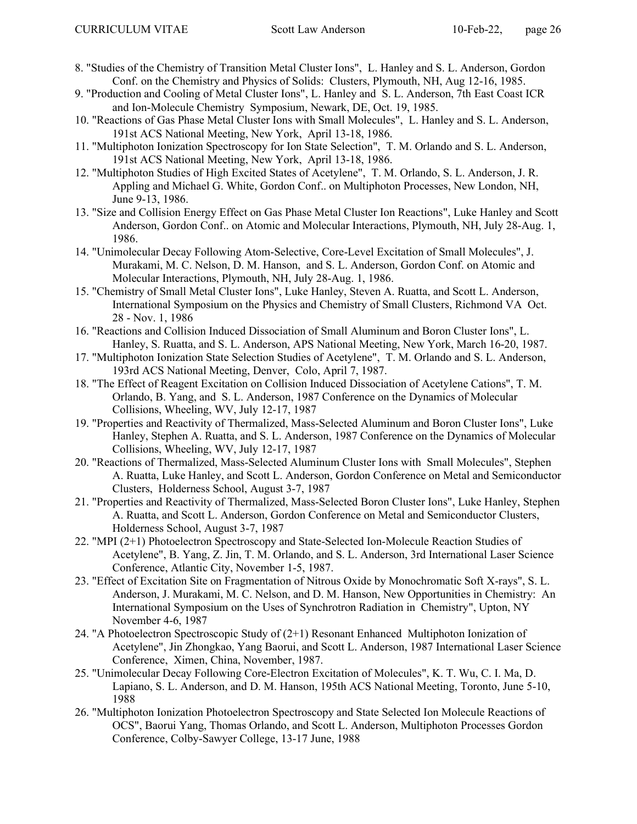- 8. "Studies of the Chemistry of Transition Metal Cluster Ions", L. Hanley and S. L. Anderson, Gordon Conf. on the Chemistry and Physics of Solids: Clusters, Plymouth, NH, Aug 12-16, 1985.
- 9. "Production and Cooling of Metal Cluster Ions", L. Hanley and S. L. Anderson, 7th East Coast ICR and Ion-Molecule Chemistry Symposium, Newark, DE, Oct. 19, 1985.
- 10. "Reactions of Gas Phase Metal Cluster Ions with Small Molecules", L. Hanley and S. L. Anderson, 191st ACS National Meeting, New York, April 13-18, 1986.
- 11. "Multiphoton Ionization Spectroscopy for Ion State Selection", T. M. Orlando and S. L. Anderson, 191st ACS National Meeting, New York, April 13-18, 1986.
- 12. "Multiphoton Studies of High Excited States of Acetylene", T. M. Orlando, S. L. Anderson, J. R. Appling and Michael G. White, Gordon Conf.. on Multiphoton Processes, New London, NH, June 9-13, 1986.
- 13. "Size and Collision Energy Effect on Gas Phase Metal Cluster Ion Reactions", Luke Hanley and Scott Anderson, Gordon Conf.. on Atomic and Molecular Interactions, Plymouth, NH, July 28-Aug. 1, 1986.
- 14. "Unimolecular Decay Following Atom-Selective, Core-Level Excitation of Small Molecules", J. Murakami, M. C. Nelson, D. M. Hanson, and S. L. Anderson, Gordon Conf. on Atomic and Molecular Interactions, Plymouth, NH, July 28-Aug. 1, 1986.
- 15. "Chemistry of Small Metal Cluster Ions", Luke Hanley, Steven A. Ruatta, and Scott L. Anderson, International Symposium on the Physics and Chemistry of Small Clusters, Richmond VA Oct. 28 - Nov. 1, 1986
- 16. "Reactions and Collision Induced Dissociation of Small Aluminum and Boron Cluster Ions", L. Hanley, S. Ruatta, and S. L. Anderson, APS National Meeting, New York, March 16-20, 1987.
- 17. "Multiphoton Ionization State Selection Studies of Acetylene", T. M. Orlando and S. L. Anderson, 193rd ACS National Meeting, Denver, Colo, April 7, 1987.
- 18. "The Effect of Reagent Excitation on Collision Induced Dissociation of Acetylene Cations", T. M. Orlando, B. Yang, and S. L. Anderson, 1987 Conference on the Dynamics of Molecular Collisions, Wheeling, WV, July 12-17, 1987
- 19. "Properties and Reactivity of Thermalized, Mass-Selected Aluminum and Boron Cluster Ions", Luke Hanley, Stephen A. Ruatta, and S. L. Anderson, 1987 Conference on the Dynamics of Molecular Collisions, Wheeling, WV, July 12-17, 1987
- 20. "Reactions of Thermalized, Mass-Selected Aluminum Cluster Ions with Small Molecules", Stephen A. Ruatta, Luke Hanley, and Scott L. Anderson, Gordon Conference on Metal and Semiconductor Clusters, Holderness School, August 3-7, 1987
- 21. "Properties and Reactivity of Thermalized, Mass-Selected Boron Cluster Ions", Luke Hanley, Stephen A. Ruatta, and Scott L. Anderson, Gordon Conference on Metal and Semiconductor Clusters, Holderness School, August 3-7, 1987
- 22. "MPI (2+1) Photoelectron Spectroscopy and State-Selected Ion-Molecule Reaction Studies of Acetylene", B. Yang, Z. Jin, T. M. Orlando, and S. L. Anderson, 3rd International Laser Science Conference, Atlantic City, November 1-5, 1987.
- 23. "Effect of Excitation Site on Fragmentation of Nitrous Oxide by Monochromatic Soft X-rays", S. L. Anderson, J. Murakami, M. C. Nelson, and D. M. Hanson, New Opportunities in Chemistry: An International Symposium on the Uses of Synchrotron Radiation in Chemistry", Upton, NY November 4-6, 1987
- 24. "A Photoelectron Spectroscopic Study of (2+1) Resonant Enhanced Multiphoton Ionization of Acetylene", Jin Zhongkao, Yang Baorui, and Scott L. Anderson, 1987 International Laser Science Conference, Ximen, China, November, 1987.
- 25. "Unimolecular Decay Following Core-Electron Excitation of Molecules", K. T. Wu, C. I. Ma, D. Lapiano, S. L. Anderson, and D. M. Hanson, 195th ACS National Meeting, Toronto, June 5-10, 1988
- 26. "Multiphoton Ionization Photoelectron Spectroscopy and State Selected Ion Molecule Reactions of OCS", Baorui Yang, Thomas Orlando, and Scott L. Anderson, Multiphoton Processes Gordon Conference, Colby-Sawyer College, 13-17 June, 1988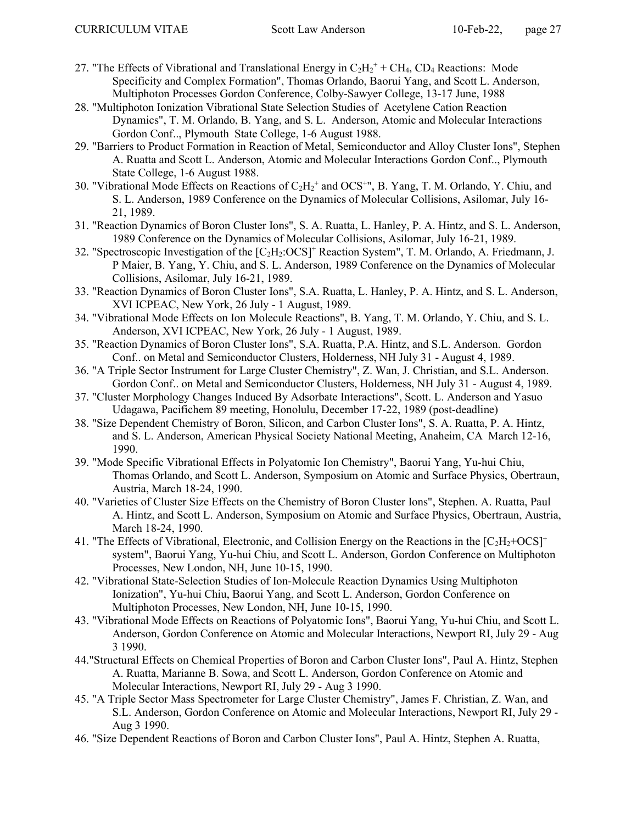- 27. "The Effects of Vibrational and Translational Energy in  $C_2H_2^+$  + CH<sub>4</sub>, CD<sub>4</sub> Reactions: Mode Specificity and Complex Formation", Thomas Orlando, Baorui Yang, and Scott L. Anderson, Multiphoton Processes Gordon Conference, Colby-Sawyer College, 13-17 June, 1988
- 28. "Multiphoton Ionization Vibrational State Selection Studies of Acetylene Cation Reaction Dynamics", T. M. Orlando, B. Yang, and S. L. Anderson, Atomic and Molecular Interactions Gordon Conf.., Plymouth State College, 1-6 August 1988.
- 29. "Barriers to Product Formation in Reaction of Metal, Semiconductor and Alloy Cluster Ions", Stephen A. Ruatta and Scott L. Anderson, Atomic and Molecular Interactions Gordon Conf.., Plymouth State College, 1-6 August 1988.
- 30. "Vibrational Mode Effects on Reactions of  $C_2H_2$ <sup>+</sup> and OCS<sup>+</sup>", B. Yang, T. M. Orlando, Y. Chiu, and S. L. Anderson, 1989 Conference on the Dynamics of Molecular Collisions, Asilomar, July 16- 21, 1989.
- 31. "Reaction Dynamics of Boron Cluster Ions", S. A. Ruatta, L. Hanley, P. A. Hintz, and S. L. Anderson, 1989 Conference on the Dynamics of Molecular Collisions, Asilomar, July 16-21, 1989.
- 32. "Spectroscopic Investigation of the [C<sub>2</sub>H<sub>2</sub>:OCS]<sup>+</sup> Reaction System", T. M. Orlando, A. Friedmann, J. P Maier, B. Yang, Y. Chiu, and S. L. Anderson, 1989 Conference on the Dynamics of Molecular Collisions, Asilomar, July 16-21, 1989.
- 33. "Reaction Dynamics of Boron Cluster Ions", S.A. Ruatta, L. Hanley, P. A. Hintz, and S. L. Anderson, XVI ICPEAC, New York, 26 July - 1 August, 1989.
- 34. "Vibrational Mode Effects on Ion Molecule Reactions", B. Yang, T. M. Orlando, Y. Chiu, and S. L. Anderson, XVI ICPEAC, New York, 26 July - 1 August, 1989.
- 35. "Reaction Dynamics of Boron Cluster Ions", S.A. Ruatta, P.A. Hintz, and S.L. Anderson. Gordon Conf.. on Metal and Semiconductor Clusters, Holderness, NH July 31 - August 4, 1989.
- 36. "A Triple Sector Instrument for Large Cluster Chemistry", Z. Wan, J. Christian, and S.L. Anderson. Gordon Conf.. on Metal and Semiconductor Clusters, Holderness, NH July 31 - August 4, 1989.
- 37. "Cluster Morphology Changes Induced By Adsorbate Interactions", Scott. L. Anderson and Yasuo Udagawa, Pacifichem 89 meeting, Honolulu, December 17-22, 1989 (post-deadline)
- 38. "Size Dependent Chemistry of Boron, Silicon, and Carbon Cluster Ions", S. A. Ruatta, P. A. Hintz, and S. L. Anderson, American Physical Society National Meeting, Anaheim, CA March 12-16, 1990.
- 39. "Mode Specific Vibrational Effects in Polyatomic Ion Chemistry", Baorui Yang, Yu-hui Chiu, Thomas Orlando, and Scott L. Anderson, Symposium on Atomic and Surface Physics, Obertraun, Austria, March 18-24, 1990.
- 40. "Varieties of Cluster Size Effects on the Chemistry of Boron Cluster Ions", Stephen. A. Ruatta, Paul A. Hintz, and Scott L. Anderson, Symposium on Atomic and Surface Physics, Obertraun, Austria, March 18-24, 1990.
- 41. "The Effects of Vibrational, Electronic, and Collision Energy on the Reactions in the  $[C_2H_2+OCS]^+$ system", Baorui Yang, Yu-hui Chiu, and Scott L. Anderson, Gordon Conference on Multiphoton Processes, New London, NH, June 10-15, 1990.
- 42. "Vibrational State-Selection Studies of Ion-Molecule Reaction Dynamics Using Multiphoton Ionization", Yu-hui Chiu, Baorui Yang, and Scott L. Anderson, Gordon Conference on Multiphoton Processes, New London, NH, June 10-15, 1990.
- 43. "Vibrational Mode Effects on Reactions of Polyatomic Ions", Baorui Yang, Yu-hui Chiu, and Scott L. Anderson, Gordon Conference on Atomic and Molecular Interactions, Newport RI, July 29 - Aug 3 1990.
- 44."Structural Effects on Chemical Properties of Boron and Carbon Cluster Ions", Paul A. Hintz, Stephen A. Ruatta, Marianne B. Sowa, and Scott L. Anderson, Gordon Conference on Atomic and Molecular Interactions, Newport RI, July 29 - Aug 3 1990.
- 45. "A Triple Sector Mass Spectrometer for Large Cluster Chemistry", James F. Christian, Z. Wan, and S.L. Anderson, Gordon Conference on Atomic and Molecular Interactions, Newport RI, July 29 - Aug 3 1990.
- 46. "Size Dependent Reactions of Boron and Carbon Cluster Ions", Paul A. Hintz, Stephen A. Ruatta,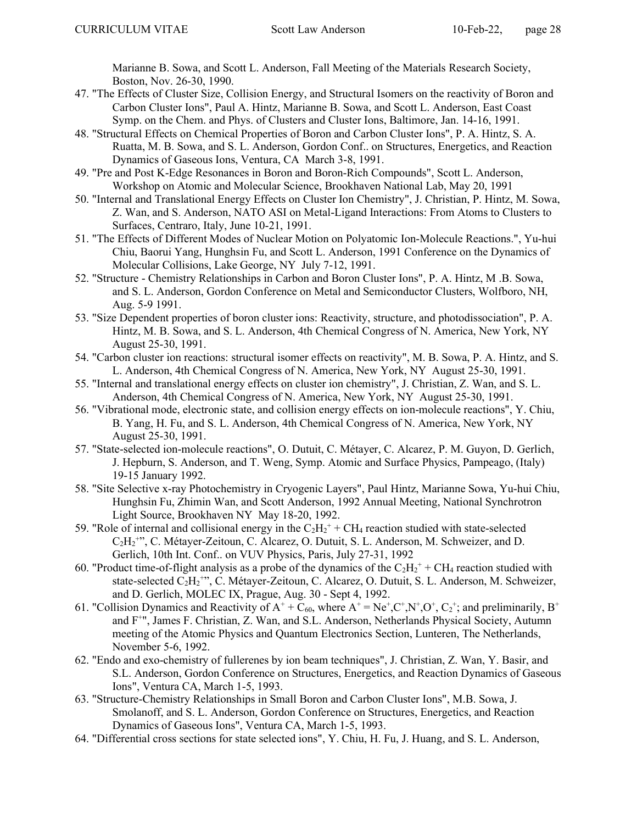Marianne B. Sowa, and Scott L. Anderson, Fall Meeting of the Materials Research Society, Boston, Nov. 26-30, 1990.

- 47. "The Effects of Cluster Size, Collision Energy, and Structural Isomers on the reactivity of Boron and Carbon Cluster Ions", Paul A. Hintz, Marianne B. Sowa, and Scott L. Anderson, East Coast Symp. on the Chem. and Phys. of Clusters and Cluster Ions, Baltimore, Jan. 14-16, 1991.
- 48. "Structural Effects on Chemical Properties of Boron and Carbon Cluster Ions", P. A. Hintz, S. A. Ruatta, M. B. Sowa, and S. L. Anderson, Gordon Conf.. on Structures, Energetics, and Reaction Dynamics of Gaseous Ions, Ventura, CA March 3-8, 1991.
- 49. "Pre and Post K-Edge Resonances in Boron and Boron-Rich Compounds", Scott L. Anderson, Workshop on Atomic and Molecular Science, Brookhaven National Lab, May 20, 1991
- 50. "Internal and Translational Energy Effects on Cluster Ion Chemistry", J. Christian, P. Hintz, M. Sowa, Z. Wan, and S. Anderson, NATO ASI on Metal-Ligand Interactions: From Atoms to Clusters to Surfaces, Centraro, Italy, June 10-21, 1991.
- 51. "The Effects of Different Modes of Nuclear Motion on Polyatomic Ion-Molecule Reactions.", Yu-hui Chiu, Baorui Yang, Hunghsin Fu, and Scott L. Anderson, 1991 Conference on the Dynamics of Molecular Collisions, Lake George, NY July 7-12, 1991.
- 52. "Structure Chemistry Relationships in Carbon and Boron Cluster Ions", P. A. Hintz, M .B. Sowa, and S. L. Anderson, Gordon Conference on Metal and Semiconductor Clusters, Wolfboro, NH, Aug. 5-9 1991.
- 53. "Size Dependent properties of boron cluster ions: Reactivity, structure, and photodissociation", P. A. Hintz, M. B. Sowa, and S. L. Anderson, 4th Chemical Congress of N. America, New York, NY August 25-30, 1991.
- 54. "Carbon cluster ion reactions: structural isomer effects on reactivity", M. B. Sowa, P. A. Hintz, and S. L. Anderson, 4th Chemical Congress of N. America, New York, NY August 25-30, 1991.
- 55. "Internal and translational energy effects on cluster ion chemistry", J. Christian, Z. Wan, and S. L. Anderson, 4th Chemical Congress of N. America, New York, NY August 25-30, 1991.
- 56. "Vibrational mode, electronic state, and collision energy effects on ion-molecule reactions", Y. Chiu, B. Yang, H. Fu, and S. L. Anderson, 4th Chemical Congress of N. America, New York, NY August 25-30, 1991.
- 57. "State-selected ion-molecule reactions", O. Dutuit, C. Métayer, C. Alcarez, P. M. Guyon, D. Gerlich, J. Hepburn, S. Anderson, and T. Weng, Symp. Atomic and Surface Physics, Pampeago, (Italy) 19-15 January 1992.
- 58. "Site Selective x-ray Photochemistry in Cryogenic Layers", Paul Hintz, Marianne Sowa, Yu-hui Chiu, Hunghsin Fu, Zhimin Wan, and Scott Anderson, 1992 Annual Meeting, National Synchrotron Light Source, Brookhaven NY May 18-20, 1992.
- 59. "Role of internal and collisional energy in the  $C_2H_2^+$  + CH<sub>4</sub> reaction studied with state-selected C<sub>2</sub>H<sub>2</sub><sup>+</sup>", C. Métayer-Zeitoun, C. Alcarez, O. Dutuit, S. L. Anderson, M. Schweizer, and D. Gerlich, 10th Int. Conf.. on VUV Physics, Paris, July 27-31, 1992
- 60. "Product time-of-flight analysis as a probe of the dynamics of the  $C_2H_2^+$  + CH<sub>4</sub> reaction studied with state-selected C<sub>2</sub>H<sub>2</sub><sup>+</sup>", C. Métayer-Zeitoun, C. Alcarez, O. Dutuit, S. L. Anderson, M. Schweizer, and D. Gerlich, MOLEC IX, Prague, Aug. 30 - Sept 4, 1992.
- 61. "Collision Dynamics and Reactivity of  $A^+$  + C<sub>60</sub>, where  $A^+$  = Ne<sup>+</sup>,C<sup>+</sup>,N<sup>+</sup>,O<sup>+</sup>, C<sub>2</sub><sup>+</sup>; and preliminarily, B<sup>+</sup> and F<sup>+</sup>", James F. Christian, Z. Wan, and S.L. Anderson, Netherlands Physical Society, Autumn meeting of the Atomic Physics and Quantum Electronics Section, Lunteren, The Netherlands, November 5-6, 1992.
- 62. "Endo and exo-chemistry of fullerenes by ion beam techniques", J. Christian, Z. Wan, Y. Basir, and S.L. Anderson, Gordon Conference on Structures, Energetics, and Reaction Dynamics of Gaseous Ions", Ventura CA, March 1-5, 1993.
- 63. "Structure-Chemistry Relationships in Small Boron and Carbon Cluster Ions", M.B. Sowa, J. Smolanoff, and S. L. Anderson, Gordon Conference on Structures, Energetics, and Reaction Dynamics of Gaseous Ions", Ventura CA, March 1-5, 1993.
- 64. "Differential cross sections for state selected ions", Y. Chiu, H. Fu, J. Huang, and S. L. Anderson,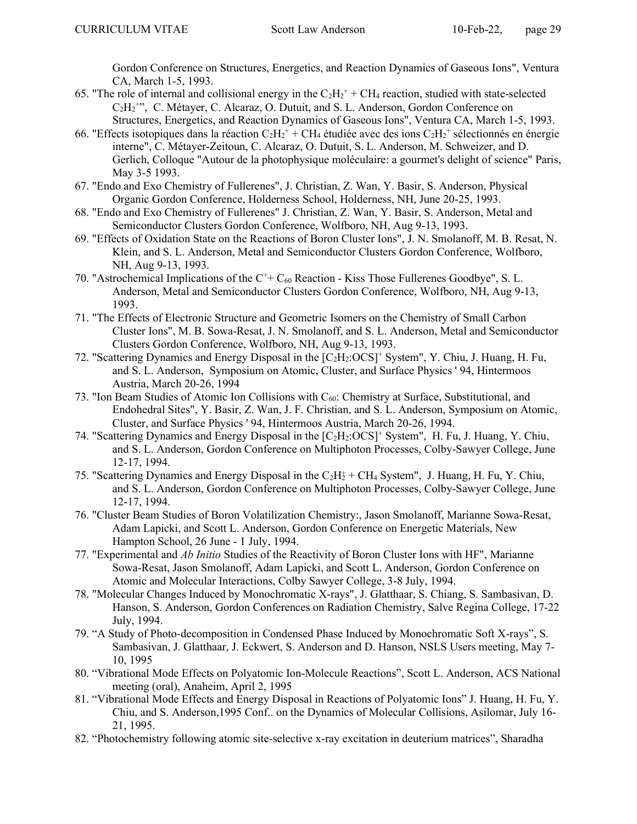Gordon Conference on Structures, Energetics, and Reaction Dynamics of Gaseous Ions", Ventura CA, March 1-5, 1993.

- 65. "The role of internal and collisional energy in the  $C_2H_2^+$  + CH<sub>4</sub> reaction, studied with state-selected C<sub>2</sub>H<sub>2</sub><sup>+</sup>", C. Métayer, C. Alcaraz, O. Dutuit, and S. L. Anderson, Gordon Conference on Structures, Energetics, and Reaction Dynamics of Gaseous Ions", Ventura CA, March 1-5, 1993.
- 66. "Effects isotopiques dans la réaction  $C_2H_2^+$  + CH<sub>4</sub> étudiée avec des ions  $C_2H_2^+$  sélectionnés en énergie interne", C. Métayer-Zeitoun, C. Alcaraz, O. Dutuit, S. L. Anderson, M. Schweizer, and D. Gerlich, Colloque "Autour de la photophysique moléculaire: a gourmet's delight of science" Paris, May 3-5 1993.
- 67. "Endo and Exo Chemistry of Fullerenes", J. Christian, Z. Wan, Y. Basir, S. Anderson, Physical Organic Gordon Conference, Holderness School, Holderness, NH, June 20-25, 1993.
- 68. "Endo and Exo Chemistry of Fullerenes" J. Christian, Z. Wan, Y. Basir, S. Anderson, Metal and Semiconductor Clusters Gordon Conference, Wolfboro, NH, Aug 9-13, 1993.
- 69. "Effects of Oxidation State on the Reactions of Boron Cluster Ions", J. N. Smolanoff, M. B. Resat, N. Klein, and S. L. Anderson, Metal and Semiconductor Clusters Gordon Conference, Wolfboro, NH, Aug 9-13, 1993.
- 70. "Astrochemical Implications of the  $C^+$  C<sub>60</sub> Reaction Kiss Those Fullerenes Goodbye", S. L. Anderson, Metal and Semiconductor Clusters Gordon Conference, Wolfboro, NH, Aug 9-13, 1993.
- 71. "The Effects of Electronic Structure and Geometric Isomers on the Chemistry of Small Carbon Cluster Ions", M. B. Sowa-Resat, J. N. Smolanoff, and S. L. Anderson, Metal and Semiconductor Clusters Gordon Conference, Wolfboro, NH, Aug 9-13, 1993.
- 72. "Scattering Dynamics and Energy Disposal in the [C<sub>2</sub>H<sub>2</sub>:OCS]<sup>+</sup> System", Y. Chiu, J. Huang, H. Fu, and S. L. Anderson, Symposium on Atomic, Cluster, and Surface Physics ' 94, Hintermoos Austria, March 20-26, 1994
- 73. "Ion Beam Studies of Atomic Ion Collisions with  $C_{60}$ : Chemistry at Surface, Substitutional, and Endohedral Sites", Y. Basir, Z. Wan, J. F. Christian, and S. L. Anderson, Symposium on Atomic, Cluster, and Surface Physics ' 94, Hintermoos Austria, March 20-26, 1994.
- 74. "Scattering Dynamics and Energy Disposal in the [C2H2:OCS]<sup>+</sup> System", H. Fu, J. Huang, Y. Chiu, and S. L. Anderson, Gordon Conference on Multiphoton Processes, Colby-Sawyer College, June 12-17, 1994.
- 75. "Scattering Dynamics and Energy Disposal in the  $C_2H_2^+ + CH_4$  System", J. Huang, H. Fu, Y. Chiu, and S. L. Anderson, Gordon Conference on Multiphoton Processes, Colby-Sawyer College, June 12-17, 1994.
- 76. "Cluster Beam Studies of Boron Volatilization Chemistry:, Jason Smolanoff, Marianne Sowa-Resat, Adam Lapicki, and Scott L. Anderson, Gordon Conference on Energetic Materials, New Hampton School, 26 June - 1 July, 1994.
- 77. "Experimental and Ab Initio Studies of the Reactivity of Boron Cluster Ions with HF", Marianne Sowa-Resat, Jason Smolanoff, Adam Lapicki, and Scott L. Anderson, Gordon Conference on Atomic and Molecular Interactions, Colby Sawyer College, 3-8 July, 1994.
- 78. "Molecular Changes Induced by Monochromatic X-rays", J. Glatthaar, S. Chiang, S. Sambasivan, D. Hanson, S. Anderson, Gordon Conferences on Radiation Chemistry, Salve Regina College, 17-22 July, 1994.
- 79. "A Study of Photo-decomposition in Condensed Phase Induced by Monochromatic Soft X-rays", S. Sambasivan, J. Glatthaar, J. Eckwert, S. Anderson and D. Hanson, NSLS Users meeting, May 7- 10, 1995
- 80. "Vibrational Mode Effects on Polyatomic Ion-Molecule Reactions", Scott L. Anderson, ACS National meeting (oral), Anaheim, April 2, 1995
- 81. "Vibrational Mode Effects and Energy Disposal in Reactions of Polyatomic Ions" J. Huang, H. Fu, Y. Chiu, and S. Anderson,1995 Conf.. on the Dynamics of Molecular Collisions, Asilomar, July 16- 21, 1995.
- 82. "Photochemistry following atomic site-selective x-ray excitation in deuterium matrices", Sharadha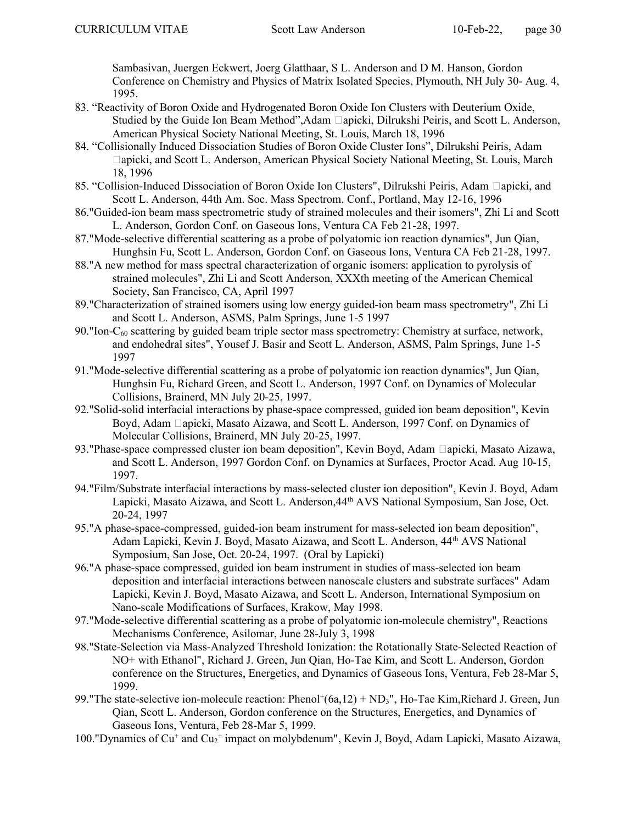Sambasivan, Juergen Eckwert, Joerg Glatthaar, S L. Anderson and D M. Hanson, Gordon Conference on Chemistry and Physics of Matrix Isolated Species, Plymouth, NH July 30- Aug. 4, 1995.

- 83. "Reactivity of Boron Oxide and Hydrogenated Boron Oxide Ion Clusters with Deuterium Oxide, Studied by the Guide Ion Beam Method", Adam apicki, Dilrukshi Peiris, and Scott L. Anderson, American Physical Society National Meeting, St. Louis, March 18, 1996
- 84. "Collisionally Induced Dissociation Studies of Boron Oxide Cluster Ions", Dilrukshi Peiris, Adam apicki, and Scott L. Anderson, American Physical Society National Meeting, St. Louis, March 18, 1996
- 85. "Collision-Induced Dissociation of Boron Oxide Ion Clusters", Dilrukshi Peiris, Adam apicki, and Scott L. Anderson, 44th Am. Soc. Mass Spectrom. Conf., Portland, May 12-16, 1996
- 86."Guided-ion beam mass spectrometric study of strained molecules and their isomers", Zhi Li and Scott L. Anderson, Gordon Conf. on Gaseous Ions, Ventura CA Feb 21-28, 1997.
- 87."Mode-selective differential scattering as a probe of polyatomic ion reaction dynamics", Jun Qian, Hunghsin Fu, Scott L. Anderson, Gordon Conf. on Gaseous Ions, Ventura CA Feb 21-28, 1997.
- 88."A new method for mass spectral characterization of organic isomers: application to pyrolysis of strained molecules", Zhi Li and Scott Anderson, XXXth meeting of the American Chemical Society, San Francisco, CA, April 1997
- 89."Characterization of strained isomers using low energy guided-ion beam mass spectrometry", Zhi Li and Scott L. Anderson, ASMS, Palm Springs, June 1-5 1997
- 90."Ion-C60 scattering by guided beam triple sector mass spectrometry: Chemistry at surface, network, and endohedral sites", Yousef J. Basir and Scott L. Anderson, ASMS, Palm Springs, June 1-5 1997
- 91."Mode-selective differential scattering as a probe of polyatomic ion reaction dynamics", Jun Qian, Hunghsin Fu, Richard Green, and Scott L. Anderson, 1997 Conf. on Dynamics of Molecular Collisions, Brainerd, MN July 20-25, 1997.
- 92."Solid-solid interfacial interactions by phase-space compressed, guided ion beam deposition", Kevin Boyd, Adam apicki, Masato Aizawa, and Scott L. Anderson, 1997 Conf. on Dynamics of Molecular Collisions, Brainerd, MN July 20-25, 1997.
- 93."Phase-space compressed cluster ion beam deposition", Kevin Boyd, Adam apicki, Masato Aizawa, and Scott L. Anderson, 1997 Gordon Conf. on Dynamics at Surfaces, Proctor Acad. Aug 10-15, 1997.
- 94."Film/Substrate interfacial interactions by mass-selected cluster ion deposition", Kevin J. Boyd, Adam Lapicki, Masato Aizawa, and Scott L. Anderson,44th AVS National Symposium, San Jose, Oct. 20-24, 1997
- 95."A phase-space-compressed, guided-ion beam instrument for mass-selected ion beam deposition", Adam Lapicki, Kevin J. Boyd, Masato Aizawa, and Scott L. Anderson, 44<sup>th</sup> AVS National Symposium, San Jose, Oct. 20-24, 1997. (Oral by Lapicki)
- 96."A phase-space compressed, guided ion beam instrument in studies of mass-selected ion beam deposition and interfacial interactions between nanoscale clusters and substrate surfaces" Adam Lapicki, Kevin J. Boyd, Masato Aizawa, and Scott L. Anderson, International Symposium on Nano-scale Modifications of Surfaces, Krakow, May 1998.
- 97."Mode-selective differential scattering as a probe of polyatomic ion-molecule chemistry", Reactions Mechanisms Conference, Asilomar, June 28-July 3, 1998
- 98."State-Selection via Mass-Analyzed Threshold Ionization: the Rotationally State-Selected Reaction of NO+ with Ethanol", Richard J. Green, Jun Qian, Ho-Tae Kim, and Scott L. Anderson, Gordon conference on the Structures, Energetics, and Dynamics of Gaseous Ions, Ventura, Feb 28-Mar 5, 1999.
- 99."The state-selective ion-molecule reaction: Phenol<sup>+</sup>(6a,12) + ND<sub>3</sub>", Ho-Tae Kim, Richard J. Green, Jun Qian, Scott L. Anderson, Gordon conference on the Structures, Energetics, and Dynamics of Gaseous Ions, Ventura, Feb 28-Mar 5, 1999.
- 100."Dynamics of Cu<sup>+</sup> and Cu<sub>2</sub><sup>+</sup> impact on molybdenum", Kevin J, Boyd, Adam Lapicki, Masato Aizawa,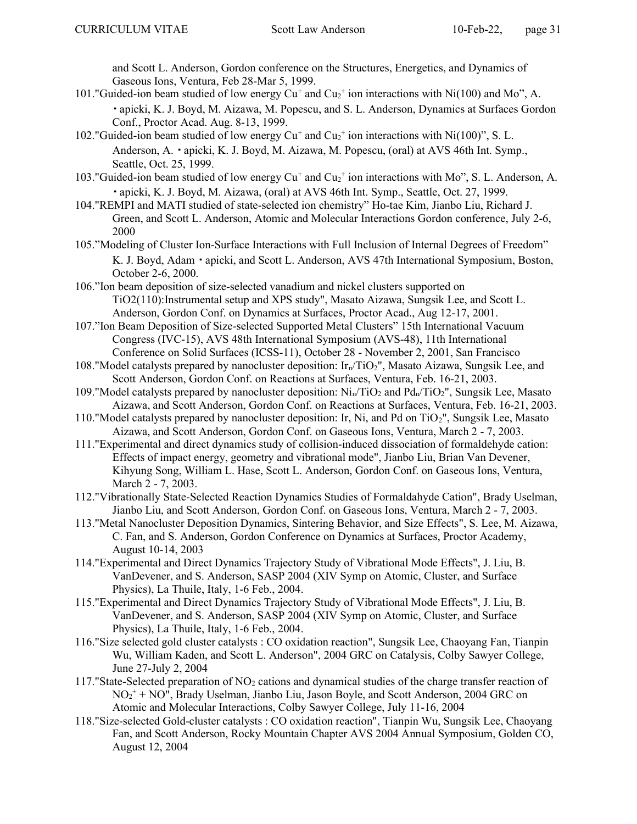and Scott L. Anderson, Gordon conference on the Structures, Energetics, and Dynamics of Gaseous Ions, Ventura, Feb 28-Mar 5, 1999.

- 101."Guided-ion beam studied of low energy  $Cu^+$  and  $Cu_2^+$  ion interactions with Ni(100) and Mo", A. apicki, K. J. Boyd, M. Aizawa, M. Popescu, and S. L. Anderson, Dynamics at Surfaces Gordon Conf., Proctor Acad. Aug. 8-13, 1999.
- 102." Guided-ion beam studied of low energy  $Cu^{+}$  and  $Cu_{2}^{+}$  ion interactions with Ni(100)", S. L. Anderson, A. · apicki, K. J. Boyd, M. Aizawa, M. Popescu, (oral) at AVS 46th Int. Symp., Seattle, Oct. 25, 1999.
- 103."Guided-ion beam studied of low energy Cu<sup>+</sup> and Cu<sub>2</sub><sup>+</sup> ion interactions with Mo", S. L. Anderson, A. apicki, K. J. Boyd, M. Aizawa, (oral) at AVS 46th Int. Symp., Seattle, Oct. 27, 1999.
- 104."REMPI and MATI studied of state-selected ion chemistry" Ho-tae Kim, Jianbo Liu, Richard J. Green, and Scott L. Anderson, Atomic and Molecular Interactions Gordon conference, July 2-6, 2000
- 105."Modeling of Cluster Ion-Surface Interactions with Full Inclusion of Internal Degrees of Freedom" K. J. Boyd, Adam · apicki, and Scott L. Anderson, AVS 47th International Symposium, Boston, October 2-6, 2000.
- 106."Ion beam deposition of size-selected vanadium and nickel clusters supported on TiO2(110):Instrumental setup and XPS study", Masato Aizawa, Sungsik Lee, and Scott L. Anderson, Gordon Conf. on Dynamics at Surfaces, Proctor Acad., Aug 12-17, 2001.
- 107."Ion Beam Deposition of Size-selected Supported Metal Clusters" 15th International Vacuum Congress (IVC-15), AVS 48th International Symposium (AVS-48), 11th International Conference on Solid Surfaces (ICSS-11), October 28 - November 2, 2001, San Francisco
- 108."Model catalysts prepared by nanocluster deposition:  $Ir_n/TiO_2$ ", Masato Aizawa, Sungsik Lee, and Scott Anderson, Gordon Conf. on Reactions at Surfaces, Ventura, Feb. 16-21, 2003.
- 109."Model catalysts prepared by nanocluster deposition:  $Ni_n/TiO_2$  and  $Pd_n/TiO_2$ ", Sungsik Lee, Masato Aizawa, and Scott Anderson, Gordon Conf. on Reactions at Surfaces, Ventura, Feb. 16-21, 2003.
- 110."Model catalysts prepared by nanocluster deposition: Ir, Ni, and Pd on TiO<sub>2</sub>", Sungsik Lee, Masato Aizawa, and Scott Anderson, Gordon Conf. on Gaseous Ions, Ventura, March 2 - 7, 2003.
- 111."Experimental and direct dynamics study of collision-induced dissociation of formaldehyde cation: Effects of impact energy, geometry and vibrational mode", Jianbo Liu, Brian Van Devener, Kihyung Song, William L. Hase, Scott L. Anderson, Gordon Conf. on Gaseous Ions, Ventura, March 2 - 7, 2003.
- 112."Vibrationally State-Selected Reaction Dynamics Studies of Formaldahyde Cation", Brady Uselman, Jianbo Liu, and Scott Anderson, Gordon Conf. on Gaseous Ions, Ventura, March 2 - 7, 2003.
- 113."Metal Nanocluster Deposition Dynamics, Sintering Behavior, and Size Effects", S. Lee, M. Aizawa, C. Fan, and S. Anderson, Gordon Conference on Dynamics at Surfaces, Proctor Academy, August 10-14, 2003
- 114."Experimental and Direct Dynamics Trajectory Study of Vibrational Mode Effects", J. Liu, B. VanDevener, and S. Anderson, SASP 2004 (XIV Symp on Atomic, Cluster, and Surface Physics), La Thuile, Italy, 1-6 Feb., 2004.
- 115."Experimental and Direct Dynamics Trajectory Study of Vibrational Mode Effects", J. Liu, B. VanDevener, and S. Anderson, SASP 2004 (XIV Symp on Atomic, Cluster, and Surface Physics), La Thuile, Italy, 1-6 Feb., 2004.
- 116."Size selected gold cluster catalysts : CO oxidation reaction", Sungsik Lee, Chaoyang Fan, Tianpin Wu, William Kaden, and Scott L. Anderson", 2004 GRC on Catalysis, Colby Sawyer College, June 27-July 2, 2004
- 117."State-Selected preparation of NO2 cations and dynamical studies of the charge transfer reaction of NO<sup>2</sup> + + NO", Brady Uselman, Jianbo Liu, Jason Boyle, and Scott Anderson, 2004 GRC on Atomic and Molecular Interactions, Colby Sawyer College, July 11-16, 2004
- 118."Size-selected Gold-cluster catalysts : CO oxidation reaction", Tianpin Wu, Sungsik Lee, Chaoyang Fan, and Scott Anderson, Rocky Mountain Chapter AVS 2004 Annual Symposium, Golden CO, August 12, 2004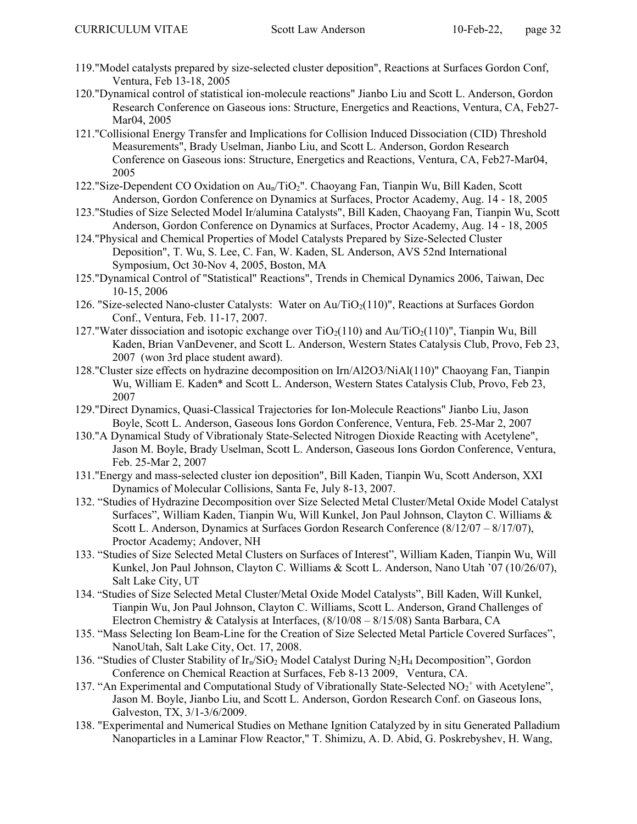- 119."Model catalysts prepared by size-selected cluster deposition", Reactions at Surfaces Gordon Conf, Ventura, Feb 13-18, 2005
- 120."Dynamical control of statistical ion-molecule reactions" Jianbo Liu and Scott L. Anderson, Gordon Research Conference on Gaseous ions: Structure, Energetics and Reactions, Ventura, CA, Feb27- Mar04, 2005
- 121."Collisional Energy Transfer and Implications for Collision Induced Dissociation (CID) Threshold Measurements", Brady Uselman, Jianbo Liu, and Scott L. Anderson, Gordon Research Conference on Gaseous ions: Structure, Energetics and Reactions, Ventura, CA, Feb27-Mar04, 2005
- 122."Size-Dependent CO Oxidation on Aun/TiO2". Chaoyang Fan, Tianpin Wu, Bill Kaden, Scott Anderson, Gordon Conference on Dynamics at Surfaces, Proctor Academy, Aug. 14 - 18, 2005
- 123."Studies of Size Selected Model Ir/alumina Catalysts", Bill Kaden, Chaoyang Fan, Tianpin Wu, Scott Anderson, Gordon Conference on Dynamics at Surfaces, Proctor Academy, Aug. 14 - 18, 2005
- 124."Physical and Chemical Properties of Model Catalysts Prepared by Size-Selected Cluster Deposition", T. Wu, S. Lee, C. Fan, W. Kaden, SL Anderson, AVS 52nd International Symposium, Oct 30-Nov 4, 2005, Boston, MA
- 125."Dynamical Control of "Statistical" Reactions", Trends in Chemical Dynamics 2006, Taiwan, Dec 10-15, 2006
- 126. "Size-selected Nano-cluster Catalysts: Water on Au/TiO<sub>2</sub>(110)", Reactions at Surfaces Gordon Conf., Ventura, Feb. 11-17, 2007.
- 127."Water dissociation and isotopic exchange over  $TiO<sub>2</sub>(110)$  and  $Au/TiO<sub>2</sub>(110)$ ", Tianpin Wu, Bill Kaden, Brian VanDevener, and Scott L. Anderson, Western States Catalysis Club, Provo, Feb 23, 2007 (won 3rd place student award).
- 128."Cluster size effects on hydrazine decomposition on Irn/Al2O3/NiAl(110)" Chaoyang Fan, Tianpin Wu, William E. Kaden\* and Scott L. Anderson, Western States Catalysis Club, Provo, Feb 23, 2007
- 129."Direct Dynamics, Quasi-Classical Trajectories for Ion-Molecule Reactions" Jianbo Liu, Jason Boyle, Scott L. Anderson, Gaseous Ions Gordon Conference, Ventura, Feb. 25-Mar 2, 2007
- 130."A Dynamical Study of Vibrationaly State-Selected Nitrogen Dioxide Reacting with Acetylene", Jason M. Boyle, Brady Uselman, Scott L. Anderson, Gaseous Ions Gordon Conference, Ventura, Feb. 25-Mar 2, 2007
- 131."Energy and mass-selected cluster ion deposition", Bill Kaden, Tianpin Wu, Scott Anderson, XXI Dynamics of Molecular Collisions, Santa Fe, July 8-13, 2007.
- 132. "Studies of Hydrazine Decomposition over Size Selected Metal Cluster/Metal Oxide Model Catalyst Surfaces", William Kaden, Tianpin Wu, Will Kunkel, Jon Paul Johnson, Clayton C. Williams & Scott L. Anderson, Dynamics at Surfaces Gordon Research Conference (8/12/07 – 8/17/07), Proctor Academy; Andover, NH
- 133. "Studies of Size Selected Metal Clusters on Surfaces of Interest", William Kaden, Tianpin Wu, Will Kunkel, Jon Paul Johnson, Clayton C. Williams & Scott L. Anderson, Nano Utah '07 (10/26/07), Salt Lake City, UT
- 134. "Studies of Size Selected Metal Cluster/Metal Oxide Model Catalysts", Bill Kaden, Will Kunkel, Tianpin Wu, Jon Paul Johnson, Clayton C. Williams, Scott L. Anderson, Grand Challenges of Electron Chemistry & Catalysis at Interfaces, (8/10/08 – 8/15/08) Santa Barbara, CA
- 135. "Mass Selecting Ion Beam-Line for the Creation of Size Selected Metal Particle Covered Surfaces", NanoUtah, Salt Lake City, Oct. 17, 2008.
- 136. "Studies of Cluster Stability of Ir<sub>n</sub>/SiO<sub>2</sub> Model Catalyst During N<sub>2</sub>H<sub>4</sub> Decomposition", Gordon Conference on Chemical Reaction at Surfaces, Feb 8-13 2009, Ventura, CA.
- 137. "An Experimental and Computational Study of Vibrationally State-Selected  $NO<sub>2</sub><sup>+</sup>$  with Acetylene", Jason M. Boyle, Jianbo Liu, and Scott L. Anderson, Gordon Research Conf. on Gaseous Ions, Galveston, TX, 3/1-3/6/2009.
- 138. "Experimental and Numerical Studies on Methane Ignition Catalyzed by in situ Generated Palladium Nanoparticles in a Laminar Flow Reactor," T. Shimizu, A. D. Abid, G. Poskrebyshev, H. Wang,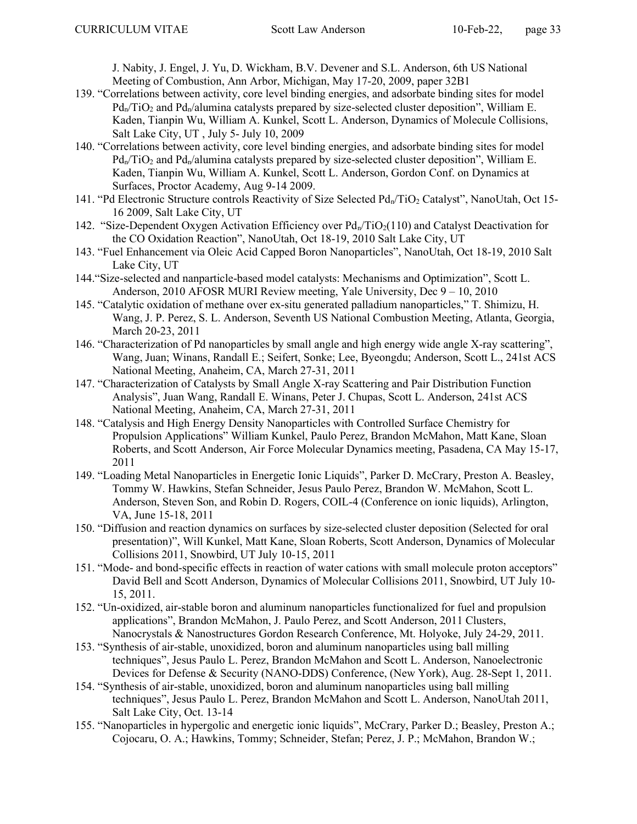J. Nabity, J. Engel, J. Yu, D. Wickham, B.V. Devener and S.L. Anderson, 6th US National Meeting of Combustion, Ann Arbor, Michigan, May 17-20, 2009, paper 32B1

- 139. "Correlations between activity, core level binding energies, and adsorbate binding sites for model  $Pd_n/TiO_2$  and  $Pd_n/a$ lumina catalysts prepared by size-selected cluster deposition", William E. Kaden, Tianpin Wu, William A. Kunkel, Scott L. Anderson, Dynamics of Molecule Collisions, Salt Lake City, UT , July 5- July 10, 2009
- 140. "Correlations between activity, core level binding energies, and adsorbate binding sites for model  $Pd_n/TiO_2$  and  $Pd_n/a$ lumina catalysts prepared by size-selected cluster deposition", William E. Kaden, Tianpin Wu, William A. Kunkel, Scott L. Anderson, Gordon Conf. on Dynamics at Surfaces, Proctor Academy, Aug 9-14 2009.
- 141. "Pd Electronic Structure controls Reactivity of Size Selected Pd<sub>n</sub>/TiO<sub>2</sub> Catalyst", NanoUtah, Oct 15-16 2009, Salt Lake City, UT
- 142. "Size-Dependent Oxygen Activation Efficiency over  $Pd_n/TiO_2(110)$  and Catalyst Deactivation for the CO Oxidation Reaction", NanoUtah, Oct 18-19, 2010 Salt Lake City, UT
- 143. "Fuel Enhancement via Oleic Acid Capped Boron Nanoparticles", NanoUtah, Oct 18-19, 2010 Salt Lake City, UT
- 144."Size-selected and nanparticle-based model catalysts: Mechanisms and Optimization", Scott L. Anderson, 2010 AFOSR MURI Review meeting, Yale University, Dec 9 – 10, 2010
- 145. "Catalytic oxidation of methane over ex-situ generated palladium nanoparticles," T. Shimizu, H. Wang, J. P. Perez, S. L. Anderson, Seventh US National Combustion Meeting, Atlanta, Georgia, March 20-23, 2011
- 146. "Characterization of Pd nanoparticles by small angle and high energy wide angle X-ray scattering", Wang, Juan; Winans, Randall E.; Seifert, Sonke; Lee, Byeongdu; Anderson, Scott L., 241st ACS National Meeting, Anaheim, CA, March 27-31, 2011
- 147. "Characterization of Catalysts by Small Angle X-ray Scattering and Pair Distribution Function Analysis", Juan Wang, Randall E. Winans, Peter J. Chupas, Scott L. Anderson, 241st ACS National Meeting, Anaheim, CA, March 27-31, 2011
- 148. "Catalysis and High Energy Density Nanoparticles with Controlled Surface Chemistry for Propulsion Applications" William Kunkel, Paulo Perez, Brandon McMahon, Matt Kane, Sloan Roberts, and Scott Anderson, Air Force Molecular Dynamics meeting, Pasadena, CA May 15-17, 2011
- 149. "Loading Metal Nanoparticles in Energetic Ionic Liquids", Parker D. McCrary, Preston A. Beasley, Tommy W. Hawkins, Stefan Schneider, Jesus Paulo Perez, Brandon W. McMahon, Scott L. Anderson, Steven Son, and Robin D. Rogers, COIL-4 (Conference on ionic liquids), Arlington, VA, June 15-18, 2011
- 150. "Diffusion and reaction dynamics on surfaces by size-selected cluster deposition (Selected for oral presentation)", Will Kunkel, Matt Kane, Sloan Roberts, Scott Anderson, Dynamics of Molecular Collisions 2011, Snowbird, UT July 10-15, 2011
- 151. "Mode- and bond-specific effects in reaction of water cations with small molecule proton acceptors" David Bell and Scott Anderson, Dynamics of Molecular Collisions 2011, Snowbird, UT July 10- 15, 2011.
- 152. "Un-oxidized, air-stable boron and aluminum nanoparticles functionalized for fuel and propulsion applications", Brandon McMahon, J. Paulo Perez, and Scott Anderson, 2011 Clusters, Nanocrystals & Nanostructures Gordon Research Conference, Mt. Holyoke, July 24-29, 2011.
- 153. "Synthesis of air-stable, unoxidized, boron and aluminum nanoparticles using ball milling techniques", Jesus Paulo L. Perez, Brandon McMahon and Scott L. Anderson, Nanoelectronic Devices for Defense & Security (NANO-DDS) Conference, (New York), Aug. 28-Sept 1, 2011.
- 154. "Synthesis of air-stable, unoxidized, boron and aluminum nanoparticles using ball milling techniques", Jesus Paulo L. Perez, Brandon McMahon and Scott L. Anderson, NanoUtah 2011, Salt Lake City, Oct. 13-14
- 155. "Nanoparticles in hypergolic and energetic ionic liquids", McCrary, Parker D.; Beasley, Preston A.; Cojocaru, O. A.; Hawkins, Tommy; Schneider, Stefan; Perez, J. P.; McMahon, Brandon W.;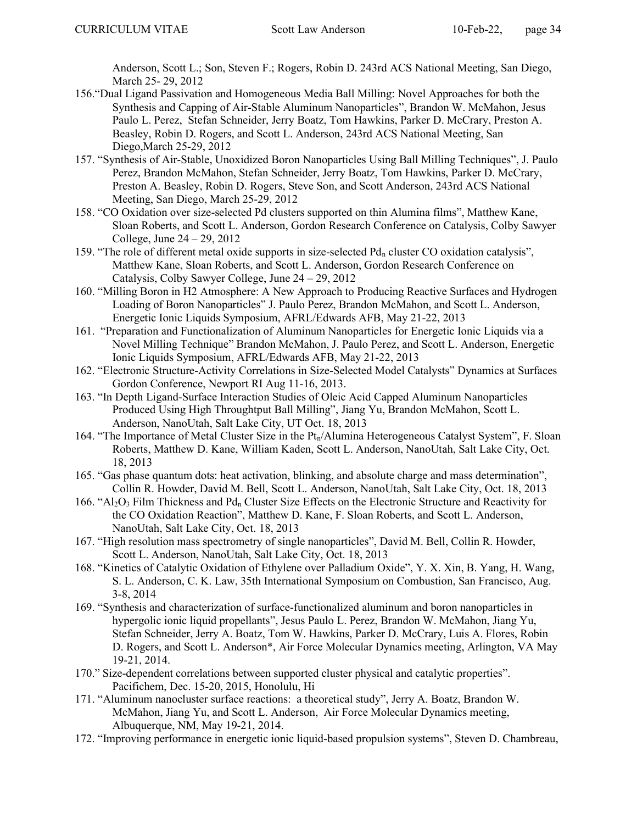Anderson, Scott L.; Son, Steven F.; Rogers, Robin D. 243rd ACS National Meeting, San Diego, March 25- 29, 2012

- 156."Dual Ligand Passivation and Homogeneous Media Ball Milling: Novel Approaches for both the Synthesis and Capping of Air-Stable Aluminum Nanoparticles", Brandon W. McMahon, Jesus Paulo L. Perez, Stefan Schneider, Jerry Boatz, Tom Hawkins, Parker D. McCrary, Preston A. Beasley, Robin D. Rogers, and Scott L. Anderson, 243rd ACS National Meeting, San Diego,March 25-29, 2012
- 157. "Synthesis of Air-Stable, Unoxidized Boron Nanoparticles Using Ball Milling Techniques", J. Paulo Perez, Brandon McMahon, Stefan Schneider, Jerry Boatz, Tom Hawkins, Parker D. McCrary, Preston A. Beasley, Robin D. Rogers, Steve Son, and Scott Anderson, 243rd ACS National Meeting, San Diego, March 25-29, 2012
- 158. "CO Oxidation over size-selected Pd clusters supported on thin Alumina films", Matthew Kane, Sloan Roberts, and Scott L. Anderson, Gordon Research Conference on Catalysis, Colby Sawyer College, June 24 – 29, 2012
- 159. "The role of different metal oxide supports in size-selected  $Pd_n$  cluster CO oxidation catalysis", Matthew Kane, Sloan Roberts, and Scott L. Anderson, Gordon Research Conference on Catalysis, Colby Sawyer College, June 24 – 29, 2012
- 160. "Milling Boron in H2 Atmosphere: A New Approach to Producing Reactive Surfaces and Hydrogen Loading of Boron Nanoparticles" J. Paulo Perez, Brandon McMahon, and Scott L. Anderson, Energetic Ionic Liquids Symposium, AFRL/Edwards AFB, May 21-22, 2013
- 161. "Preparation and Functionalization of Aluminum Nanoparticles for Energetic Ionic Liquids via a Novel Milling Technique" Brandon McMahon, J. Paulo Perez, and Scott L. Anderson, Energetic Ionic Liquids Symposium, AFRL/Edwards AFB, May 21-22, 2013
- 162. "Electronic Structure-Activity Correlations in Size-Selected Model Catalysts" Dynamics at Surfaces Gordon Conference, Newport RI Aug 11-16, 2013.
- 163. "In Depth Ligand-Surface Interaction Studies of Oleic Acid Capped Aluminum Nanoparticles Produced Using High Throughtput Ball Milling", Jiang Yu, Brandon McMahon, Scott L. Anderson, NanoUtah, Salt Lake City, UT Oct. 18, 2013
- 164. "The Importance of Metal Cluster Size in the  $Pt_n/A$ lumina Heterogeneous Catalyst System", F. Sloan Roberts, Matthew D. Kane, William Kaden, Scott L. Anderson, NanoUtah, Salt Lake City, Oct. 18, 2013
- 165. "Gas phase quantum dots: heat activation, blinking, and absolute charge and mass determination", Collin R. Howder, David M. Bell, Scott L. Anderson, NanoUtah, Salt Lake City, Oct. 18, 2013
- 166. " $Al_2O_3$  Film Thickness and Pd<sub>n</sub> Cluster Size Effects on the Electronic Structure and Reactivity for the CO Oxidation Reaction", Matthew D. Kane, F. Sloan Roberts, and Scott L. Anderson, NanoUtah, Salt Lake City, Oct. 18, 2013
- 167. "High resolution mass spectrometry of single nanoparticles", David M. Bell, Collin R. Howder, Scott L. Anderson, NanoUtah, Salt Lake City, Oct. 18, 2013
- 168. "Kinetics of Catalytic Oxidation of Ethylene over Palladium Oxide", Y. X. Xin, B. Yang, H. Wang, S. L. Anderson, C. K. Law, 35th International Symposium on Combustion, San Francisco, Aug. 3-8, 2014
- 169. "Synthesis and characterization of surface-functionalized aluminum and boron nanoparticles in hypergolic ionic liquid propellants", Jesus Paulo L. Perez, Brandon W. McMahon, Jiang Yu, Stefan Schneider, Jerry A. Boatz, Tom W. Hawkins, Parker D. McCrary, Luis A. Flores, Robin D. Rogers, and Scott L. Anderson\*, Air Force Molecular Dynamics meeting, Arlington, VA May 19-21, 2014.
- 170." Size-dependent correlations between supported cluster physical and catalytic properties". Pacifichem, Dec. 15-20, 2015, Honolulu, Hi
- 171. "Aluminum nanocluster surface reactions: a theoretical study", Jerry A. Boatz, Brandon W. McMahon, Jiang Yu, and Scott L. Anderson, Air Force Molecular Dynamics meeting, Albuquerque, NM, May 19-21, 2014.
- 172. "Improving performance in energetic ionic liquid-based propulsion systems", Steven D. Chambreau,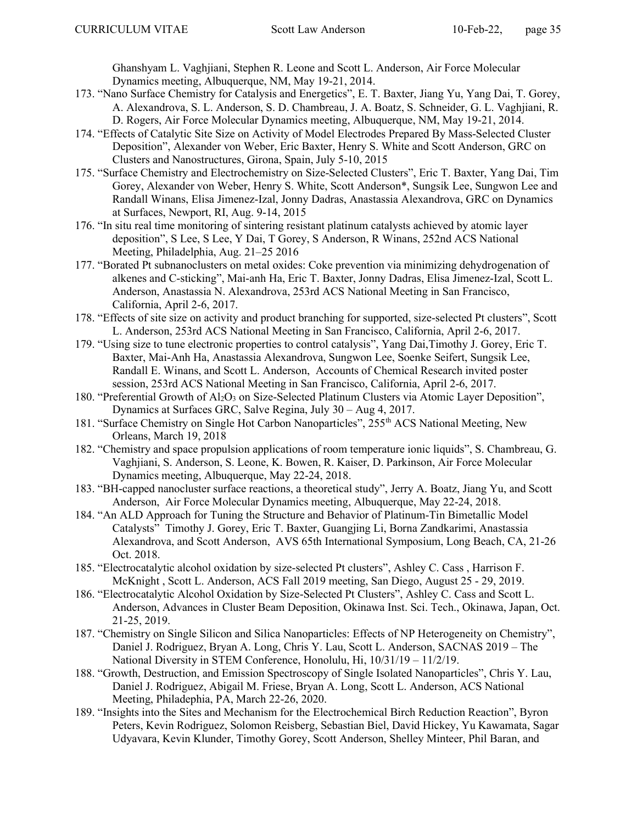Ghanshyam L. Vaghjiani, Stephen R. Leone and Scott L. Anderson, Air Force Molecular Dynamics meeting, Albuquerque, NM, May 19-21, 2014.

- 173. "Nano Surface Chemistry for Catalysis and Energetics", E. T. Baxter, Jiang Yu, Yang Dai, T. Gorey, A. Alexandrova, S. L. Anderson, S. D. Chambreau, J. A. Boatz, S. Schneider, G. L. Vaghjiani, R. D. Rogers, Air Force Molecular Dynamics meeting, Albuquerque, NM, May 19-21, 2014.
- 174. "Effects of Catalytic Site Size on Activity of Model Electrodes Prepared By Mass-Selected Cluster Deposition", Alexander von Weber, Eric Baxter, Henry S. White and Scott Anderson, GRC on Clusters and Nanostructures, Girona, Spain, July 5-10, 2015
- 175. "Surface Chemistry and Electrochemistry on Size-Selected Clusters", Eric T. Baxter, Yang Dai, Tim Gorey, Alexander von Weber, Henry S. White, Scott Anderson\*, Sungsik Lee, Sungwon Lee and Randall Winans, Elisa Jimenez-Izal, Jonny Dadras, Anastassia Alexandrova, GRC on Dynamics at Surfaces, Newport, RI, Aug. 9-14, 2015
- 176. "In situ real time monitoring of sintering resistant platinum catalysts achieved by atomic layer deposition", S Lee, S Lee, Y Dai, T Gorey, S Anderson, R Winans, 252nd ACS National Meeting, Philadelphia, Aug. 21–25 2016
- 177. "Borated Pt subnanoclusters on metal oxides: Coke prevention via minimizing dehydrogenation of alkenes and C-sticking", Mai-anh Ha, Eric T. Baxter, Jonny Dadras, Elisa Jimenez-Izal, Scott L. Anderson, Anastassia N. Alexandrova, 253rd ACS National Meeting in San Francisco, California, April 2-6, 2017.
- 178. "Effects of site size on activity and product branching for supported, size-selected Pt clusters", Scott L. Anderson, 253rd ACS National Meeting in San Francisco, California, April 2-6, 2017.
- 179. "Using size to tune electronic properties to control catalysis", Yang Dai,Timothy J. Gorey, Eric T. Baxter, Mai-Anh Ha, Anastassia Alexandrova, Sungwon Lee, Soenke Seifert, Sungsik Lee, Randall E. Winans, and Scott L. Anderson, Accounts of Chemical Research invited poster session, 253rd ACS National Meeting in San Francisco, California, April 2-6, 2017.
- 180. "Preferential Growth of  $A_1O_3$  on Size-Selected Platinum Clusters via Atomic Layer Deposition", Dynamics at Surfaces GRC, Salve Regina, July 30 – Aug 4, 2017.
- 181. "Surface Chemistry on Single Hot Carbon Nanoparticles", 255<sup>th</sup> ACS National Meeting, New Orleans, March 19, 2018
- 182. "Chemistry and space propulsion applications of room temperature ionic liquids", S. Chambreau, G. Vaghjiani, S. Anderson, S. Leone, K. Bowen, R. Kaiser, D. Parkinson, Air Force Molecular Dynamics meeting, Albuquerque, May 22-24, 2018.
- 183. "BH-capped nanocluster surface reactions, a theoretical study", Jerry A. Boatz, Jiang Yu, and Scott Anderson, Air Force Molecular Dynamics meeting, Albuquerque, May 22-24, 2018.
- 184. "An ALD Approach for Tuning the Structure and Behavior of Platinum-Tin Bimetallic Model Catalysts" Timothy J. Gorey, Eric T. Baxter, Guangjing Li, Borna Zandkarimi, Anastassia Alexandrova, and Scott Anderson, AVS 65th International Symposium, Long Beach, CA, 21-26 Oct. 2018.
- 185. "Electrocatalytic alcohol oxidation by size-selected Pt clusters", Ashley C. Cass , Harrison F. McKnight , Scott L. Anderson, ACS Fall 2019 meeting, San Diego, August 25 - 29, 2019.
- 186. "Electrocatalytic Alcohol Oxidation by Size-Selected Pt Clusters", Ashley C. Cass and Scott L. Anderson, Advances in Cluster Beam Deposition, Okinawa Inst. Sci. Tech., Okinawa, Japan, Oct. 21-25, 2019.
- 187. "Chemistry on Single Silicon and Silica Nanoparticles: Effects of NP Heterogeneity on Chemistry", Daniel J. Rodriguez, Bryan A. Long, Chris Y. Lau, Scott L. Anderson, SACNAS 2019 – The National Diversity in STEM Conference, Honolulu, Hi, 10/31/19 – 11/2/19.
- 188. "Growth, Destruction, and Emission Spectroscopy of Single Isolated Nanoparticles", Chris Y. Lau, Daniel J. Rodriguez, Abigail M. Friese, Bryan A. Long, Scott L. Anderson, ACS National Meeting, Philadephia, PA, March 22-26, 2020.
- 189. "Insights into the Sites and Mechanism for the Electrochemical Birch Reduction Reaction", Byron Peters, Kevin Rodriguez, Solomon Reisberg, Sebastian Biel, David Hickey, Yu Kawamata, Sagar Udyavara, Kevin Klunder, Timothy Gorey, Scott Anderson, Shelley Minteer, Phil Baran, and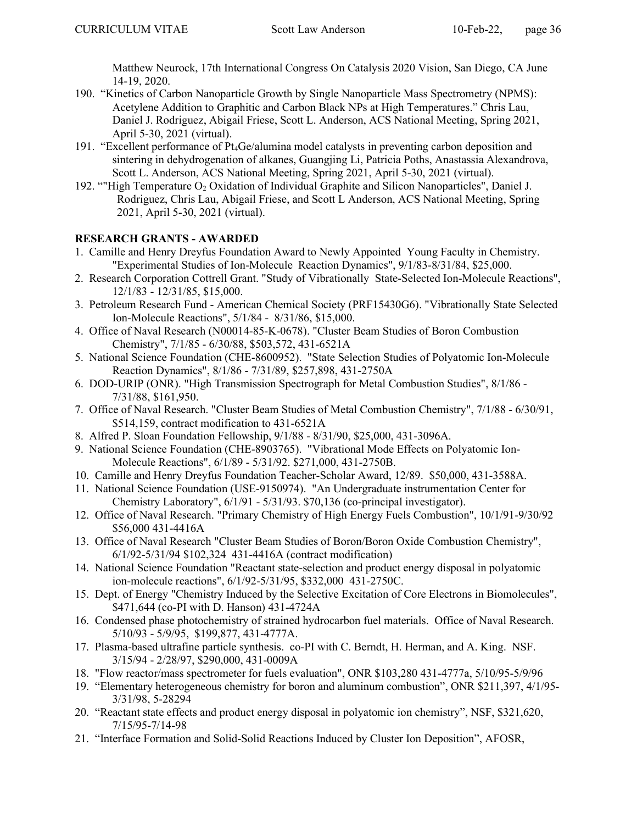Matthew Neurock, 17th International Congress On Catalysis 2020 Vision, San Diego, CA June 14-19, 2020.

- 190. "Kinetics of Carbon Nanoparticle Growth by Single Nanoparticle Mass Spectrometry (NPMS): Acetylene Addition to Graphitic and Carbon Black NPs at High Temperatures." Chris Lau, Daniel J. Rodriguez, Abigail Friese, Scott L. Anderson, ACS National Meeting, Spring 2021, April 5-30, 2021 (virtual).
- 191. "Excellent performance of Pt4Ge/alumina model catalysts in preventing carbon deposition and sintering in dehydrogenation of alkanes, Guangjing Li, Patricia Poths, Anastassia Alexandrova, Scott L. Anderson, ACS National Meeting, Spring 2021, April 5-30, 2021 (virtual).
- 192. ""High Temperature O<sub>2</sub> Oxidation of Individual Graphite and Silicon Nanoparticles", Daniel J. Rodriguez, Chris Lau, Abigail Friese, and Scott L Anderson, ACS National Meeting, Spring 2021, April 5-30, 2021 (virtual).

# RESEARCH GRANTS - AWARDED

- 1. Camille and Henry Dreyfus Foundation Award to Newly Appointed Young Faculty in Chemistry. "Experimental Studies of Ion-Molecule Reaction Dynamics", 9/1/83-8/31/84, \$25,000.
- 2. Research Corporation Cottrell Grant. "Study of Vibrationally State-Selected Ion-Molecule Reactions", 12/1/83 - 12/31/85, \$15,000.
- 3. Petroleum Research Fund American Chemical Society (PRF15430G6). "Vibrationally State Selected Ion-Molecule Reactions", 5/1/84 - 8/31/86, \$15,000.
- 4. Office of Naval Research (N00014-85-K-0678). "Cluster Beam Studies of Boron Combustion Chemistry", 7/1/85 - 6/30/88, \$503,572, 431-6521A
- 5. National Science Foundation (CHE-8600952). "State Selection Studies of Polyatomic Ion-Molecule Reaction Dynamics", 8/1/86 - 7/31/89, \$257,898, 431-2750A
- 6. DOD-URIP (ONR). "High Transmission Spectrograph for Metal Combustion Studies", 8/1/86 7/31/88, \$161,950.
- 7. Office of Naval Research. "Cluster Beam Studies of Metal Combustion Chemistry", 7/1/88 6/30/91, \$514,159, contract modification to 431-6521A
- 8. Alfred P. Sloan Foundation Fellowship, 9/1/88 8/31/90, \$25,000, 431-3096A.
- 9. National Science Foundation (CHE-8903765). "Vibrational Mode Effects on Polyatomic Ion-Molecule Reactions", 6/1/89 - 5/31/92. \$271,000, 431-2750B.
- 10. Camille and Henry Dreyfus Foundation Teacher-Scholar Award, 12/89. \$50,000, 431-3588A.
- 11. National Science Foundation (USE-9150974). "An Undergraduate instrumentation Center for Chemistry Laboratory", 6/1/91 - 5/31/93. \$70,136 (co-principal investigator).
- 12. Office of Naval Research. "Primary Chemistry of High Energy Fuels Combustion", 10/1/91-9/30/92 \$56,000 431-4416A
- 13. Office of Naval Research "Cluster Beam Studies of Boron/Boron Oxide Combustion Chemistry", 6/1/92-5/31/94 \$102,324 431-4416A (contract modification)
- 14. National Science Foundation "Reactant state-selection and product energy disposal in polyatomic ion-molecule reactions", 6/1/92-5/31/95, \$332,000 431-2750C.
- 15. Dept. of Energy "Chemistry Induced by the Selective Excitation of Core Electrons in Biomolecules", \$471,644 (co-PI with D. Hanson) 431-4724A
- 16. Condensed phase photochemistry of strained hydrocarbon fuel materials. Office of Naval Research. 5/10/93 - 5/9/95, \$199,877, 431-4777A.
- 17. Plasma-based ultrafine particle synthesis. co-PI with C. Berndt, H. Herman, and A. King. NSF. 3/15/94 - 2/28/97, \$290,000, 431-0009A
- 18. "Flow reactor/mass spectrometer for fuels evaluation", ONR \$103,280 431-4777a, 5/10/95-5/9/96
- 19. "Elementary heterogeneous chemistry for boron and aluminum combustion", ONR \$211,397, 4/1/95- 3/31/98, 5-28294
- 20. "Reactant state effects and product energy disposal in polyatomic ion chemistry", NSF, \$321,620, 7/15/95-7/14-98
- 21. "Interface Formation and Solid-Solid Reactions Induced by Cluster Ion Deposition", AFOSR,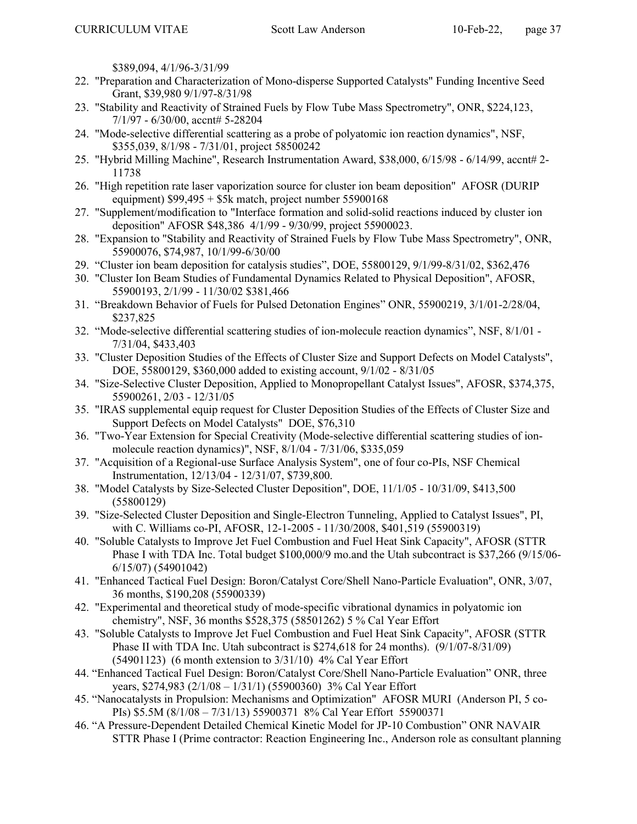\$389,094, 4/1/96-3/31/99

- 22. "Preparation and Characterization of Mono-disperse Supported Catalysts" Funding Incentive Seed Grant, \$39,980 9/1/97-8/31/98
- 23. "Stability and Reactivity of Strained Fuels by Flow Tube Mass Spectrometry", ONR, \$224,123, 7/1/97 - 6/30/00, accnt# 5-28204
- 24. "Mode-selective differential scattering as a probe of polyatomic ion reaction dynamics", NSF, \$355,039, 8/1/98 - 7/31/01, project 58500242
- 25. "Hybrid Milling Machine", Research Instrumentation Award, \$38,000, 6/15/98 6/14/99, accnt# 2- 11738
- 26. "High repetition rate laser vaporization source for cluster ion beam deposition" AFOSR (DURIP equipment)  $$99,495 + $5k$  match, project number  $55900168$
- 27. "Supplement/modification to "Interface formation and solid-solid reactions induced by cluster ion deposition" AFOSR \$48,386 4/1/99 - 9/30/99, project 55900023.
- 28. "Expansion to "Stability and Reactivity of Strained Fuels by Flow Tube Mass Spectrometry", ONR, 55900076, \$74,987, 10/1/99-6/30/00
- 29. "Cluster ion beam deposition for catalysis studies", DOE, 55800129, 9/1/99-8/31/02, \$362,476
- 30. "Cluster Ion Beam Studies of Fundamental Dynamics Related to Physical Deposition", AFOSR, 55900193, 2/1/99 - 11/30/02 \$381,466
- 31. "Breakdown Behavior of Fuels for Pulsed Detonation Engines" ONR, 55900219, 3/1/01-2/28/04, \$237,825
- 32. "Mode-selective differential scattering studies of ion-molecule reaction dynamics", NSF, 8/1/01 7/31/04, \$433,403
- 33. "Cluster Deposition Studies of the Effects of Cluster Size and Support Defects on Model Catalysts", DOE, 55800129, \$360,000 added to existing account, 9/1/02 - 8/31/05
- 34. "Size-Selective Cluster Deposition, Applied to Monopropellant Catalyst Issues", AFOSR, \$374,375, 55900261, 2/03 - 12/31/05
- 35. "IRAS supplemental equip request for Cluster Deposition Studies of the Effects of Cluster Size and Support Defects on Model Catalysts" DOE, \$76,310
- 36. "Two-Year Extension for Special Creativity (Mode-selective differential scattering studies of ionmolecule reaction dynamics)", NSF, 8/1/04 - 7/31/06, \$335,059
- 37. "Acquisition of a Regional-use Surface Analysis System", one of four co-PIs, NSF Chemical Instrumentation, 12/13/04 - 12/31/07, \$739,800.
- 38. "Model Catalysts by Size-Selected Cluster Deposition", DOE, 11/1/05 10/31/09, \$413,500 (55800129)
- 39. "Size-Selected Cluster Deposition and Single-Electron Tunneling, Applied to Catalyst Issues", PI, with C. Williams co-PI, AFOSR, 12-1-2005 - 11/30/2008, \$401,519 (55900319)
- 40. "Soluble Catalysts to Improve Jet Fuel Combustion and Fuel Heat Sink Capacity", AFOSR (STTR Phase I with TDA Inc. Total budget \$100,000/9 mo.and the Utah subcontract is \$37,266 (9/15/06- 6/15/07) (54901042)
- 41. "Enhanced Tactical Fuel Design: Boron/Catalyst Core/Shell Nano-Particle Evaluation", ONR, 3/07, 36 months, \$190,208 (55900339)
- 42. "Experimental and theoretical study of mode-specific vibrational dynamics in polyatomic ion chemistry", NSF, 36 months \$528,375 (58501262) 5 % Cal Year Effort
- 43. "Soluble Catalysts to Improve Jet Fuel Combustion and Fuel Heat Sink Capacity", AFOSR (STTR Phase II with TDA Inc. Utah subcontract is \$274,618 for 24 months). (9/1/07-8/31/09) (54901123) (6 month extension to 3/31/10) 4% Cal Year Effort
- 44. "Enhanced Tactical Fuel Design: Boron/Catalyst Core/Shell Nano-Particle Evaluation" ONR, three years, \$274,983 (2/1/08 – 1/31/1) (55900360) 3% Cal Year Effort
- 45. "Nanocatalysts in Propulsion: Mechanisms and Optimization" AFOSR MURI (Anderson PI, 5 co-PIs) \$5.5M (8/1/08 – 7/31/13) 55900371 8% Cal Year Effort 55900371
- 46. "A Pressure-Dependent Detailed Chemical Kinetic Model for JP-10 Combustion" ONR NAVAIR STTR Phase I (Prime contractor: Reaction Engineering Inc., Anderson role as consultant planning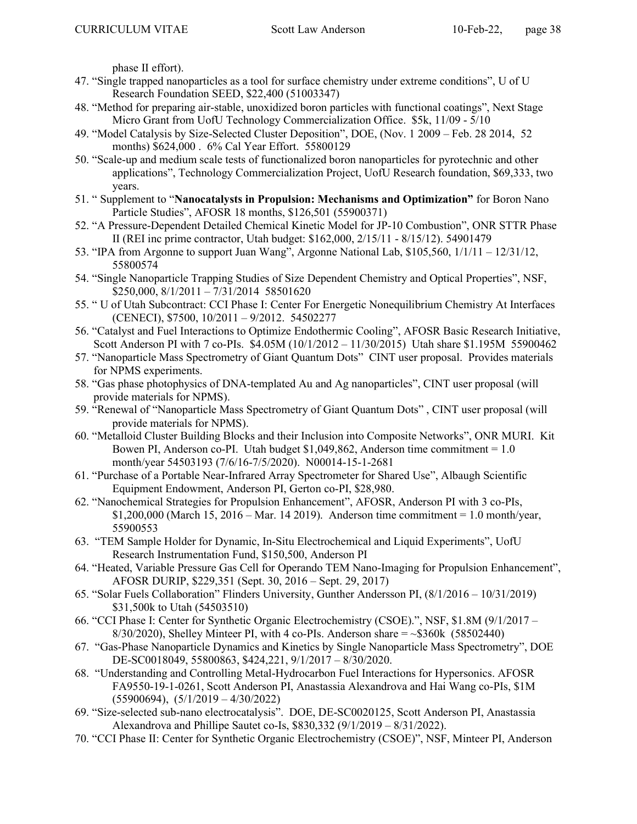phase II effort).

- 47. "Single trapped nanoparticles as a tool for surface chemistry under extreme conditions", U of U Research Foundation SEED, \$22,400 (51003347)
- 48. "Method for preparing air-stable, unoxidized boron particles with functional coatings", Next Stage Micro Grant from UofU Technology Commercialization Office. \$5k, 11/09 - 5/10
- 49. "Model Catalysis by Size-Selected Cluster Deposition", DOE, (Nov. 1 2009 Feb. 28 2014, 52 months) \$624,000 . 6% Cal Year Effort. 55800129
- 50. "Scale-up and medium scale tests of functionalized boron nanoparticles for pyrotechnic and other applications", Technology Commercialization Project, UofU Research foundation, \$69,333, two years.
- 51. " Supplement to "Nanocatalysts in Propulsion: Mechanisms and Optimization" for Boron Nano Particle Studies", AFOSR 18 months, \$126,501 (55900371)
- 52. "A Pressure-Dependent Detailed Chemical Kinetic Model for JP-10 Combustion", ONR STTR Phase II (REI inc prime contractor, Utah budget: \$162,000, 2/15/11 - 8/15/12). 54901479
- 53. "IPA from Argonne to support Juan Wang", Argonne National Lab, \$105,560, 1/1/11 12/31/12, 55800574
- 54. "Single Nanoparticle Trapping Studies of Size Dependent Chemistry and Optical Properties", NSF, \$250,000, 8/1/2011 – 7/31/2014 58501620
- 55. " U of Utah Subcontract: CCI Phase I: Center For Energetic Nonequilibrium Chemistry At Interfaces (CENECI), \$7500, 10/2011 – 9/2012. 54502277
- 56. "Catalyst and Fuel Interactions to Optimize Endothermic Cooling", AFOSR Basic Research Initiative, Scott Anderson PI with 7 co-PIs. \$4.05M (10/1/2012 – 11/30/2015) Utah share \$1.195M 55900462
- 57. "Nanoparticle Mass Spectrometry of Giant Quantum Dots" CINT user proposal. Provides materials for NPMS experiments.
- 58. "Gas phase photophysics of DNA-templated Au and Ag nanoparticles", CINT user proposal (will provide materials for NPMS).
- 59. "Renewal of "Nanoparticle Mass Spectrometry of Giant Quantum Dots" , CINT user proposal (will provide materials for NPMS).
- 60. "Metalloid Cluster Building Blocks and their Inclusion into Composite Networks", ONR MURI. Kit Bowen PI, Anderson co-PI. Utah budget \$1,049,862, Anderson time commitment = 1.0 month/year 54503193 (7/6/16-7/5/2020). N00014-15-1-2681
- 61. "Purchase of a Portable Near-Infrared Array Spectrometer for Shared Use", Albaugh Scientific Equipment Endowment, Anderson PI, Gerton co-PI, \$28,980.
- 62. "Nanochemical Strategies for Propulsion Enhancement", AFOSR, Anderson PI with 3 co-PIs,  $$1,200,000$  (March 15, 2016 – Mar. 14 2019). Anderson time commitment = 1.0 month/year, 55900553
- 63. "TEM Sample Holder for Dynamic, In-Situ Electrochemical and Liquid Experiments", UofU Research Instrumentation Fund, \$150,500, Anderson PI
- 64. "Heated, Variable Pressure Gas Cell for Operando TEM Nano-Imaging for Propulsion Enhancement", AFOSR DURIP, \$229,351 (Sept. 30, 2016 – Sept. 29, 2017)
- 65. "Solar Fuels Collaboration" Flinders University, Gunther Andersson PI, (8/1/2016 10/31/2019) \$31,500k to Utah (54503510)
- 66. "CCI Phase I: Center for Synthetic Organic Electrochemistry (CSOE).", NSF, \$1.8M (9/1/2017  $8/30/2020$ , Shelley Minteer PI, with 4 co-PIs. Anderson share  $=$  ~\$360k (58502440)
- 67. "Gas-Phase Nanoparticle Dynamics and Kinetics by Single Nanoparticle Mass Spectrometry", DOE DE-SC0018049, 55800863, \$424,221, 9/1/2017 – 8/30/2020.
- 68. "Understanding and Controlling Metal-Hydrocarbon Fuel Interactions for Hypersonics. AFOSR FA9550-19-1-0261, Scott Anderson PI, Anastassia Alexandrova and Hai Wang co-PIs, \$1M  $(55900694)$ ,  $(5/1/2019 - 4/30/2022)$
- 69. "Size-selected sub-nano electrocatalysis". DOE, DE-SC0020125, Scott Anderson PI, Anastassia Alexandrova and Phillipe Sautet co-Is, \$830,332 (9/1/2019 – 8/31/2022).
- 70. "CCI Phase II: Center for Synthetic Organic Electrochemistry (CSOE)", NSF, Minteer PI, Anderson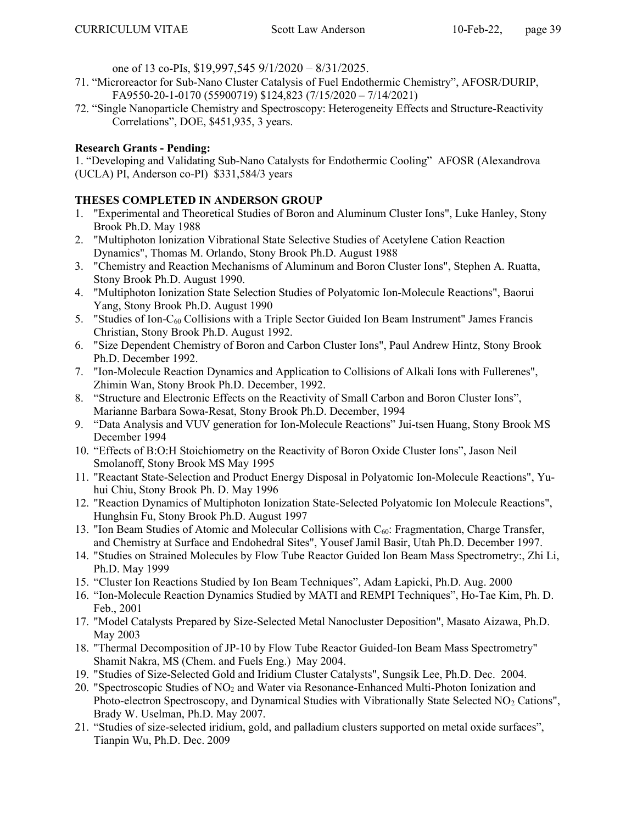one of 13 co-PIs, \$19,997,545 9/1/2020 – 8/31/2025.

- 71. "Microreactor for Sub-Nano Cluster Catalysis of Fuel Endothermic Chemistry", AFOSR/DURIP, FA9550-20-1-0170 (55900719) \$124,823 (7/15/2020 – 7/14/2021)
- 72. "Single Nanoparticle Chemistry and Spectroscopy: Heterogeneity Effects and Structure-Reactivity Correlations", DOE, \$451,935, 3 years.

# Research Grants - Pending:

1. "Developing and Validating Sub-Nano Catalysts for Endothermic Cooling" AFOSR (Alexandrova (UCLA) PI, Anderson co-PI) \$331,584/3 years

# THESES COMPLETED IN ANDERSON GROUP

- 1. "Experimental and Theoretical Studies of Boron and Aluminum Cluster Ions", Luke Hanley, Stony Brook Ph.D. May 1988
- 2. "Multiphoton Ionization Vibrational State Selective Studies of Acetylene Cation Reaction Dynamics", Thomas M. Orlando, Stony Brook Ph.D. August 1988
- 3. "Chemistry and Reaction Mechanisms of Aluminum and Boron Cluster Ions", Stephen A. Ruatta, Stony Brook Ph.D. August 1990.
- 4. "Multiphoton Ionization State Selection Studies of Polyatomic Ion-Molecule Reactions", Baorui Yang, Stony Brook Ph.D. August 1990
- 5. "Studies of Ion- $C_{60}$  Collisions with a Triple Sector Guided Ion Beam Instrument" James Francis Christian, Stony Brook Ph.D. August 1992.
- 6. "Size Dependent Chemistry of Boron and Carbon Cluster Ions", Paul Andrew Hintz, Stony Brook Ph.D. December 1992.
- 7. "Ion-Molecule Reaction Dynamics and Application to Collisions of Alkali Ions with Fullerenes", Zhimin Wan, Stony Brook Ph.D. December, 1992.
- 8. "Structure and Electronic Effects on the Reactivity of Small Carbon and Boron Cluster Ions", Marianne Barbara Sowa-Resat, Stony Brook Ph.D. December, 1994
- 9. "Data Analysis and VUV generation for Ion-Molecule Reactions" Jui-tsen Huang, Stony Brook MS December 1994
- 10. "Effects of B:O:H Stoichiometry on the Reactivity of Boron Oxide Cluster Ions", Jason Neil Smolanoff, Stony Brook MS May 1995
- 11. "Reactant State-Selection and Product Energy Disposal in Polyatomic Ion-Molecule Reactions", Yuhui Chiu, Stony Brook Ph. D. May 1996
- 12. "Reaction Dynamics of Multiphoton Ionization State-Selected Polyatomic Ion Molecule Reactions", Hunghsin Fu, Stony Brook Ph.D. August 1997
- 13. "Ion Beam Studies of Atomic and Molecular Collisions with  $C_{60}$ : Fragmentation, Charge Transfer, and Chemistry at Surface and Endohedral Sites", Yousef Jamil Basir, Utah Ph.D. December 1997.
- 14. "Studies on Strained Molecules by Flow Tube Reactor Guided Ion Beam Mass Spectrometry:, Zhi Li, Ph.D. May 1999
- 15. "Cluster Ion Reactions Studied by Ion Beam Techniques", Adam Łapicki, Ph.D. Aug. 2000
- 16. "Ion-Molecule Reaction Dynamics Studied by MATI and REMPI Techniques", Ho-Tae Kim, Ph. D. Feb., 2001
- 17. "Model Catalysts Prepared by Size-Selected Metal Nanocluster Deposition", Masato Aizawa, Ph.D. May 2003
- 18. "Thermal Decomposition of JP-10 by Flow Tube Reactor Guided-Ion Beam Mass Spectrometry" Shamit Nakra, MS (Chem. and Fuels Eng.) May 2004.
- 19. "Studies of Size-Selected Gold and Iridium Cluster Catalysts", Sungsik Lee, Ph.D. Dec. 2004.
- 20. "Spectroscopic Studies of NO2 and Water via Resonance-Enhanced Multi-Photon Ionization and Photo-electron Spectroscopy, and Dynamical Studies with Vibrationally State Selected NO<sub>2</sub> Cations", Brady W. Uselman, Ph.D. May 2007.
- 21. "Studies of size-selected iridium, gold, and palladium clusters supported on metal oxide surfaces", Tianpin Wu, Ph.D. Dec. 2009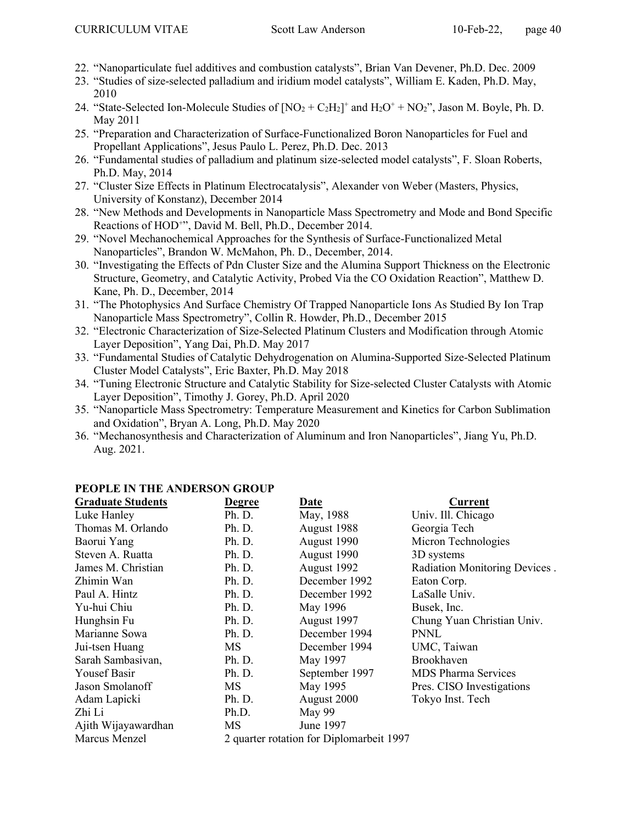- 22. "Nanoparticulate fuel additives and combustion catalysts", Brian Van Devener, Ph.D. Dec. 2009
- 23. "Studies of size-selected palladium and iridium model catalysts", William E. Kaden, Ph.D. May, 2010
- 24. "State-Selected Ion-Molecule Studies of  $[NO_2 + C_2H_2]^+$  and  $H_2O^+ + NO_2$ ", Jason M. Boyle, Ph. D. May 2011
- 25. "Preparation and Characterization of Surface-Functionalized Boron Nanoparticles for Fuel and Propellant Applications", Jesus Paulo L. Perez, Ph.D. Dec. 2013
- 26. "Fundamental studies of palladium and platinum size-selected model catalysts", F. Sloan Roberts, Ph.D. May, 2014
- 27. "Cluster Size Effects in Platinum Electrocatalysis", Alexander von Weber (Masters, Physics, University of Konstanz), December 2014
- 28. "New Methods and Developments in Nanoparticle Mass Spectrometry and Mode and Bond Specific Reactions of HOD<sup>++</sup>, David M. Bell, Ph.D., December 2014.
- 29. "Novel Mechanochemical Approaches for the Synthesis of Surface-Functionalized Metal Nanoparticles", Brandon W. McMahon, Ph. D., December, 2014.
- 30. "Investigating the Effects of Pdn Cluster Size and the Alumina Support Thickness on the Electronic Structure, Geometry, and Catalytic Activity, Probed Via the CO Oxidation Reaction", Matthew D. Kane, Ph. D., December, 2014
- 31. "The Photophysics And Surface Chemistry Of Trapped Nanoparticle Ions As Studied By Ion Trap Nanoparticle Mass Spectrometry", Collin R. Howder, Ph.D., December 2015
- 32. "Electronic Characterization of Size-Selected Platinum Clusters and Modification through Atomic Layer Deposition", Yang Dai, Ph.D. May 2017
- 33. "Fundamental Studies of Catalytic Dehydrogenation on Alumina-Supported Size-Selected Platinum Cluster Model Catalysts", Eric Baxter, Ph.D. May 2018
- 34. "Tuning Electronic Structure and Catalytic Stability for Size-selected Cluster Catalysts with Atomic Layer Deposition", Timothy J. Gorey, Ph.D. April 2020
- 35. "Nanoparticle Mass Spectrometry: Temperature Measurement and Kinetics for Carbon Sublimation and Oxidation", Bryan A. Long, Ph.D. May 2020
- 36. "Mechanosynthesis and Characterization of Aluminum and Iron Nanoparticles", Jiang Yu, Ph.D. Aug. 2021.

| <b>Graduate Students</b> | <b>Degree</b> | <b>Date</b>                              | Current                       |
|--------------------------|---------------|------------------------------------------|-------------------------------|
| Luke Hanley              | Ph. D.        | May, 1988                                | Univ. Ill. Chicago            |
| Thomas M. Orlando        | Ph. D.        | August 1988                              | Georgia Tech                  |
| Baorui Yang              | Ph. D.        | August 1990                              | Micron Technologies           |
| Steven A. Ruatta         | Ph. D.        | August 1990                              | 3D systems                    |
| James M. Christian       | Ph. D.        | August 1992                              | Radiation Monitoring Devices. |
| Zhimin Wan               | Ph. D.        | December 1992                            | Eaton Corp.                   |
| Paul A. Hintz            | Ph. D.        | December 1992                            | LaSalle Univ.                 |
| Yu-hui Chiu              | Ph. D.        | May 1996                                 | Busek, Inc.                   |
| Hunghsin Fu              | Ph. D.        | August 1997                              | Chung Yuan Christian Univ.    |
| Marianne Sowa            | Ph. D.        | December 1994                            | <b>PNNL</b>                   |
| Jui-tsen Huang           | MS.           | December 1994                            | UMC, Taiwan                   |
| Sarah Sambasivan,        | Ph. D.        | May 1997                                 | Brookhaven                    |
| <b>Yousef Basir</b>      | Ph. D.        | September 1997                           | <b>MDS</b> Pharma Services    |
| Jason Smolanoff          | МS            | May 1995                                 | Pres. CISO Investigations     |
| Adam Lapicki             | Ph. D.        | August 2000                              | Tokyo Inst. Tech              |
| Zhi Li                   | Ph.D.         | May 99                                   |                               |
| Ajith Wijayawardhan      | MS            | June 1997                                |                               |
| Marcus Menzel            |               | 2 quarter rotation for Diplomarbeit 1997 |                               |

### PEOPLE IN THE ANDERSON GROUP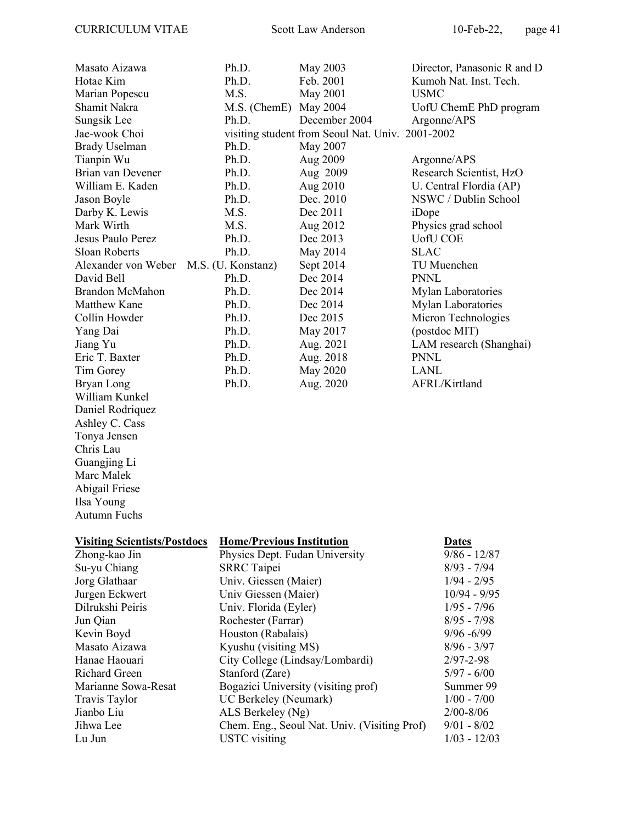Daniel Rodriquez Ashley C. Cass Tonya Jensen Chris Lau Guangjing Li Marc Malek Abigail Friese Ilsa Young Autumn Fuchs

| Masato Aizawa                          | Ph.D.                 | May 2003                                         | Director, Panasonic R and D |
|----------------------------------------|-----------------------|--------------------------------------------------|-----------------------------|
| Hotae Kim                              | Ph.D.                 | Feb. 2001                                        | Kumoh Nat. Inst. Tech.      |
| Marian Popescu                         | M.S.                  | May 2001                                         | <b>USMC</b>                 |
| Shamit Nakra                           | M.S. (ChemE) May 2004 |                                                  | UofU ChemE PhD program      |
| Sungsik Lee                            | Ph.D.                 | December 2004                                    | Argonne/APS                 |
| Jae-wook Choi                          |                       | visiting student from Seoul Nat. Univ. 2001-2002 |                             |
| <b>Brady Uselman</b>                   | Ph.D.                 | May 2007                                         |                             |
| Tianpin Wu                             | Ph.D.                 | Aug 2009                                         | Argonne/APS                 |
| Brian van Devener                      | Ph.D.                 | Aug 2009                                         | Research Scientist, HzO     |
| William E. Kaden                       | Ph.D.                 | Aug 2010                                         | U. Central Flordia (AP)     |
| Jason Boyle                            | Ph.D.                 | Dec. 2010                                        | NSWC / Dublin School        |
| Darby K. Lewis                         | M.S.                  | Dec 2011                                         | iDope                       |
| Mark Wirth                             | M.S.                  | Aug 2012                                         | Physics grad school         |
| Jesus Paulo Perez                      | Ph.D.                 | Dec 2013                                         | <b>UofU COE</b>             |
| Sloan Roberts                          | Ph.D.                 | May 2014                                         | <b>SLAC</b>                 |
| Alexander von Weber M.S. (U. Konstanz) |                       | Sept 2014                                        | TU Muenchen                 |
| David Bell                             | Ph.D.                 | Dec 2014                                         | <b>PNNL</b>                 |
| <b>Brandon McMahon</b>                 | Ph.D.                 | Dec 2014                                         | Mylan Laboratories          |
| Matthew Kane                           | Ph.D.                 | Dec 2014                                         | Mylan Laboratories          |
| Collin Howder                          | Ph.D.                 | Dec 2015                                         | Micron Technologies         |
| Yang Dai                               | Ph.D.                 | May 2017                                         | (postdoc MIT)               |
| Jiang Yu                               | Ph.D.                 | Aug. 2021                                        | LAM research (Shanghai)     |
| Eric T. Baxter                         | Ph.D.                 | Aug. 2018                                        | <b>PNNL</b>                 |
| Tim Gorey                              | Ph.D.                 | May 2020                                         | LANL                        |
| Bryan Long                             | Ph.D.                 | Aug. 2020                                        | AFRL/Kirtland               |
| William Kunkel                         |                       |                                                  |                             |

| <b>Visiting Scientists/Postdocs</b> | <b>Home/Previous Institution</b>             | <b>Dates</b>    |
|-------------------------------------|----------------------------------------------|-----------------|
| Zhong-kao Jin                       | Physics Dept. Fudan University               | $9/86 - 12/87$  |
| Su-yu Chiang                        | <b>SRRC</b> Taipei                           | $8/93 - 7/94$   |
| Jorg Glathaar                       | Univ. Giessen (Maier)                        | $1/94 - 2/95$   |
| Jurgen Eckwert                      | Univ Giessen (Maier)                         | $10/94 - 9/95$  |
| Dilrukshi Peiris                    | Univ. Florida (Eyler)                        | $1/95 - 7/96$   |
| Jun Qian                            | Rochester (Farrar)                           | $8/95 - 7/98$   |
| Kevin Boyd                          | Houston (Rabalais)                           | $9/96 - 6/99$   |
| Masato Aizawa                       | Kyushu (visiting MS)                         | $8/96 - 3/97$   |
| Hanae Haouari                       | City College (Lindsay/Lombardi)              | $2/97 - 2 - 98$ |
| Richard Green                       | Stanford (Zare)                              | $5/97 - 6/00$   |
| Marianne Sowa-Resat                 | Bogazici University (visiting prof)          | Summer 99       |
| Travis Taylor                       | UC Berkeley (Neumark)                        | $1/00 - 7/00$   |
| Jianbo Liu                          | ALS Berkeley (Ng)                            | $2/00 - 8/06$   |
| Jihwa Lee                           | Chem. Eng., Seoul Nat. Univ. (Visiting Prof) | $9/01 - 8/02$   |
| Lu Jun                              | <b>USTC</b> visiting                         | $1/03 - 12/03$  |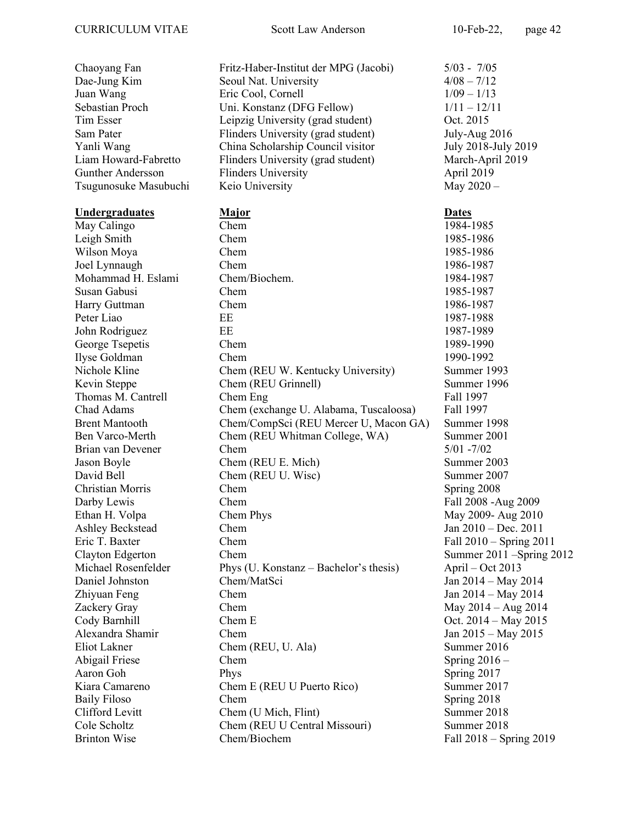Chaoyang Fan Fritz-Haber-Institut der MPG (Jacobi) 5/03 - 7/05 Dae-Jung Kim Seoul Nat. University 4/08 – 7/12 Juan Wang  $\qquad \qquad$  Eric Cool, Cornell  $\qquad \qquad$  1/09 – 1/13 Sebastian Proch Uni. Konstanz (DFG Fellow)  $1/11 - 12/11$ Tim Esser Leipzig University (grad student) Oct. 2015 Sam Pater Flinders University (grad student) July-Aug 2016 Yanli Wang China Scholarship Council visitor July 2018-July 2019 Liam Howard-Fabretto Flinders University (grad student) March-April 2019 Gunther Andersson Flinders University April 2019 Tsugunosuke Masubuchi Keio University May 2020 – Undergraduates Major Dates May Calingo Chem Chem 1984-1985 Leigh Smith Chem 1985-1986 Wilson Moya Chem 2008 Chem 1985-1986 Joel Lynnaugh Chem 1986-1987 Mohammad H. Eslami Chem/Biochem. 1984-1987 Susan Gabusi Chem 1985-1987 Harry Guttman Chem 1986-1987 Peter Liao EE 1987-1988 John Rodriguez EE 1987-1989 George Tsepetis Chem Chem 1989-1990 Ilyse Goldman Chem 1990-1992 Nichole Kline Chem (REU W. Kentucky University) Summer 1993 Kevin Steppe Chem (REU Grinnell) Summer 1996 Thomas M. Cantrell Chem Eng Fall 1997 Chad Adams Chem (exchange U. Alabama, Tuscaloosa) Fall 1997 Brent Mantooth Chem/CompSci (REU Mercer U, Macon GA) Summer 1998 Ben Varco-Merth Chem (REU Whitman College, WA) Summer 2001 Brian van Devener Chem 5/01 -7/02 Jason Boyle Chem (REU E. Mich) Summer 2003 David Bell Chem (REU U. Wisc) Summer 2007 Christian Morris Chem Spring 2008 Darby Lewis Chem Chem Fall 2008 -Aug 2009 Ethan H. Volpa Chem Phys Chem Phys May 2009- Aug 2010 Ashley Beckstead Chem Chem Jan 2010 – Dec. 2011 Eric T. Baxter Chem Chem Fall 2010 – Spring 2011 Clayton Edgerton Chem Chem Summer 2011 – Spring 2012 Michael Rosenfelder Phys (U. Konstanz – Bachelor's thesis) April – Oct 2013 Daniel Johnston Chem/MatSci Jan 2014 – May 2014 Zhiyuan Feng Chem Jan 2014 – May 2014 Zackery Gray Chem May 2014 – Aug 2014 Cody Barnhill Chem E Chem E Oct. 2014 – May 2015 Alexandra Shamir Chem Jan 2015 – May 2015 Eliot Lakner Chem (REU, U. Ala) Summer 2016 Abigail Friese Chem Chem Spring 2016 – Aaron Goh Phys Phys Spring 2017 Kiara Camareno Chem E (REU U Puerto Rico) Summer 2017 Baily Filoso Chem Chem Spring 2018 Clifford Levitt Chem (U Mich, Flint) Summer 2018 Cole Scholtz Chem (REU U Central Missouri) Summer 2018 Brinton Wise Chem/Biochem Chem/Biochem Fall 2018 – Spring 2019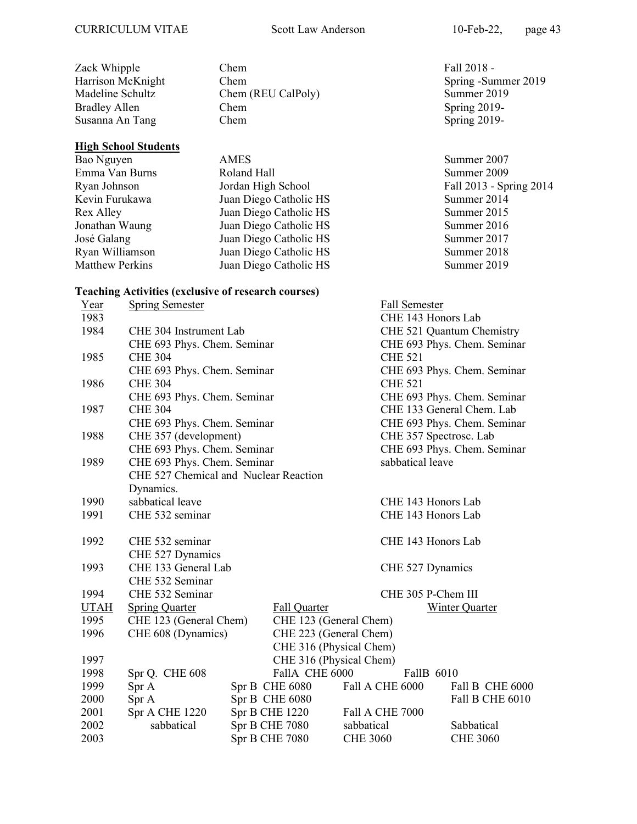Susanna An Tang

#### High School Students

Zack Whipple Chem Chem Fall 2018 -Harrison McKnight Chem Chem Spring -Summer 2019 Madeline Schultz Chem (REU CalPoly) Summer 2019 Bradley Allen Chem Chem Spring 2019-<br>Susanna An Tang Chem Spring 2019-

Bao Nguyen AMES Summer 2007 Emma Van Burns Roland Hall Summer 2009<br>
Ryan Johnson Jordan High School Fall 2013 - Spi Jordan High School Fall 2013 - Spring 2014 Kevin Furukawa Juan Diego Catholic HS Summer 2014 Rex Alley Juan Diego Catholic HS Summer 2015 Jonathan Waung Juan Diego Catholic HS Summer 2016 José Galang Juan Diego Catholic HS Summer 2017 Ryan Williamson Juan Diego Catholic HS Summer 2018 Matthew Perkins Juan Diego Catholic HS Summer 2019

### Teaching Activities (exclusive of research courses)

| Year        | <b>Spring Semester</b>                |                         |                 | Fall Semester          |                             |
|-------------|---------------------------------------|-------------------------|-----------------|------------------------|-----------------------------|
| 1983        |                                       |                         |                 | CHE 143 Honors Lab     |                             |
| 1984        | CHE 304 Instrument Lab                |                         |                 |                        | CHE 521 Quantum Chemistry   |
|             | CHE 693 Phys. Chem. Seminar           |                         |                 |                        | CHE 693 Phys. Chem. Seminar |
| 1985        | <b>CHE 304</b>                        |                         |                 | <b>CHE 521</b>         |                             |
|             | CHE 693 Phys. Chem. Seminar           |                         |                 |                        | CHE 693 Phys. Chem. Seminar |
| 1986        | <b>CHE 304</b>                        |                         |                 | <b>CHE 521</b>         |                             |
|             | CHE 693 Phys. Chem. Seminar           |                         |                 |                        | CHE 693 Phys. Chem. Seminar |
| 1987        | <b>CHE 304</b>                        |                         |                 |                        | CHE 133 General Chem. Lab   |
|             | CHE 693 Phys. Chem. Seminar           |                         |                 |                        | CHE 693 Phys. Chem. Seminar |
| 1988        | CHE 357 (development)                 |                         |                 | CHE 357 Spectrosc. Lab |                             |
|             | CHE 693 Phys. Chem. Seminar           |                         |                 |                        | CHE 693 Phys. Chem. Seminar |
| 1989        | CHE 693 Phys. Chem. Seminar           |                         |                 | sabbatical leave       |                             |
|             | CHE 527 Chemical and Nuclear Reaction |                         |                 |                        |                             |
|             | Dynamics.                             |                         |                 |                        |                             |
| 1990        | sabbatical leave                      |                         |                 | CHE 143 Honors Lab     |                             |
| 1991        | CHE 532 seminar                       |                         |                 | CHE 143 Honors Lab     |                             |
|             |                                       |                         |                 |                        |                             |
| 1992        | CHE 532 seminar                       |                         |                 | CHE 143 Honors Lab     |                             |
|             | CHE 527 Dynamics                      |                         |                 |                        |                             |
| 1993        | CHE 133 General Lab                   |                         |                 | CHE 527 Dynamics       |                             |
|             | CHE 532 Seminar                       |                         |                 |                        |                             |
| 1994        | CHE 532 Seminar                       |                         |                 | CHE 305 P-Chem III     |                             |
| <b>UTAH</b> | <b>Spring Quarter</b>                 | Fall Quarter            |                 |                        | <b>Winter Quarter</b>       |
| 1995        | CHE 123 (General Chem)                | CHE 123 (General Chem)  |                 |                        |                             |
| 1996        | CHE 608 (Dynamics)                    | CHE 223 (General Chem)  |                 |                        |                             |
|             |                                       | CHE 316 (Physical Chem) |                 |                        |                             |
| 1997        |                                       | CHE 316 (Physical Chem) |                 |                        |                             |
| 1998        | Spr Q. CHE 608                        | FallA CHE 6000          |                 | FallB 6010             |                             |
| 1999        | Spr A                                 | Spr B CHE 6080          |                 | Fall A CHE 6000        | Fall B CHE 6000             |
| 2000        | Spr A                                 | Spr B CHE 6080          |                 |                        | Fall B CHE 6010             |
| 2001        | Spr A CHE 1220                        | Spr B CHE 1220          |                 | Fall A CHE 7000        |                             |
| 2002        | sabbatical                            | Spr B CHE 7080          | sabbatical      |                        | Sabbatical                  |
| 2003        |                                       | Spr B CHE 7080          | <b>CHE 3060</b> |                        | <b>CHE 3060</b>             |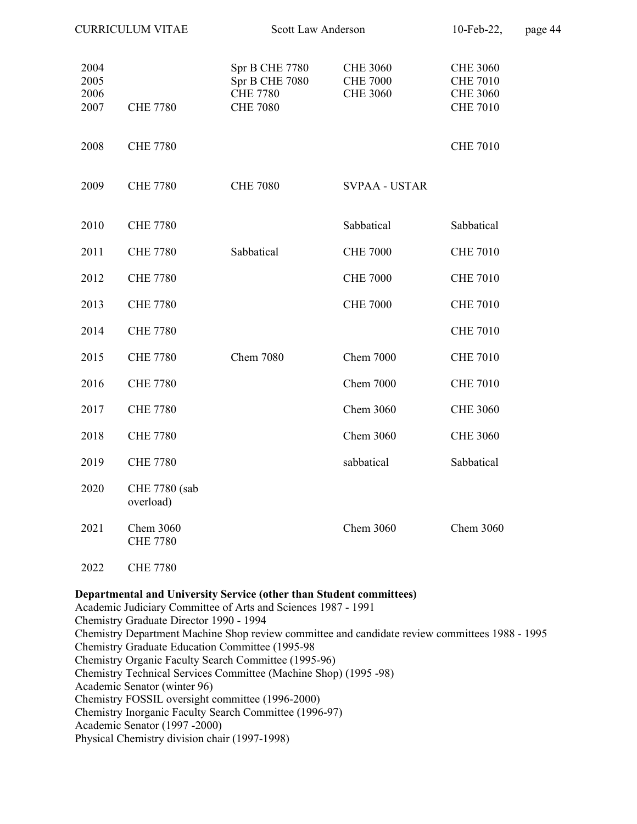| <b>CURRICULUM VITAE</b>      |                              | <b>Scott Law Anderson</b>                                              | 10-Feb-22,                                            | page 44                                                                  |  |
|------------------------------|------------------------------|------------------------------------------------------------------------|-------------------------------------------------------|--------------------------------------------------------------------------|--|
| 2004<br>2005<br>2006<br>2007 | <b>CHE 7780</b>              | Spr B CHE 7780<br>Spr B CHE 7080<br><b>CHE 7780</b><br><b>CHE 7080</b> | <b>CHE 3060</b><br><b>CHE 7000</b><br><b>CHE 3060</b> | <b>CHE 3060</b><br><b>CHE 7010</b><br><b>CHE 3060</b><br><b>CHE 7010</b> |  |
| 2008                         | <b>CHE 7780</b>              |                                                                        |                                                       | <b>CHE 7010</b>                                                          |  |
| 2009                         | <b>CHE 7780</b>              | <b>CHE 7080</b>                                                        | <b>SVPAA - USTAR</b>                                  |                                                                          |  |
| 2010                         | <b>CHE 7780</b>              |                                                                        | Sabbatical                                            | Sabbatical                                                               |  |
| 2011                         | <b>CHE 7780</b>              | Sabbatical                                                             | <b>CHE 7000</b>                                       | <b>CHE 7010</b>                                                          |  |
| 2012                         | <b>CHE 7780</b>              |                                                                        | <b>CHE 7000</b>                                       | <b>CHE 7010</b>                                                          |  |
| 2013                         | <b>CHE 7780</b>              |                                                                        | <b>CHE 7000</b>                                       | <b>CHE 7010</b>                                                          |  |
| 2014                         | <b>CHE 7780</b>              |                                                                        |                                                       | <b>CHE 7010</b>                                                          |  |
| 2015                         | <b>CHE 7780</b>              | <b>Chem 7080</b>                                                       | <b>Chem 7000</b>                                      | <b>CHE 7010</b>                                                          |  |
| 2016                         | <b>CHE 7780</b>              |                                                                        | <b>Chem 7000</b>                                      | <b>CHE 7010</b>                                                          |  |
| 2017                         | <b>CHE 7780</b>              |                                                                        | Chem 3060                                             | <b>CHE 3060</b>                                                          |  |
| 2018                         | <b>CHE 7780</b>              |                                                                        | Chem 3060                                             | <b>CHE 3060</b>                                                          |  |
| 2019                         | <b>CHE 7780</b>              |                                                                        | sabbatical                                            | Sabbatical                                                               |  |
| 2020                         | CHE 7780 (sab<br>overload)   |                                                                        |                                                       |                                                                          |  |
| 2021                         | Chem 3060<br><b>CHE 7780</b> |                                                                        | Chem 3060                                             | Chem 3060                                                                |  |
| 2022                         | <b>CHE 7780</b>              |                                                                        |                                                       |                                                                          |  |

#### Departmental and University Service (other than Student committees)

Academic Judiciary Committee of Arts and Sciences 1987 - 1991 Chemistry Graduate Director 1990 - 1994 Chemistry Department Machine Shop review committee and candidate review committees 1988 - 1995 Chemistry Graduate Education Committee (1995-98 Chemistry Organic Faculty Search Committee (1995-96) Chemistry Technical Services Committee (Machine Shop) (1995 -98) Academic Senator (winter 96) Chemistry FOSSIL oversight committee (1996-2000) Chemistry Inorganic Faculty Search Committee (1996-97) Academic Senator (1997 -2000) Physical Chemistry division chair (1997-1998)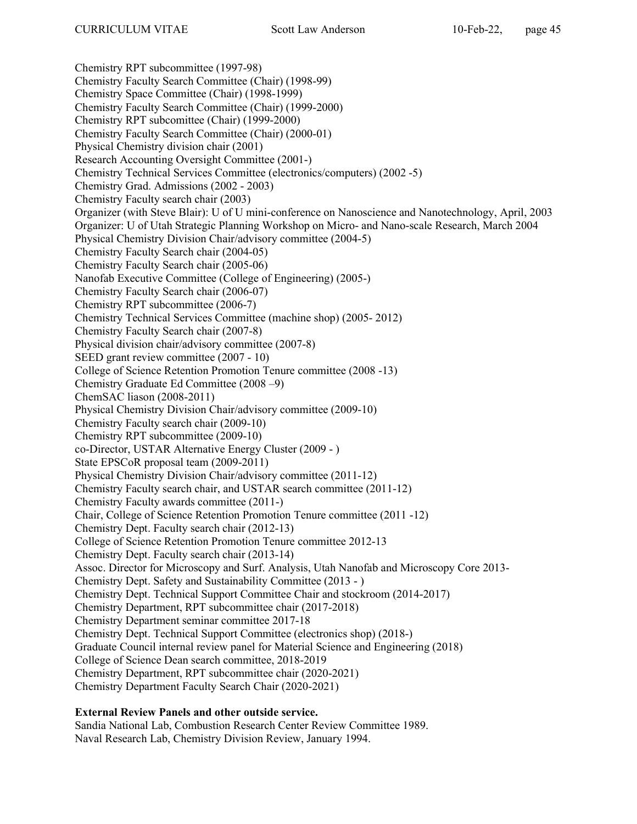Chemistry RPT subcommittee (1997-98) Chemistry Faculty Search Committee (Chair) (1998-99) Chemistry Space Committee (Chair) (1998-1999) Chemistry Faculty Search Committee (Chair) (1999-2000) Chemistry RPT subcomittee (Chair) (1999-2000) Chemistry Faculty Search Committee (Chair) (2000-01) Physical Chemistry division chair (2001) Research Accounting Oversight Committee (2001-) Chemistry Technical Services Committee (electronics/computers) (2002 -5) Chemistry Grad. Admissions (2002 - 2003) Chemistry Faculty search chair (2003) Organizer (with Steve Blair): U of U mini-conference on Nanoscience and Nanotechnology, April, 2003 Organizer: U of Utah Strategic Planning Workshop on Micro- and Nano-scale Research, March 2004 Physical Chemistry Division Chair/advisory committee (2004-5) Chemistry Faculty Search chair (2004-05) Chemistry Faculty Search chair (2005-06) Nanofab Executive Committee (College of Engineering) (2005-) Chemistry Faculty Search chair (2006-07) Chemistry RPT subcommittee (2006-7) Chemistry Technical Services Committee (machine shop) (2005- 2012) Chemistry Faculty Search chair (2007-8) Physical division chair/advisory committee (2007-8) SEED grant review committee (2007 - 10) College of Science Retention Promotion Tenure committee (2008 -13) Chemistry Graduate Ed Committee (2008 –9) ChemSAC liason (2008-2011) Physical Chemistry Division Chair/advisory committee (2009-10) Chemistry Faculty search chair (2009-10) Chemistry RPT subcommittee (2009-10) co-Director, USTAR Alternative Energy Cluster (2009 - ) State EPSCoR proposal team (2009-2011) Physical Chemistry Division Chair/advisory committee (2011-12) Chemistry Faculty search chair, and USTAR search committee (2011-12) Chemistry Faculty awards committee (2011-) Chair, College of Science Retention Promotion Tenure committee (2011 -12) Chemistry Dept. Faculty search chair (2012-13) College of Science Retention Promotion Tenure committee 2012-13 Chemistry Dept. Faculty search chair (2013-14) Assoc. Director for Microscopy and Surf. Analysis, Utah Nanofab and Microscopy Core 2013- Chemistry Dept. Safety and Sustainability Committee (2013 - ) Chemistry Dept. Technical Support Committee Chair and stockroom (2014-2017) Chemistry Department, RPT subcommittee chair (2017-2018) Chemistry Department seminar committee 2017-18 Chemistry Dept. Technical Support Committee (electronics shop) (2018-) Graduate Council internal review panel for Material Science and Engineering (2018) College of Science Dean search committee, 2018-2019 Chemistry Department, RPT subcommittee chair (2020-2021) Chemistry Department Faculty Search Chair (2020-2021)

### External Review Panels and other outside service.

Sandia National Lab, Combustion Research Center Review Committee 1989. Naval Research Lab, Chemistry Division Review, January 1994.